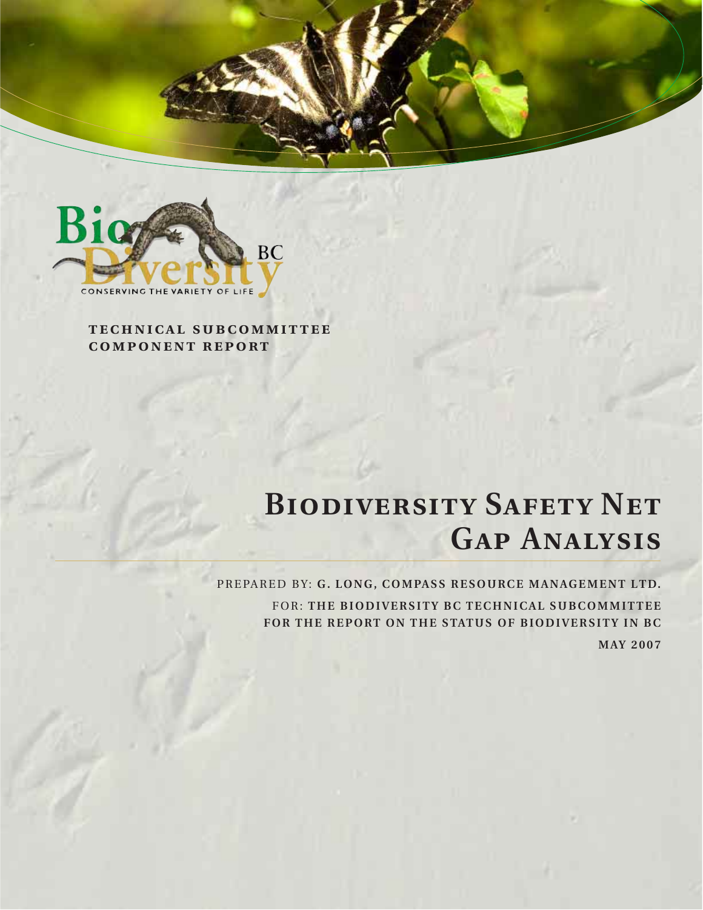



**technical subcommittee component report**

# **BIODIVERSITY SAFETY NET Gap Analysis**

PREPARED BY: **G. LONG, COMPASS RESOURCE MANAGEMENT LTD.** FOR: **THE BIODIVERSITY BC TECHNICAL SUBCOMMITTEE FOR THE REPORT ON THE STATUS OF BIODIVERSITY IN BC MAY 2007**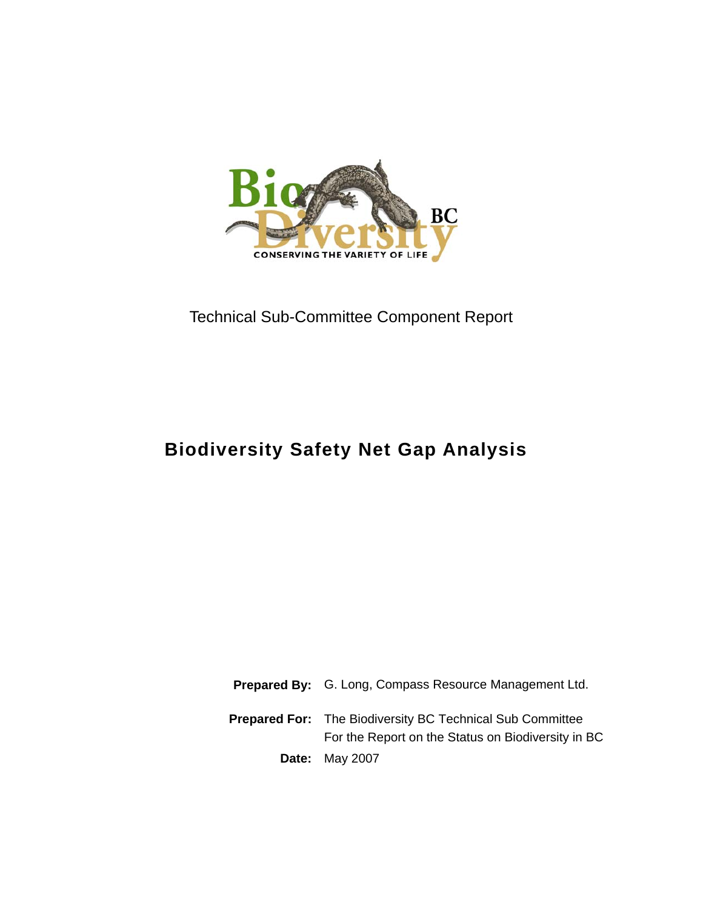

## Technical Sub-Committee Component Report

## **Biodiversity Safety Net Gap Analysis**

**Prepared By:** G. Long, Compass Resource Management Ltd. **Prepared For:** The Biodiversity BC Technical Sub Committee For the Report on the Status on Biodiversity in BC **Date:** May 2007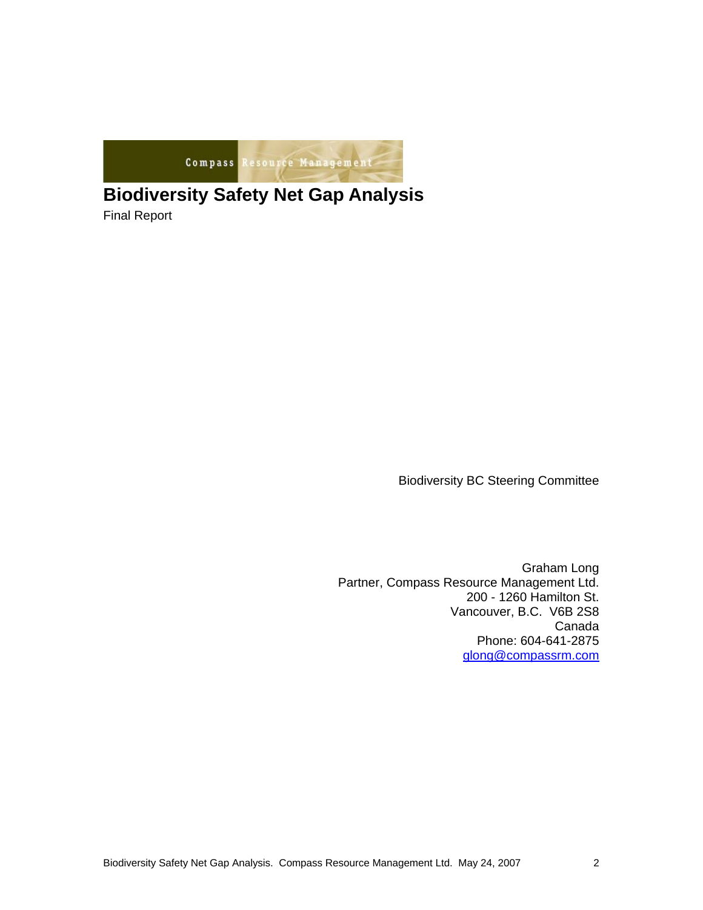

## **Biodiversity Safety Net Gap Analysis**

Final Report

Biodiversity BC Steering Committee

Graham Long Partner, Compass Resource Management Ltd. 200 - 1260 Hamilton St. Vancouver, B.C. V6B 2S8 Canada Phone: 604-641-2875 glong@compassrm.com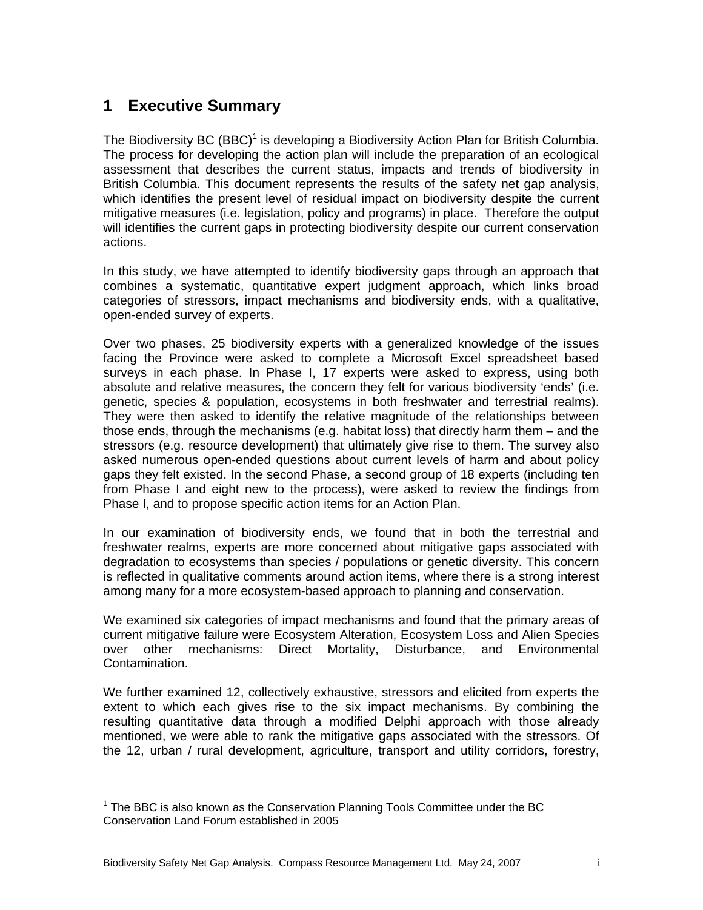## **1 Executive Summary**

The Biodiversity BC (BBC)<sup>1</sup> is developing a Biodiversity Action Plan for British Columbia. The process for developing the action plan will include the preparation of an ecological assessment that describes the current status, impacts and trends of biodiversity in British Columbia. This document represents the results of the safety net gap analysis, which identifies the present level of residual impact on biodiversity despite the current mitigative measures (i.e. legislation, policy and programs) in place. Therefore the output will identifies the current gaps in protecting biodiversity despite our current conservation actions.

In this study, we have attempted to identify biodiversity gaps through an approach that combines a systematic, quantitative expert judgment approach, which links broad categories of stressors, impact mechanisms and biodiversity ends, with a qualitative, open-ended survey of experts.

Over two phases, 25 biodiversity experts with a generalized knowledge of the issues facing the Province were asked to complete a Microsoft Excel spreadsheet based surveys in each phase. In Phase I, 17 experts were asked to express, using both absolute and relative measures, the concern they felt for various biodiversity 'ends' (i.e. genetic, species & population, ecosystems in both freshwater and terrestrial realms). They were then asked to identify the relative magnitude of the relationships between those ends, through the mechanisms (e.g. habitat loss) that directly harm them – and the stressors (e.g. resource development) that ultimately give rise to them. The survey also asked numerous open-ended questions about current levels of harm and about policy gaps they felt existed. In the second Phase, a second group of 18 experts (including ten from Phase I and eight new to the process), were asked to review the findings from Phase I, and to propose specific action items for an Action Plan.

In our examination of biodiversity ends, we found that in both the terrestrial and freshwater realms, experts are more concerned about mitigative gaps associated with degradation to ecosystems than species / populations or genetic diversity. This concern is reflected in qualitative comments around action items, where there is a strong interest among many for a more ecosystem-based approach to planning and conservation.

We examined six categories of impact mechanisms and found that the primary areas of current mitigative failure were Ecosystem Alteration, Ecosystem Loss and Alien Species over other mechanisms: Direct Mortality, Disturbance, and Environmental Contamination.

We further examined 12, collectively exhaustive, stressors and elicited from experts the extent to which each gives rise to the six impact mechanisms. By combining the resulting quantitative data through a modified Delphi approach with those already mentioned, we were able to rank the mitigative gaps associated with the stressors. Of the 12, urban / rural development, agriculture, transport and utility corridors, forestry,

 1 The BBC is also known as the Conservation Planning Tools Committee under the BC Conservation Land Forum established in 2005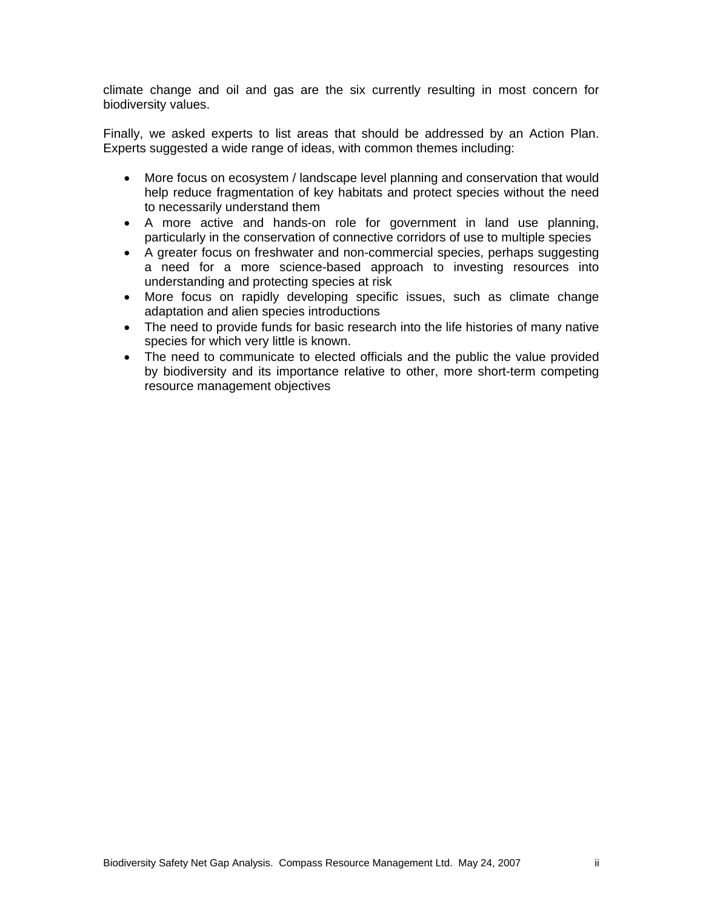climate change and oil and gas are the six currently resulting in most concern for biodiversity values.

Finally, we asked experts to list areas that should be addressed by an Action Plan. Experts suggested a wide range of ideas, with common themes including:

- More focus on ecosystem / landscape level planning and conservation that would help reduce fragmentation of key habitats and protect species without the need to necessarily understand them
- A more active and hands-on role for government in land use planning, particularly in the conservation of connective corridors of use to multiple species
- A greater focus on freshwater and non-commercial species, perhaps suggesting a need for a more science-based approach to investing resources into understanding and protecting species at risk
- More focus on rapidly developing specific issues, such as climate change adaptation and alien species introductions
- The need to provide funds for basic research into the life histories of many native species for which very little is known.
- The need to communicate to elected officials and the public the value provided by biodiversity and its importance relative to other, more short-term competing resource management objectives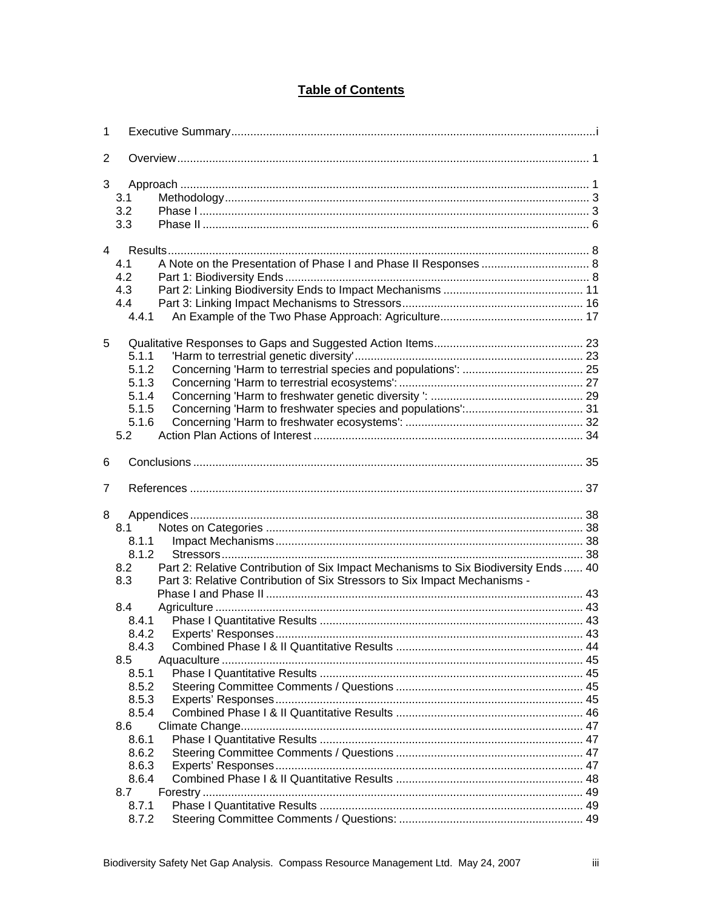#### **Table of Contents**

| 1 |                                                                                                                                                                                                        |  |
|---|--------------------------------------------------------------------------------------------------------------------------------------------------------------------------------------------------------|--|
| 2 |                                                                                                                                                                                                        |  |
| 3 | 3.1<br>3.2<br>3.3                                                                                                                                                                                      |  |
|   | $\overline{4}$<br>4.1<br>4.2<br>4.3<br>4.4<br>4.4.1                                                                                                                                                    |  |
| 5 | 5.1.1<br>5.1.2<br>5.1.3<br>5.1.4<br>5.1.5<br>5.1.6<br>5.2                                                                                                                                              |  |
| 6 |                                                                                                                                                                                                        |  |
|   |                                                                                                                                                                                                        |  |
| 7 |                                                                                                                                                                                                        |  |
| 8 | 8.1<br>8.1.1<br>8.1.2<br>Part 2: Relative Contribution of Six Impact Mechanisms to Six Biodiversity Ends 40<br>8.2<br>Part 3: Relative Contribution of Six Stressors to Six Impact Mechanisms -<br>8.3 |  |
|   | 8.4<br>8.4.1<br>8.4.2<br>8.4.3<br>8.5<br>8.5.1<br>8.5.2<br>8.5.3<br>8.5.4<br>8.6<br>8.6.1                                                                                                              |  |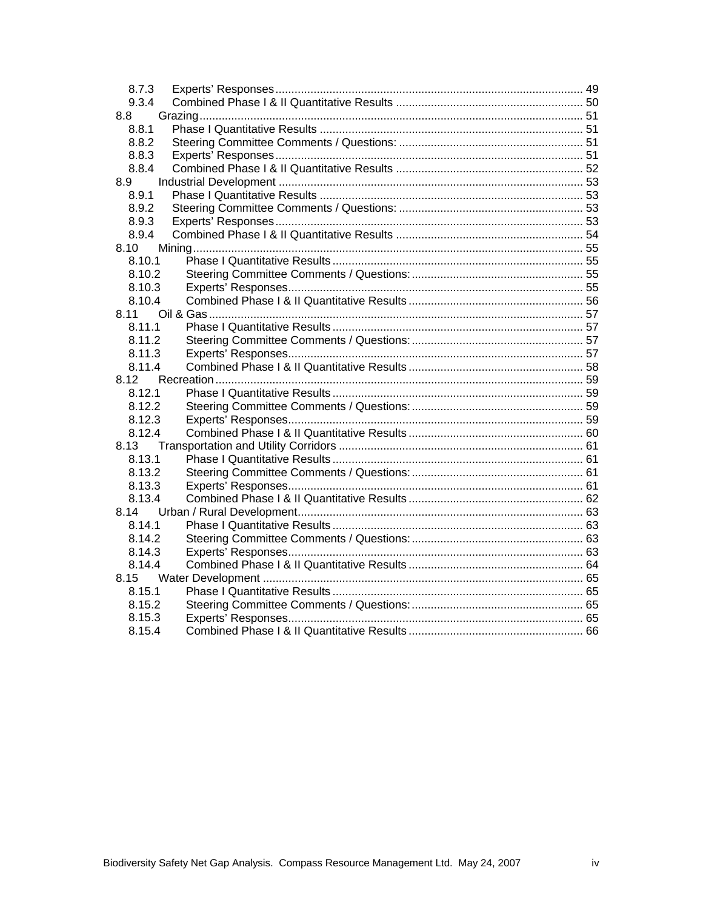| 8.7.3  |  |
|--------|--|
| 9.3.4  |  |
| 8.8    |  |
| 8.8.1  |  |
| 8.8.2  |  |
| 8.8.3  |  |
| 8.8.4  |  |
| 8.9    |  |
| 8.9.1  |  |
| 8.9.2  |  |
| 8.9.3  |  |
| 8.9.4  |  |
| 8.10   |  |
| 8.10.1 |  |
| 8.10.2 |  |
| 8.10.3 |  |
| 8.10.4 |  |
| 8.11   |  |
| 8.11.1 |  |
| 8.11.2 |  |
| 8.11.3 |  |
| 8.11.4 |  |
| 8.12   |  |
| 8.12.1 |  |
| 8.12.2 |  |
| 8.12.3 |  |
| 8.12.4 |  |
| 8.13   |  |
| 8.13.1 |  |
| 8.13.2 |  |
| 8.13.3 |  |
| 8.13.4 |  |
| 8.14   |  |
| 8.14.1 |  |
| 8.14.2 |  |
| 8.14.3 |  |
| 8.14.4 |  |
| 8.15   |  |
| 8.15.1 |  |
| 8.15.2 |  |
| 8.15.3 |  |
| 8.15.4 |  |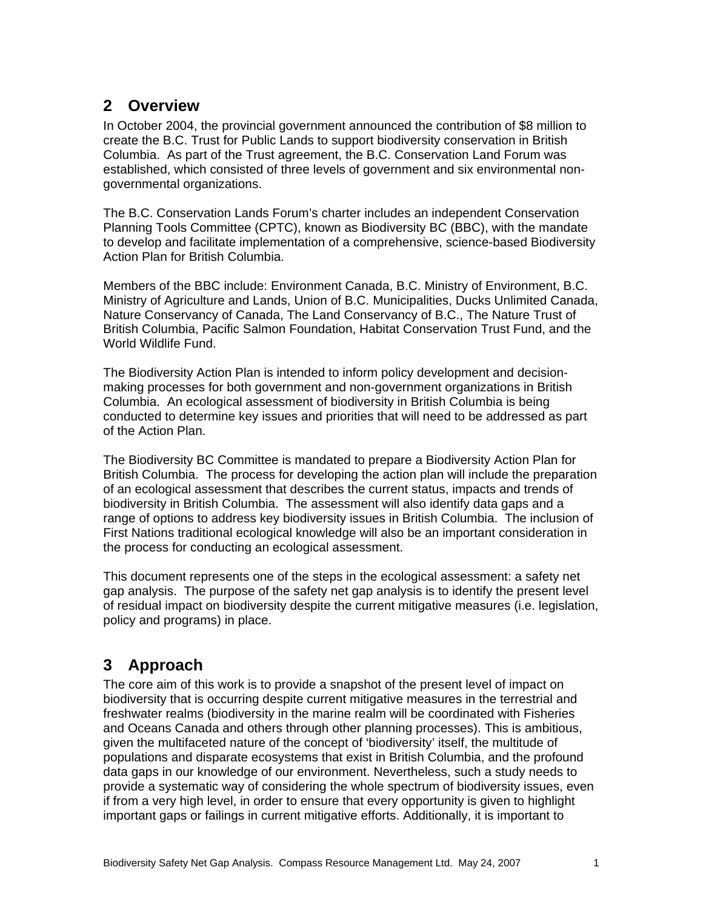### **2 Overview**

In October 2004, the provincial government announced the contribution of \$8 million to create the B.C. Trust for Public Lands to support biodiversity conservation in British Columbia. As part of the Trust agreement, the B.C. Conservation Land Forum was established, which consisted of three levels of government and six environmental nongovernmental organizations.

The B.C. Conservation Lands Forum's charter includes an independent Conservation Planning Tools Committee (CPTC), known as Biodiversity BC (BBC), with the mandate to develop and facilitate implementation of a comprehensive, science-based Biodiversity Action Plan for British Columbia.

Members of the BBC include: Environment Canada, B.C. Ministry of Environment, B.C. Ministry of Agriculture and Lands, Union of B.C. Municipalities, Ducks Unlimited Canada, Nature Conservancy of Canada, The Land Conservancy of B.C., The Nature Trust of British Columbia, Pacific Salmon Foundation, Habitat Conservation Trust Fund, and the World Wildlife Fund.

The Biodiversity Action Plan is intended to inform policy development and decisionmaking processes for both government and non-government organizations in British Columbia. An ecological assessment of biodiversity in British Columbia is being conducted to determine key issues and priorities that will need to be addressed as part of the Action Plan.

The Biodiversity BC Committee is mandated to prepare a Biodiversity Action Plan for British Columbia. The process for developing the action plan will include the preparation of an ecological assessment that describes the current status, impacts and trends of biodiversity in British Columbia. The assessment will also identify data gaps and a range of options to address key biodiversity issues in British Columbia. The inclusion of First Nations traditional ecological knowledge will also be an important consideration in the process for conducting an ecological assessment.

This document represents one of the steps in the ecological assessment: a safety net gap analysis. The purpose of the safety net gap analysis is to identify the present level of residual impact on biodiversity despite the current mitigative measures (i.e. legislation, policy and programs) in place.

## **3 Approach**

The core aim of this work is to provide a snapshot of the present level of impact on biodiversity that is occurring despite current mitigative measures in the terrestrial and freshwater realms (biodiversity in the marine realm will be coordinated with Fisheries and Oceans Canada and others through other planning processes). This is ambitious, given the multifaceted nature of the concept of 'biodiversity' itself, the multitude of populations and disparate ecosystems that exist in British Columbia, and the profound data gaps in our knowledge of our environment. Nevertheless, such a study needs to provide a systematic way of considering the whole spectrum of biodiversity issues, even if from a very high level, in order to ensure that every opportunity is given to highlight important gaps or failings in current mitigative efforts. Additionally, it is important to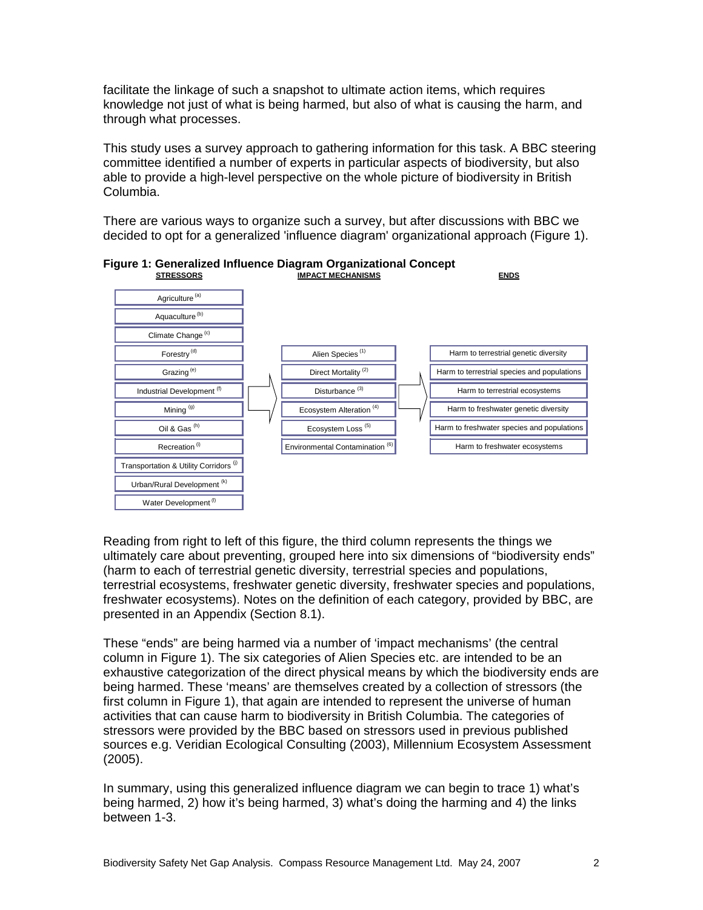facilitate the linkage of such a snapshot to ultimate action items, which requires knowledge not just of what is being harmed, but also of what is causing the harm, and through what processes.

This study uses a survey approach to gathering information for this task. A BBC steering committee identified a number of experts in particular aspects of biodiversity, but also able to provide a high-level perspective on the whole picture of biodiversity in British Columbia.

There are various ways to organize such a survey, but after discussions with BBC we decided to opt for a generalized 'influence diagram' organizational approach (Figure 1).



**Figure 1: Generalized Influence Diagram Organizational Concept** 

Reading from right to left of this figure, the third column represents the things we ultimately care about preventing, grouped here into six dimensions of "biodiversity ends" (harm to each of terrestrial genetic diversity, terrestrial species and populations, terrestrial ecosystems, freshwater genetic diversity, freshwater species and populations, freshwater ecosystems). Notes on the definition of each category, provided by BBC, are presented in an Appendix (Section 8.1).

These "ends" are being harmed via a number of 'impact mechanisms' (the central column in Figure 1). The six categories of Alien Species etc. are intended to be an exhaustive categorization of the direct physical means by which the biodiversity ends are being harmed. These 'means' are themselves created by a collection of stressors (the first column in Figure 1), that again are intended to represent the universe of human activities that can cause harm to biodiversity in British Columbia. The categories of stressors were provided by the BBC based on stressors used in previous published sources e.g. Veridian Ecological Consulting (2003), Millennium Ecosystem Assessment (2005).

In summary, using this generalized influence diagram we can begin to trace 1) what's being harmed, 2) how it's being harmed, 3) what's doing the harming and 4) the links between 1-3.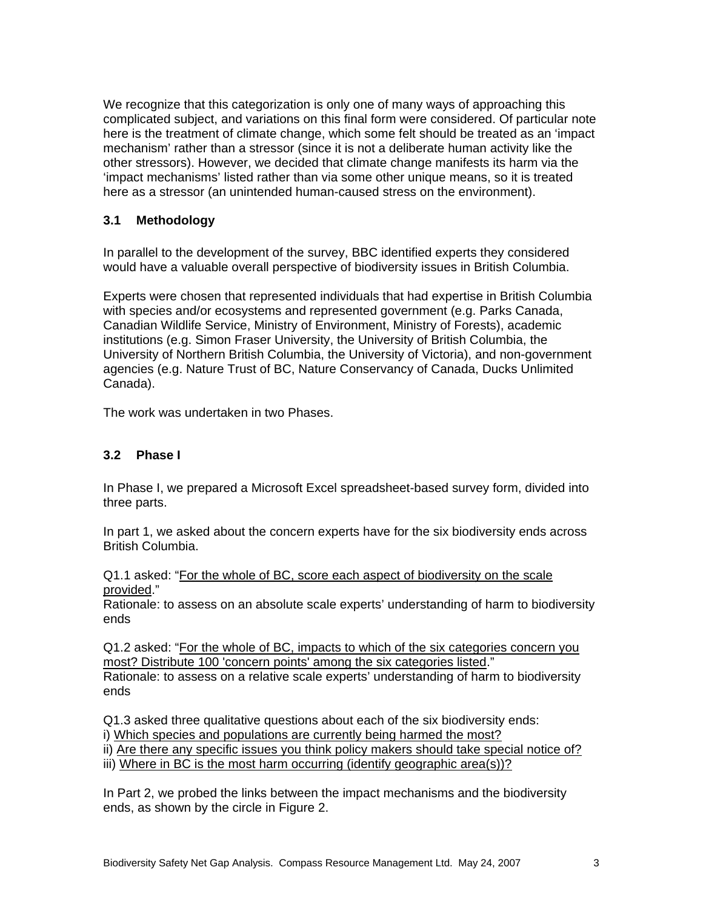We recognize that this categorization is only one of many ways of approaching this complicated subject, and variations on this final form were considered. Of particular note here is the treatment of climate change, which some felt should be treated as an 'impact mechanism' rather than a stressor (since it is not a deliberate human activity like the other stressors). However, we decided that climate change manifests its harm via the 'impact mechanisms' listed rather than via some other unique means, so it is treated here as a stressor (an unintended human-caused stress on the environment).

#### **3.1 Methodology**

In parallel to the development of the survey, BBC identified experts they considered would have a valuable overall perspective of biodiversity issues in British Columbia.

Experts were chosen that represented individuals that had expertise in British Columbia with species and/or ecosystems and represented government (e.g. Parks Canada, Canadian Wildlife Service, Ministry of Environment, Ministry of Forests), academic institutions (e.g. Simon Fraser University, the University of British Columbia, the University of Northern British Columbia, the University of Victoria), and non-government agencies (e.g. Nature Trust of BC, Nature Conservancy of Canada, Ducks Unlimited Canada).

The work was undertaken in two Phases.

#### **3.2 Phase I**

In Phase I, we prepared a Microsoft Excel spreadsheet-based survey form, divided into three parts.

In part 1, we asked about the concern experts have for the six biodiversity ends across British Columbia.

Q1.1 asked: "For the whole of BC, score each aspect of biodiversity on the scale provided."

Rationale: to assess on an absolute scale experts' understanding of harm to biodiversity ends

Q1.2 asked: "For the whole of BC, impacts to which of the six categories concern you most? Distribute 100 'concern points' among the six categories listed." Rationale: to assess on a relative scale experts' understanding of harm to biodiversity ends

Q1.3 asked three qualitative questions about each of the six biodiversity ends: i) Which species and populations are currently being harmed the most?

ii) Are there any specific issues you think policy makers should take special notice of?

iii) Where in BC is the most harm occurring (identify geographic area(s))?

In Part 2, we probed the links between the impact mechanisms and the biodiversity ends, as shown by the circle in Figure 2.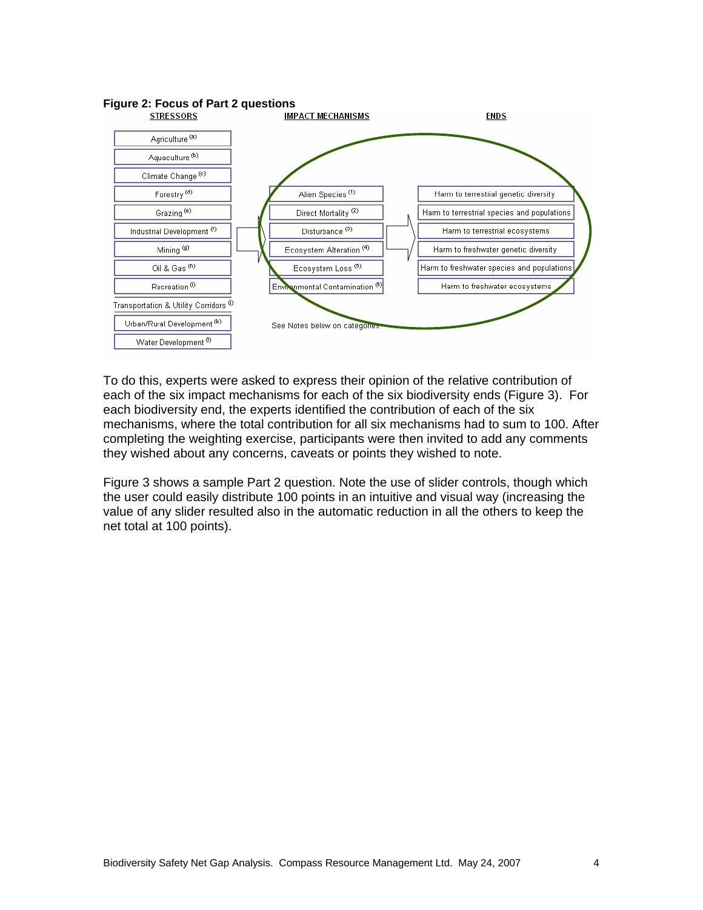

To do this, experts were asked to express their opinion of the relative contribution of each of the six impact mechanisms for each of the six biodiversity ends (Figure 3). For each biodiversity end, the experts identified the contribution of each of the six mechanisms, where the total contribution for all six mechanisms had to sum to 100. After completing the weighting exercise, participants were then invited to add any comments they wished about any concerns, caveats or points they wished to note.

Figure 3 shows a sample Part 2 question. Note the use of slider controls, though which the user could easily distribute 100 points in an intuitive and visual way (increasing the value of any slider resulted also in the automatic reduction in all the others to keep the net total at 100 points).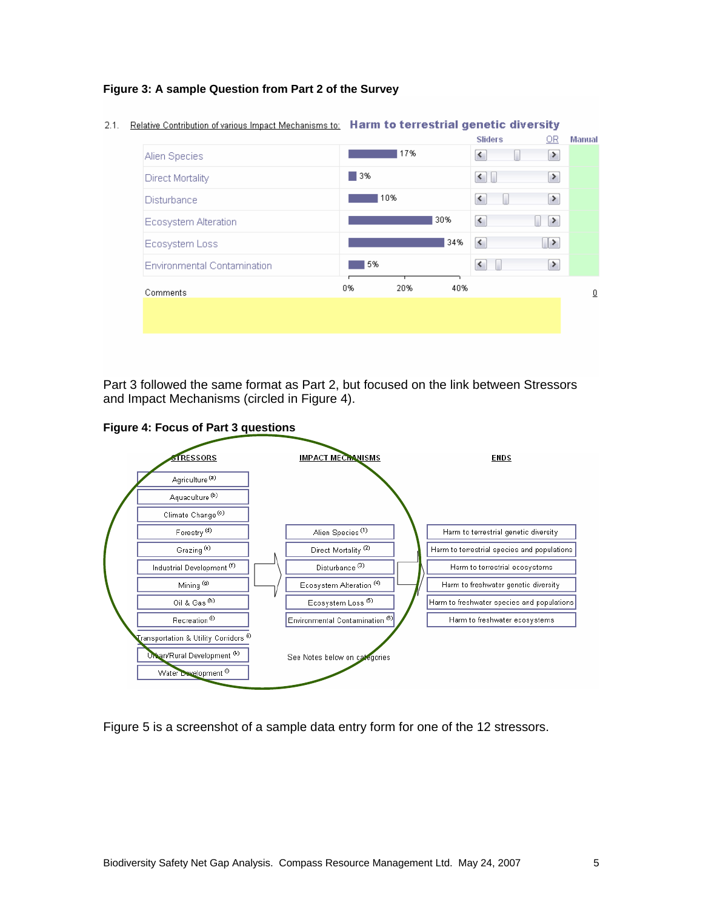#### **Figure 3: A sample Question from Part 2 of the Survey**

 $2.1.$ 

| <b>Relative Contribution of various Impact Mechanisms to:</b> | Harm to terrestrial genetic diversity |     |     |                              |               |               |
|---------------------------------------------------------------|---------------------------------------|-----|-----|------------------------------|---------------|---------------|
|                                                               |                                       |     |     | <b>Sliders</b>               | OR.           | <b>Manual</b> |
| Alien Species                                                 |                                       | 17% |     | K                            | ≯             |               |
| Direct Mortality                                              | 3%                                    |     |     | $\vert$ < $\vert$            | $\rightarrow$ |               |
| <b>Disturbance</b>                                            |                                       | 10% |     | $\leq$                       | $\rightarrow$ |               |
| Ecosystem Alteration                                          |                                       |     | 30% | $\left\langle \right\rangle$ | ≯             |               |
| Ecosystem Loss                                                |                                       |     | 34% | к                            | $\rightarrow$ |               |
| Environmental Contamination                                   | 5%                                    |     |     | $\blacktriangleleft$         | $\rightarrow$ |               |
| Comments                                                      | 0%                                    | 20% | 40% |                              |               | ₫             |
|                                                               |                                       |     |     |                              |               |               |
|                                                               |                                       |     |     |                              |               |               |
|                                                               |                                       |     |     |                              |               |               |

Part 3 followed the same format as Part 2, but focused on the link between Stressors and Impact Mechanisms (circled in Figure 4).

**Figure 4: Focus of Part 3 questions** 



Figure 5 is a screenshot of a sample data entry form for one of the 12 stressors.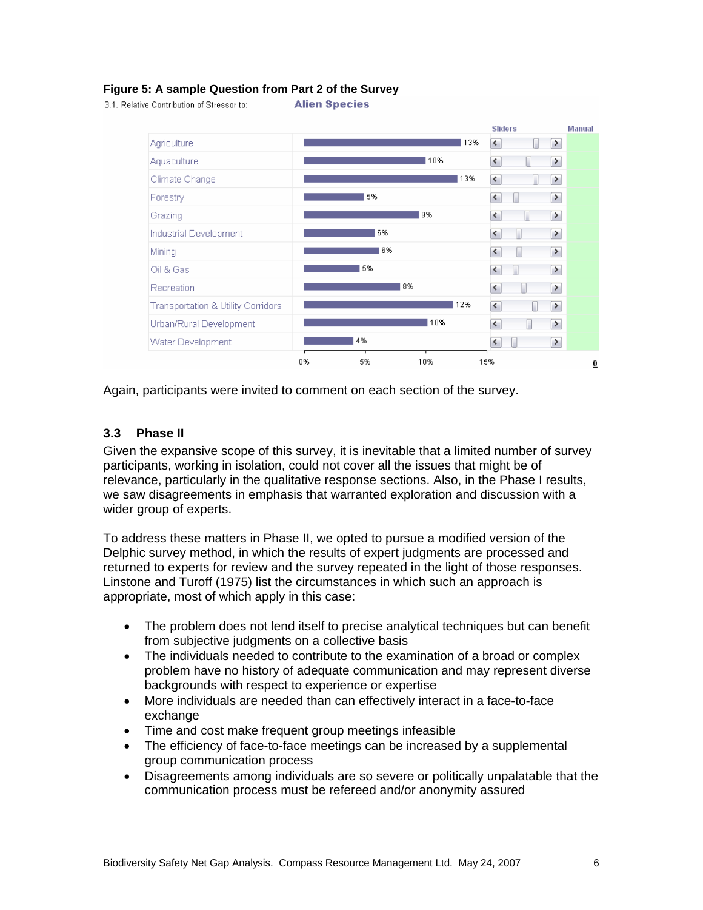#### **Figure 5: A sample Question from Part 2 of the Survey**

**Alien Species** 3.1. Relative Contribution of Stressor to:



Again, participants were invited to comment on each section of the survey.

#### **3.3 Phase II**

Given the expansive scope of this survey, it is inevitable that a limited number of survey participants, working in isolation, could not cover all the issues that might be of relevance, particularly in the qualitative response sections. Also, in the Phase I results, we saw disagreements in emphasis that warranted exploration and discussion with a wider group of experts.

To address these matters in Phase II, we opted to pursue a modified version of the Delphic survey method, in which the results of expert judgments are processed and returned to experts for review and the survey repeated in the light of those responses. Linstone and Turoff (1975) list the circumstances in which such an approach is appropriate, most of which apply in this case:

- The problem does not lend itself to precise analytical techniques but can benefit from subjective judgments on a collective basis
- The individuals needed to contribute to the examination of a broad or complex problem have no history of adequate communication and may represent diverse backgrounds with respect to experience or expertise
- More individuals are needed than can effectively interact in a face-to-face exchange
- Time and cost make frequent group meetings infeasible
- The efficiency of face-to-face meetings can be increased by a supplemental group communication process
- Disagreements among individuals are so severe or politically unpalatable that the communication process must be refereed and/or anonymity assured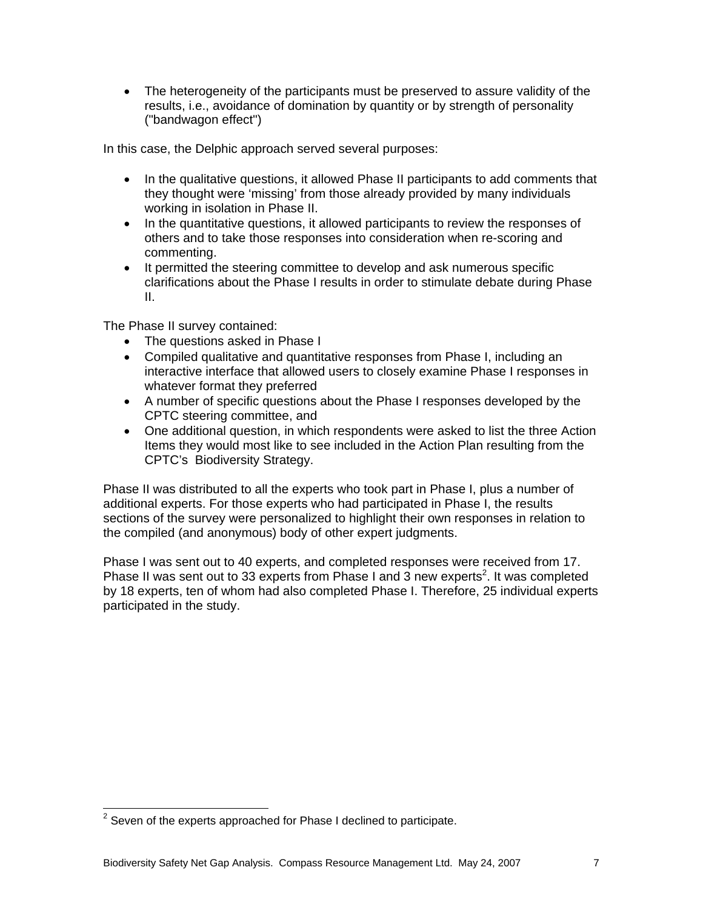• The heterogeneity of the participants must be preserved to assure validity of the results, i.e., avoidance of domination by quantity or by strength of personality ("bandwagon effect")

In this case, the Delphic approach served several purposes:

- In the qualitative questions, it allowed Phase II participants to add comments that they thought were 'missing' from those already provided by many individuals working in isolation in Phase II.
- In the quantitative questions, it allowed participants to review the responses of others and to take those responses into consideration when re-scoring and commenting.
- It permitted the steering committee to develop and ask numerous specific clarifications about the Phase I results in order to stimulate debate during Phase II.

The Phase II survey contained:

- The questions asked in Phase I
- Compiled qualitative and quantitative responses from Phase I, including an interactive interface that allowed users to closely examine Phase I responses in whatever format they preferred
- A number of specific questions about the Phase I responses developed by the CPTC steering committee, and
- One additional question, in which respondents were asked to list the three Action Items they would most like to see included in the Action Plan resulting from the CPTC's Biodiversity Strategy.

Phase II was distributed to all the experts who took part in Phase I, plus a number of additional experts. For those experts who had participated in Phase I, the results sections of the survey were personalized to highlight their own responses in relation to the compiled (and anonymous) body of other expert judgments.

Phase I was sent out to 40 experts, and completed responses were received from 17. Phase II was sent out to 33 experts from Phase I and 3 new experts<sup>2</sup>. It was completed by 18 experts, ten of whom had also completed Phase I. Therefore, 25 individual experts participated in the study.

<sup>————————————————————&</sup>lt;br><sup>2</sup> Seven of the experts approached for Phase I declined to participate.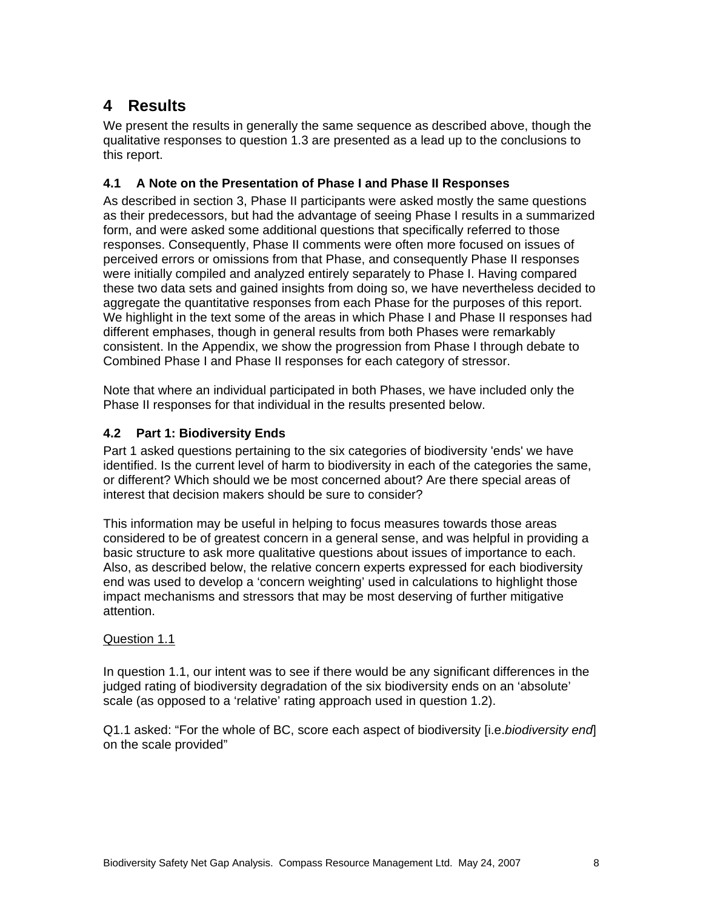## **4 Results**

We present the results in generally the same sequence as described above, though the qualitative responses to question 1.3 are presented as a lead up to the conclusions to this report.

#### **4.1 A Note on the Presentation of Phase I and Phase II Responses**

As described in section 3, Phase II participants were asked mostly the same questions as their predecessors, but had the advantage of seeing Phase I results in a summarized form, and were asked some additional questions that specifically referred to those responses. Consequently, Phase II comments were often more focused on issues of perceived errors or omissions from that Phase, and consequently Phase II responses were initially compiled and analyzed entirely separately to Phase I. Having compared these two data sets and gained insights from doing so, we have nevertheless decided to aggregate the quantitative responses from each Phase for the purposes of this report. We highlight in the text some of the areas in which Phase I and Phase II responses had different emphases, though in general results from both Phases were remarkably consistent. In the Appendix, we show the progression from Phase I through debate to Combined Phase I and Phase II responses for each category of stressor.

Note that where an individual participated in both Phases, we have included only the Phase II responses for that individual in the results presented below.

#### **4.2 Part 1: Biodiversity Ends**

Part 1 asked questions pertaining to the six categories of biodiversity 'ends' we have identified. Is the current level of harm to biodiversity in each of the categories the same, or different? Which should we be most concerned about? Are there special areas of interest that decision makers should be sure to consider?

This information may be useful in helping to focus measures towards those areas considered to be of greatest concern in a general sense, and was helpful in providing a basic structure to ask more qualitative questions about issues of importance to each. Also, as described below, the relative concern experts expressed for each biodiversity end was used to develop a 'concern weighting' used in calculations to highlight those impact mechanisms and stressors that may be most deserving of further mitigative attention.

#### Question 1.1

In question 1.1, our intent was to see if there would be any significant differences in the judged rating of biodiversity degradation of the six biodiversity ends on an 'absolute' scale (as opposed to a 'relative' rating approach used in question 1.2).

Q1.1 asked: "For the whole of BC, score each aspect of biodiversity [i.e.*biodiversity end*] on the scale provided"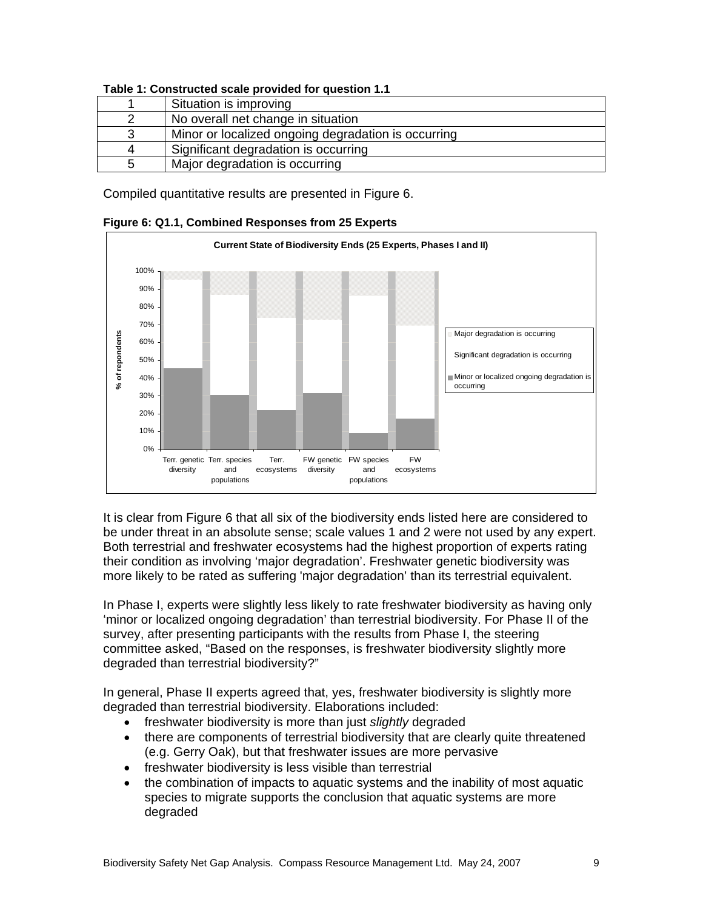|    | Situation is improving                              |  |  |  |
|----|-----------------------------------------------------|--|--|--|
|    | No overall net change in situation                  |  |  |  |
|    | Minor or localized ongoing degradation is occurring |  |  |  |
| Д  | Significant degradation is occurring                |  |  |  |
| :5 | Major degradation is occurring                      |  |  |  |

#### **Table 1: Constructed scale provided for question 1.1**

Compiled quantitative results are presented in Figure 6.



#### **Figure 6: Q1.1, Combined Responses from 25 Experts**

It is clear from Figure 6 that all six of the biodiversity ends listed here are considered to be under threat in an absolute sense; scale values 1 and 2 were not used by any expert. Both terrestrial and freshwater ecosystems had the highest proportion of experts rating their condition as involving 'major degradation'. Freshwater genetic biodiversity was more likely to be rated as suffering 'major degradation' than its terrestrial equivalent.

In Phase I, experts were slightly less likely to rate freshwater biodiversity as having only 'minor or localized ongoing degradation' than terrestrial biodiversity. For Phase II of the survey, after presenting participants with the results from Phase I, the steering committee asked, "Based on the responses, is freshwater biodiversity slightly more degraded than terrestrial biodiversity?"

In general, Phase II experts agreed that, yes, freshwater biodiversity is slightly more degraded than terrestrial biodiversity. Elaborations included:

- freshwater biodiversity is more than just *slightly* degraded
- there are components of terrestrial biodiversity that are clearly quite threatened (e.g. Gerry Oak), but that freshwater issues are more pervasive
- freshwater biodiversity is less visible than terrestrial
- the combination of impacts to aquatic systems and the inability of most aquatic species to migrate supports the conclusion that aquatic systems are more degraded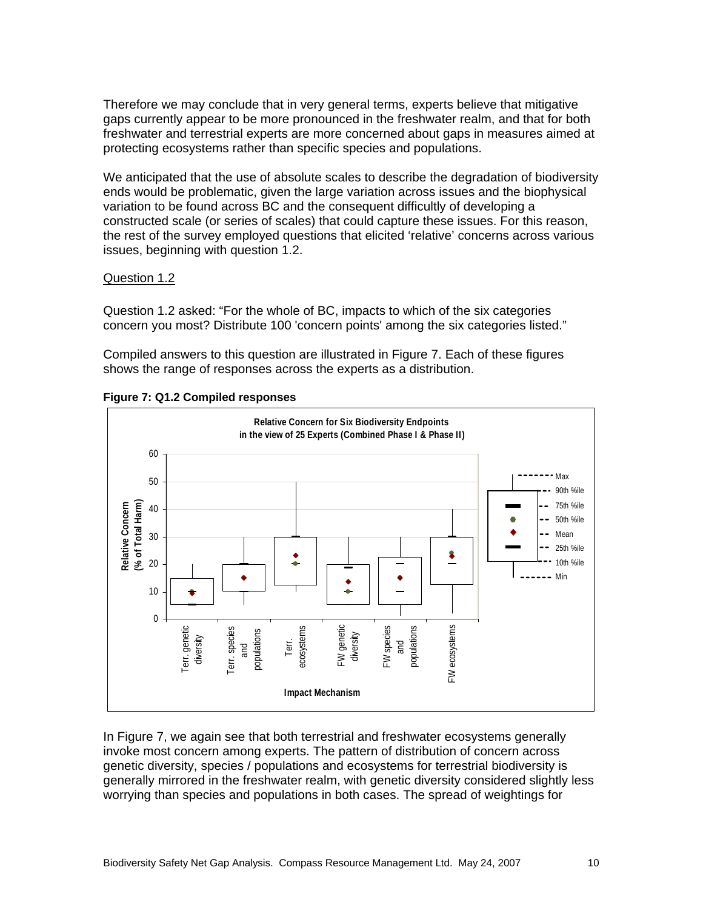Therefore we may conclude that in very general terms, experts believe that mitigative gaps currently appear to be more pronounced in the freshwater realm, and that for both freshwater and terrestrial experts are more concerned about gaps in measures aimed at protecting ecosystems rather than specific species and populations.

We anticipated that the use of absolute scales to describe the degradation of biodiversity ends would be problematic, given the large variation across issues and the biophysical variation to be found across BC and the consequent difficultly of developing a constructed scale (or series of scales) that could capture these issues. For this reason, the rest of the survey employed questions that elicited 'relative' concerns across various issues, beginning with question 1.2.

#### Question 1.2

Question 1.2 asked: "For the whole of BC, impacts to which of the six categories concern you most? Distribute 100 'concern points' among the six categories listed."

Compiled answers to this question are illustrated in Figure 7. Each of these figures shows the range of responses across the experts as a distribution.



**Figure 7: Q1.2 Compiled responses** 

In Figure 7, we again see that both terrestrial and freshwater ecosystems generally invoke most concern among experts. The pattern of distribution of concern across genetic diversity, species / populations and ecosystems for terrestrial biodiversity is generally mirrored in the freshwater realm, with genetic diversity considered slightly less worrying than species and populations in both cases. The spread of weightings for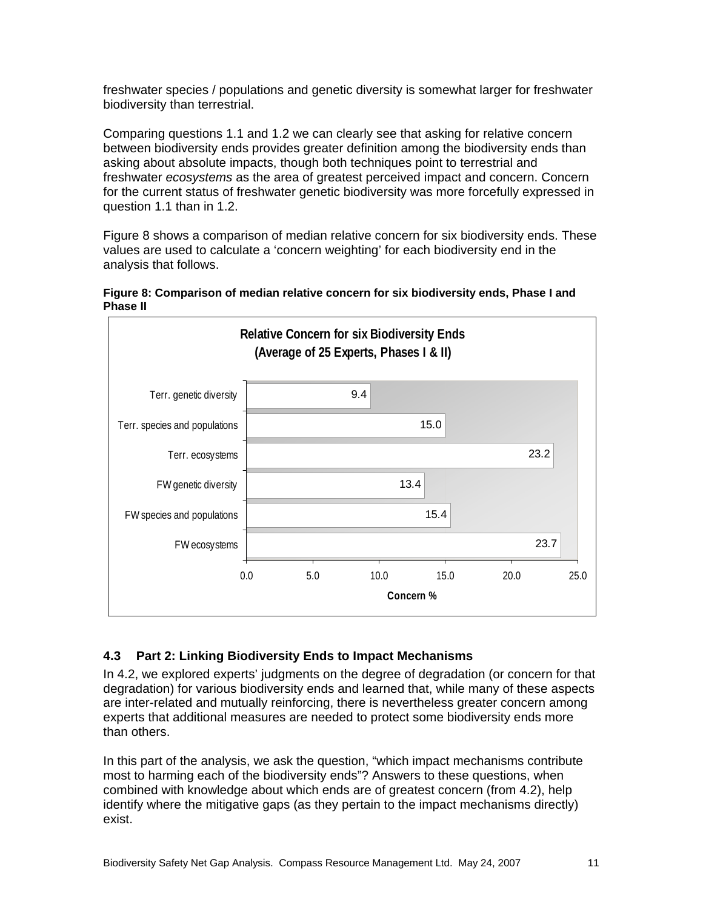freshwater species / populations and genetic diversity is somewhat larger for freshwater biodiversity than terrestrial.

Comparing questions 1.1 and 1.2 we can clearly see that asking for relative concern between biodiversity ends provides greater definition among the biodiversity ends than asking about absolute impacts, though both techniques point to terrestrial and freshwater *ecosystems* as the area of greatest perceived impact and concern. Concern for the current status of freshwater genetic biodiversity was more forcefully expressed in question 1.1 than in 1.2.

Figure 8 shows a comparison of median relative concern for six biodiversity ends. These values are used to calculate a 'concern weighting' for each biodiversity end in the analysis that follows.





#### **4.3 Part 2: Linking Biodiversity Ends to Impact Mechanisms**

In 4.2, we explored experts' judgments on the degree of degradation (or concern for that degradation) for various biodiversity ends and learned that, while many of these aspects are inter-related and mutually reinforcing, there is nevertheless greater concern among experts that additional measures are needed to protect some biodiversity ends more than others.

In this part of the analysis, we ask the question, "which impact mechanisms contribute most to harming each of the biodiversity ends"? Answers to these questions, when combined with knowledge about which ends are of greatest concern (from 4.2), help identify where the mitigative gaps (as they pertain to the impact mechanisms directly) exist.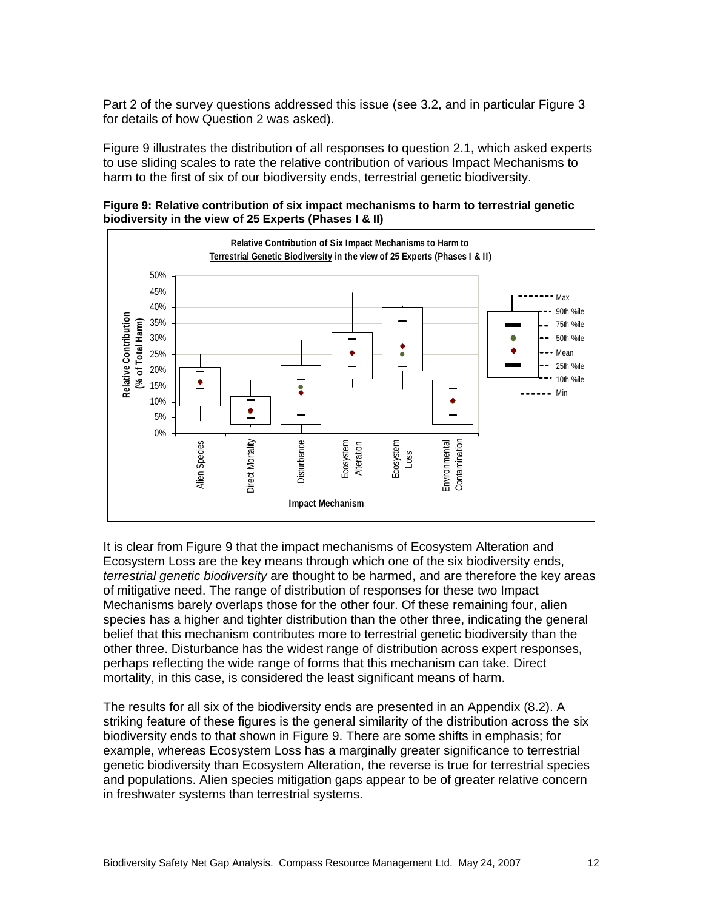Part 2 of the survey questions addressed this issue (see 3.2, and in particular Figure 3 for details of how Question 2 was asked).

Figure 9 illustrates the distribution of all responses to question 2.1, which asked experts to use sliding scales to rate the relative contribution of various Impact Mechanisms to harm to the first of six of our biodiversity ends, terrestrial genetic biodiversity.

**Figure 9: Relative contribution of six impact mechanisms to harm to terrestrial genetic biodiversity in the view of 25 Experts (Phases I & II)** 



It is clear from Figure 9 that the impact mechanisms of Ecosystem Alteration and Ecosystem Loss are the key means through which one of the six biodiversity ends, *terrestrial genetic biodiversity* are thought to be harmed, and are therefore the key areas of mitigative need. The range of distribution of responses for these two Impact Mechanisms barely overlaps those for the other four. Of these remaining four, alien species has a higher and tighter distribution than the other three, indicating the general belief that this mechanism contributes more to terrestrial genetic biodiversity than the other three. Disturbance has the widest range of distribution across expert responses, perhaps reflecting the wide range of forms that this mechanism can take. Direct mortality, in this case, is considered the least significant means of harm.

The results for all six of the biodiversity ends are presented in an Appendix (8.2). A striking feature of these figures is the general similarity of the distribution across the six biodiversity ends to that shown in Figure 9. There are some shifts in emphasis; for example, whereas Ecosystem Loss has a marginally greater significance to terrestrial genetic biodiversity than Ecosystem Alteration, the reverse is true for terrestrial species and populations. Alien species mitigation gaps appear to be of greater relative concern in freshwater systems than terrestrial systems.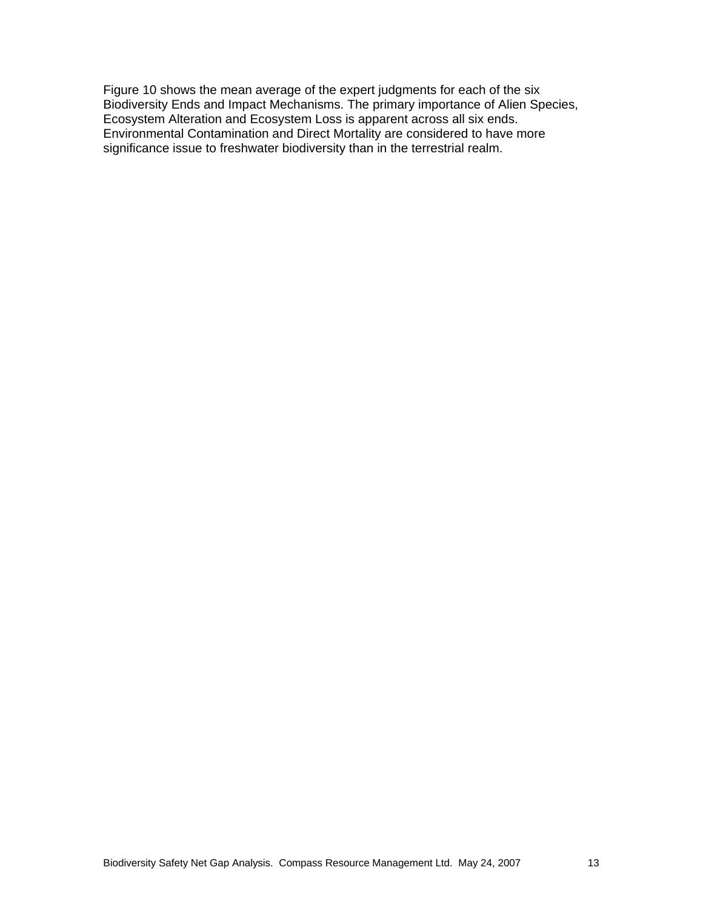Figure 10 shows the mean average of the expert judgments for each of the six Biodiversity Ends and Impact Mechanisms. The primary importance of Alien Species, Ecosystem Alteration and Ecosystem Loss is apparent across all six ends. Environmental Contamination and Direct Mortality are considered to have more significance issue to freshwater biodiversity than in the terrestrial realm.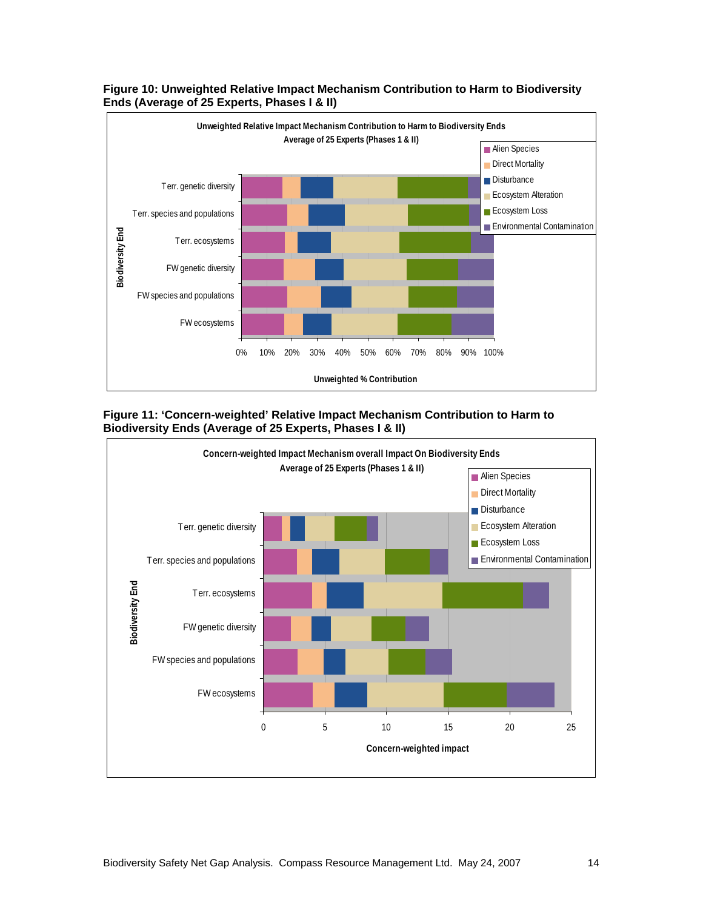



**Figure 11: 'Concern-weighted' Relative Impact Mechanism Contribution to Harm to Biodiversity Ends (Average of 25 Experts, Phases I & II)** 

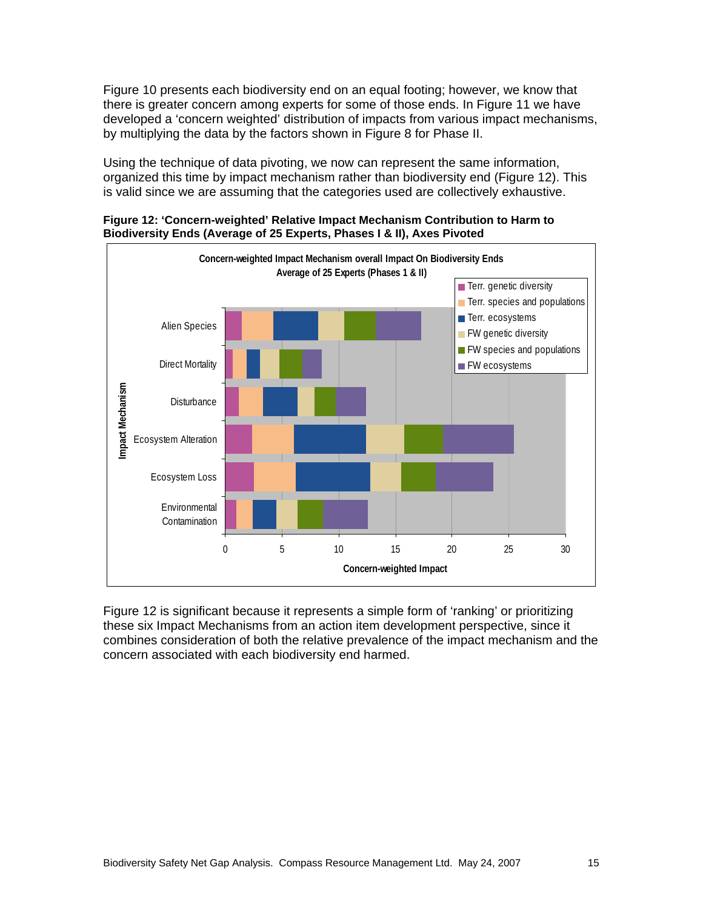Figure 10 presents each biodiversity end on an equal footing; however, we know that there is greater concern among experts for some of those ends. In Figure 11 we have developed a 'concern weighted' distribution of impacts from various impact mechanisms, by multiplying the data by the factors shown in Figure 8 for Phase II.

Using the technique of data pivoting, we now can represent the same information, organized this time by impact mechanism rather than biodiversity end (Figure 12). This is valid since we are assuming that the categories used are collectively exhaustive.



**Figure 12: 'Concern-weighted' Relative Impact Mechanism Contribution to Harm to Biodiversity Ends (Average of 25 Experts, Phases I & II), Axes Pivoted** 

Figure 12 is significant because it represents a simple form of 'ranking' or prioritizing these six Impact Mechanisms from an action item development perspective, since it combines consideration of both the relative prevalence of the impact mechanism and the concern associated with each biodiversity end harmed.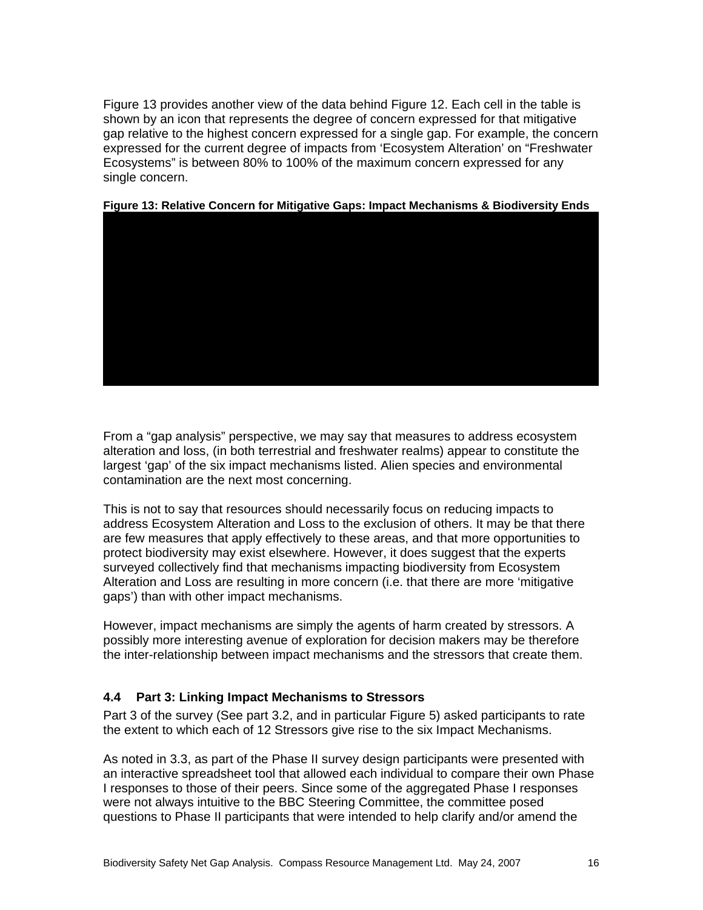Figure 13 provides another view of the data behind Figure 12. Each cell in the table is shown by an icon that represents the degree of concern expressed for that mitigative gap relative to the highest concern expressed for a single gap. For example, the concern expressed for the current degree of impacts from 'Ecosystem Alteration' on "Freshwater Ecosystems" is between 80% to 100% of the maximum concern expressed for any single concern.



#### **Figure 13: Relative Concern for Mitigative Gaps: Impact Mechanisms & Biodiversity Ends**

From a "gap analysis" perspective, we may say that measures to address ecosystem alteration and loss, (in both terrestrial and freshwater realms) appear to constitute the largest 'gap' of the six impact mechanisms listed. Alien species and environmental contamination are the next most concerning.

This is not to say that resources should necessarily focus on reducing impacts to address Ecosystem Alteration and Loss to the exclusion of others. It may be that there are few measures that apply effectively to these areas, and that more opportunities to protect biodiversity may exist elsewhere. However, it does suggest that the experts surveyed collectively find that mechanisms impacting biodiversity from Ecosystem Alteration and Loss are resulting in more concern (i.e. that there are more 'mitigative gaps') than with other impact mechanisms.

However, impact mechanisms are simply the agents of harm created by stressors. A possibly more interesting avenue of exploration for decision makers may be therefore the inter-relationship between impact mechanisms and the stressors that create them.

#### **4.4 Part 3: Linking Impact Mechanisms to Stressors**

Part 3 of the survey (See part 3.2, and in particular Figure 5) asked participants to rate the extent to which each of 12 Stressors give rise to the six Impact Mechanisms.

As noted in 3.3, as part of the Phase II survey design participants were presented with an interactive spreadsheet tool that allowed each individual to compare their own Phase I responses to those of their peers. Since some of the aggregated Phase I responses were not always intuitive to the BBC Steering Committee, the committee posed questions to Phase II participants that were intended to help clarify and/or amend the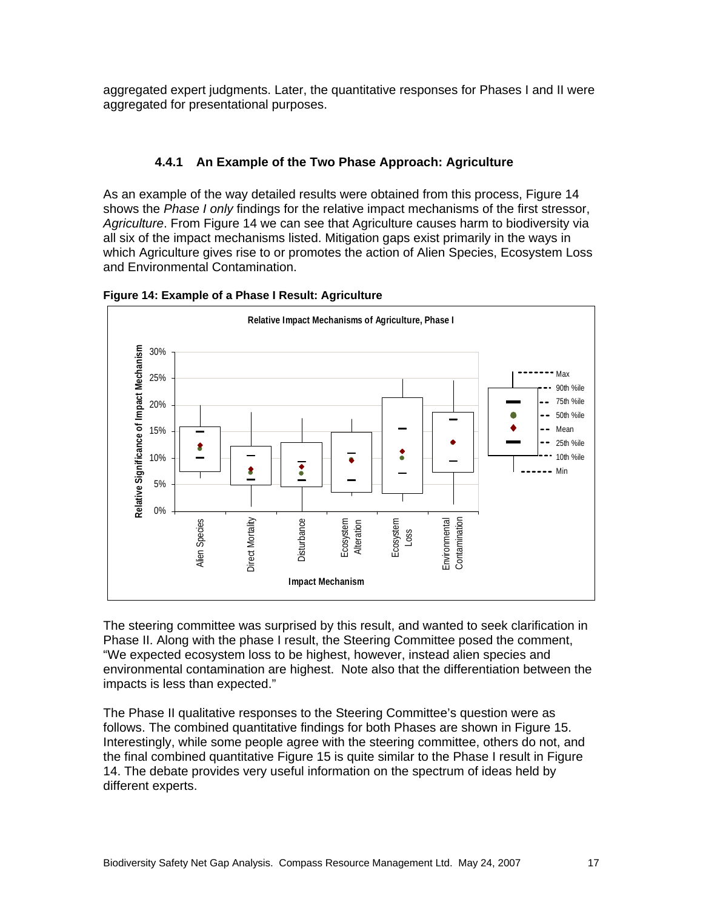aggregated expert judgments. Later, the quantitative responses for Phases I and II were aggregated for presentational purposes.

#### **4.4.1 An Example of the Two Phase Approach: Agriculture**

As an example of the way detailed results were obtained from this process, Figure 14 shows the *Phase I only* findings for the relative impact mechanisms of the first stressor, *Agriculture*. From Figure 14 we can see that Agriculture causes harm to biodiversity via all six of the impact mechanisms listed. Mitigation gaps exist primarily in the ways in which Agriculture gives rise to or promotes the action of Alien Species, Ecosystem Loss and Environmental Contamination.



**Figure 14: Example of a Phase I Result: Agriculture** 

The steering committee was surprised by this result, and wanted to seek clarification in Phase II. Along with the phase I result, the Steering Committee posed the comment, "We expected ecosystem loss to be highest, however, instead alien species and environmental contamination are highest. Note also that the differentiation between the impacts is less than expected."

The Phase II qualitative responses to the Steering Committee's question were as follows. The combined quantitative findings for both Phases are shown in Figure 15. Interestingly, while some people agree with the steering committee, others do not, and the final combined quantitative Figure 15 is quite similar to the Phase I result in Figure 14. The debate provides very useful information on the spectrum of ideas held by different experts.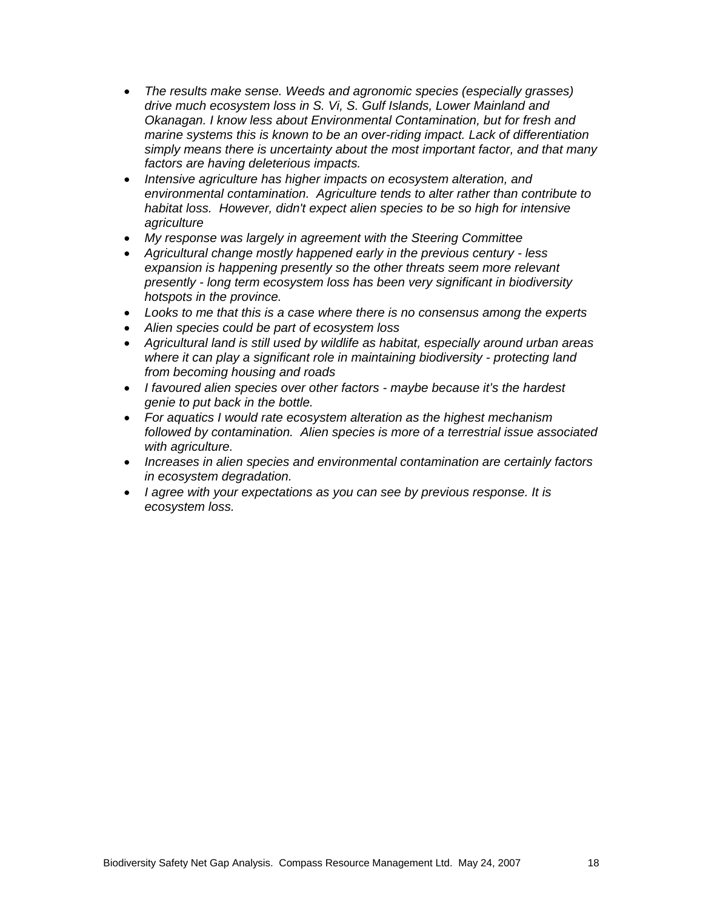- *The results make sense. Weeds and agronomic species (especially grasses) drive much ecosystem loss in S. Vi, S. Gulf Islands, Lower Mainland and Okanagan. I know less about Environmental Contamination, but for fresh and marine systems this is known to be an over-riding impact. Lack of differentiation simply means there is uncertainty about the most important factor, and that many factors are having deleterious impacts.*
- *Intensive agriculture has higher impacts on ecosystem alteration, and environmental contamination. Agriculture tends to alter rather than contribute to habitat loss. However, didn't expect alien species to be so high for intensive agriculture*
- *My response was largely in agreement with the Steering Committee*
- *Agricultural change mostly happened early in the previous century less expansion is happening presently so the other threats seem more relevant presently - long term ecosystem loss has been very significant in biodiversity hotspots in the province.*
- *Looks to me that this is a case where there is no consensus among the experts*
- *Alien species could be part of ecosystem loss*
- *Agricultural land is still used by wildlife as habitat, especially around urban areas where it can play a significant role in maintaining biodiversity - protecting land from becoming housing and roads*
- *I favoured alien species over other factors maybe because it's the hardest genie to put back in the bottle.*
- *For aquatics I would rate ecosystem alteration as the highest mechanism followed by contamination. Alien species is more of a terrestrial issue associated with agriculture.*
- *Increases in alien species and environmental contamination are certainly factors in ecosystem degradation.*
- *I agree with your expectations as you can see by previous response. It is ecosystem loss.*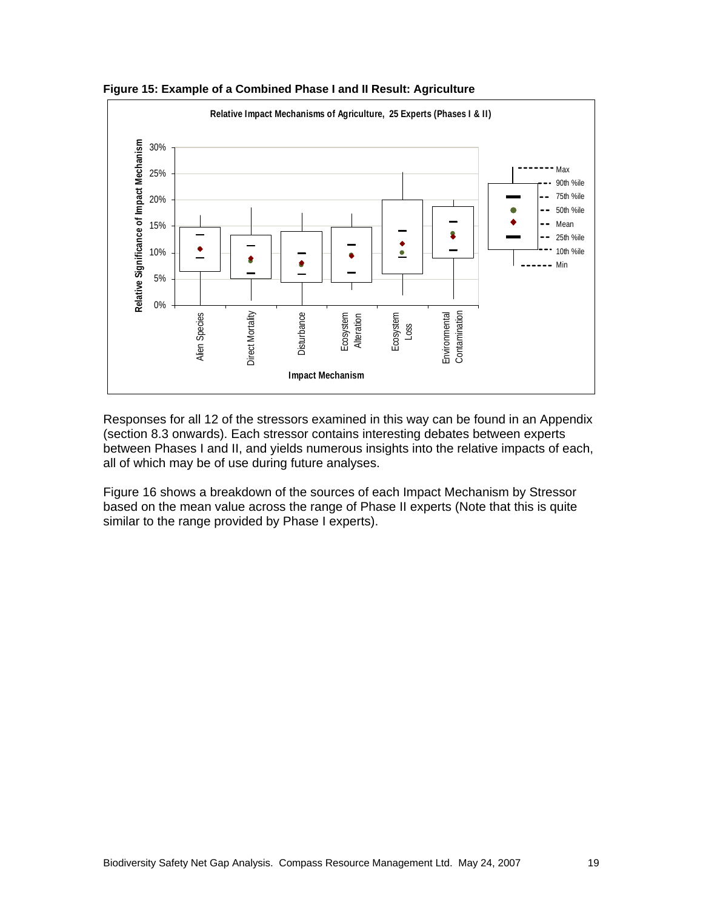

**Figure 15: Example of a Combined Phase I and II Result: Agriculture** 

Responses for all 12 of the stressors examined in this way can be found in an Appendix (section 8.3 onwards). Each stressor contains interesting debates between experts between Phases I and II, and yields numerous insights into the relative impacts of each, all of which may be of use during future analyses.

Figure 16 shows a breakdown of the sources of each Impact Mechanism by Stressor based on the mean value across the range of Phase II experts (Note that this is quite similar to the range provided by Phase I experts).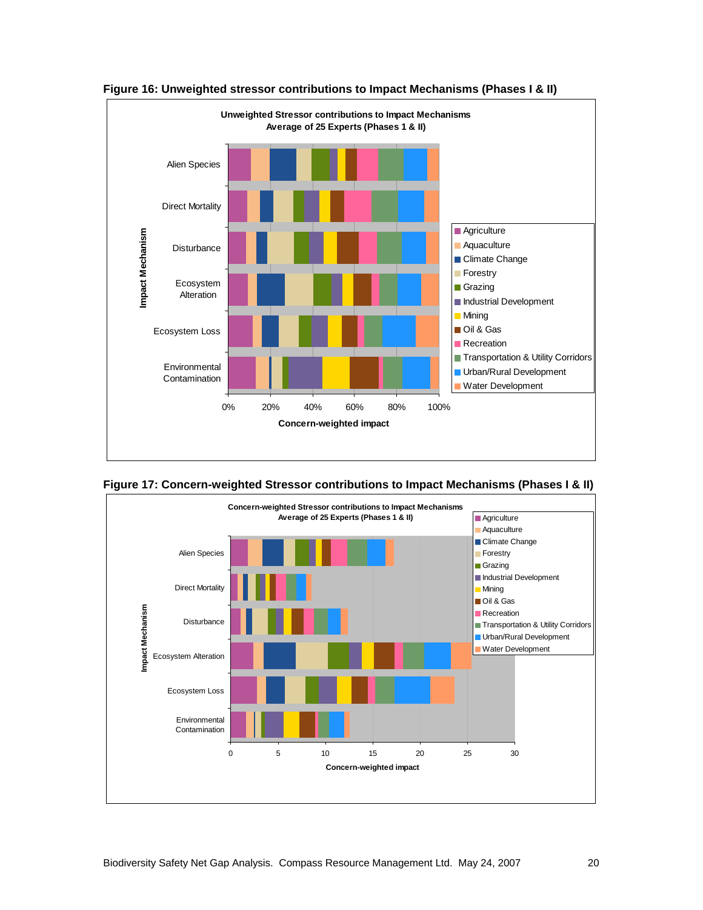

**Figure 16: Unweighted stressor contributions to Impact Mechanisms (Phases I & II)** 

**Figure 17: Concern-weighted Stressor contributions to Impact Mechanisms (Phases I & II)** 

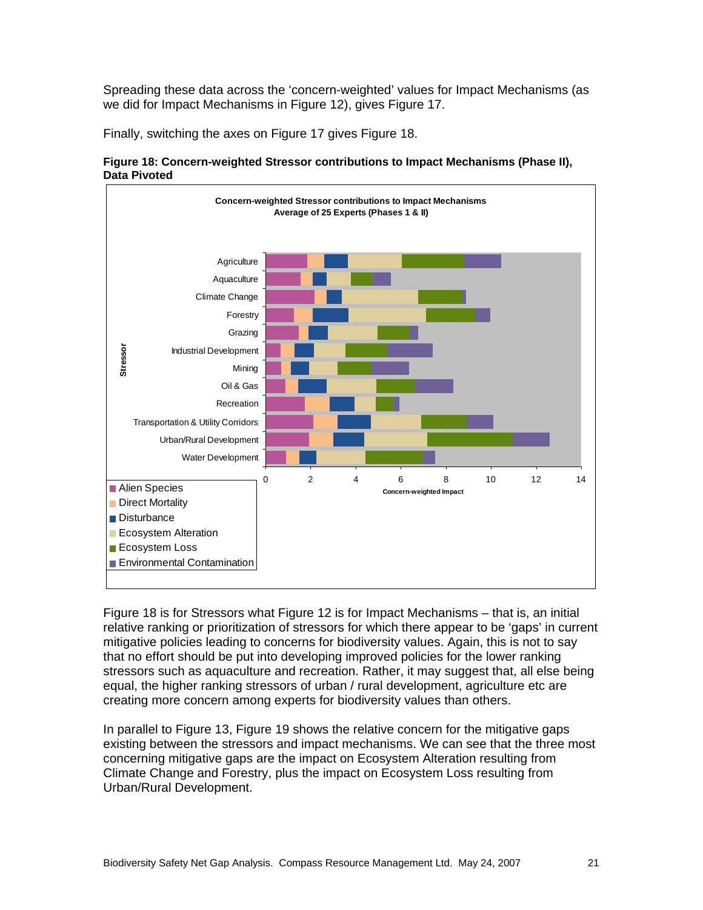Spreading these data across the 'concern-weighted' values for Impact Mechanisms (as we did for Impact Mechanisms in Figure 12), gives Figure 17.

Finally, switching the axes on Figure 17 gives Figure 18.



**Figure 18: Concern-weighted Stressor contributions to Impact Mechanisms (Phase II), Data Pivoted** 

Figure 18 is for Stressors what Figure 12 is for Impact Mechanisms – that is, an initial relative ranking or prioritization of stressors for which there appear to be 'gaps' in current mitigative policies leading to concerns for biodiversity values. Again, this is not to say that no effort should be put into developing improved policies for the lower ranking stressors such as aquaculture and recreation. Rather, it may suggest that, all else being equal, the higher ranking stressors of urban / rural development, agriculture etc are creating more concern among experts for biodiversity values than others.

In parallel to Figure 13, Figure 19 shows the relative concern for the mitigative gaps existing between the stressors and impact mechanisms. We can see that the three most concerning mitigative gaps are the impact on Ecosystem Alteration resulting from Climate Change and Forestry, plus the impact on Ecosystem Loss resulting from Urban/Rural Development.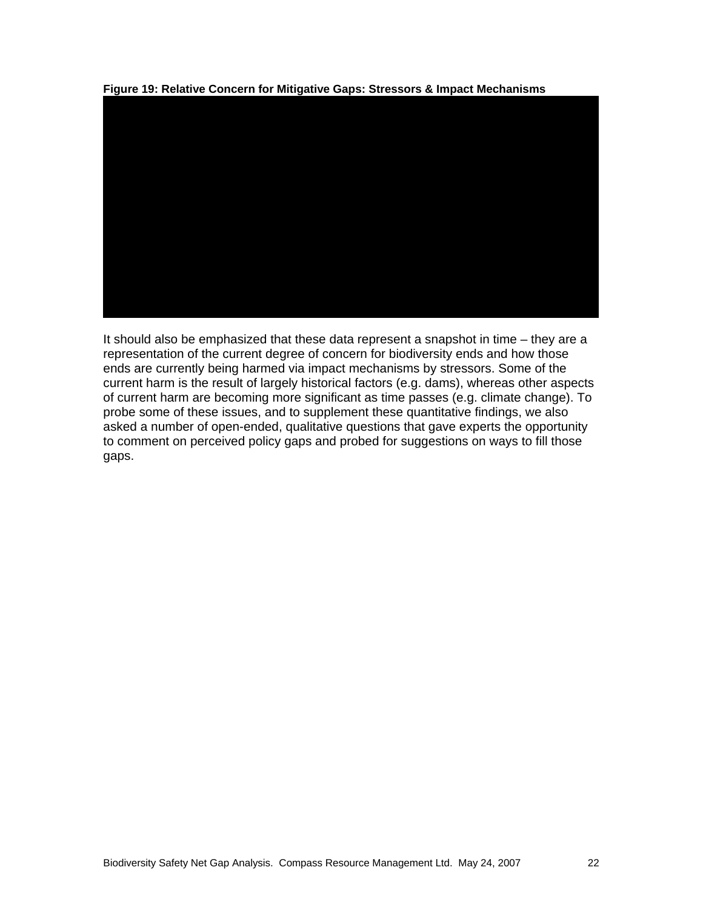

**Figure 19: Relative Concern for Mitigative Gaps: Stressors & Impact Mechanisms** 

It should also be emphasized that these data represent a snapshot in time – they are a representation of the current degree of concern for biodiversity ends and how those ends are currently being harmed via impact mechanisms by stressors. Some of the current harm is the result of largely historical factors (e.g. dams), whereas other aspects of current harm are becoming more significant as time passes (e.g. climate change). To probe some of these issues, and to supplement these quantitative findings, we also asked a number of open-ended, qualitative questions that gave experts the opportunity to comment on perceived policy gaps and probed for suggestions on ways to fill those gaps.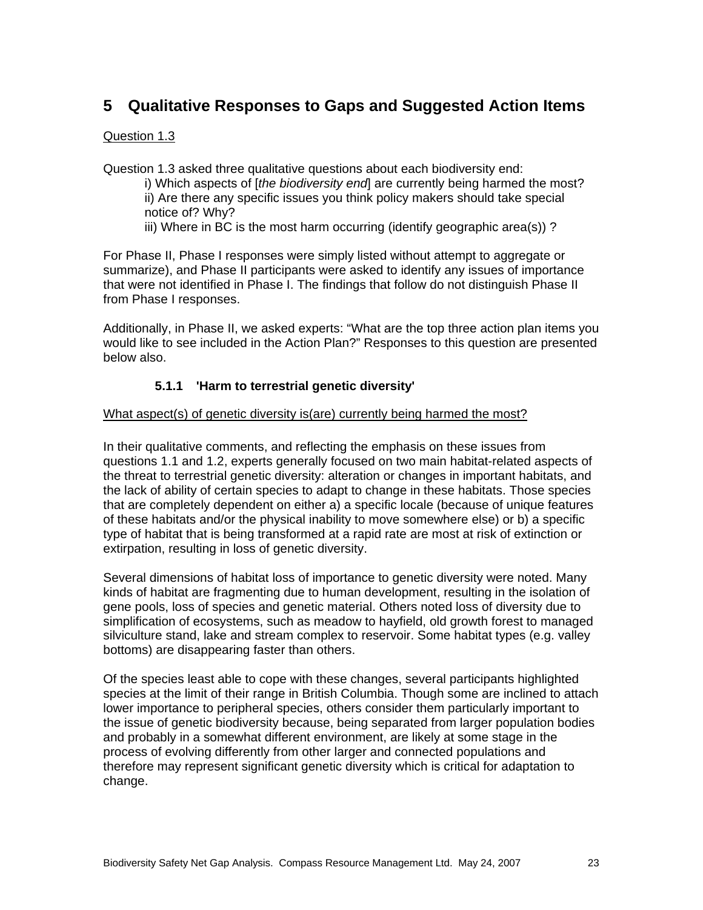## **5 Qualitative Responses to Gaps and Suggested Action Items**

#### Question 1.3

Question 1.3 asked three qualitative questions about each biodiversity end:

- i) Which aspects of [*the biodiversity end*] are currently being harmed the most? ii) Are there any specific issues you think policy makers should take special notice of? Why?
- iii) Where in BC is the most harm occurring (identify geographic area(s)) ?

For Phase II, Phase I responses were simply listed without attempt to aggregate or summarize), and Phase II participants were asked to identify any issues of importance that were not identified in Phase I. The findings that follow do not distinguish Phase II from Phase I responses.

Additionally, in Phase II, we asked experts: "What are the top three action plan items you would like to see included in the Action Plan?" Responses to this question are presented below also.

#### **5.1.1 'Harm to terrestrial genetic diversity'**

#### What aspect(s) of genetic diversity is(are) currently being harmed the most?

In their qualitative comments, and reflecting the emphasis on these issues from questions 1.1 and 1.2, experts generally focused on two main habitat-related aspects of the threat to terrestrial genetic diversity: alteration or changes in important habitats, and the lack of ability of certain species to adapt to change in these habitats. Those species that are completely dependent on either a) a specific locale (because of unique features of these habitats and/or the physical inability to move somewhere else) or b) a specific type of habitat that is being transformed at a rapid rate are most at risk of extinction or extirpation, resulting in loss of genetic diversity.

Several dimensions of habitat loss of importance to genetic diversity were noted. Many kinds of habitat are fragmenting due to human development, resulting in the isolation of gene pools, loss of species and genetic material. Others noted loss of diversity due to simplification of ecosystems, such as meadow to hayfield, old growth forest to managed silviculture stand, lake and stream complex to reservoir. Some habitat types (e.g. valley bottoms) are disappearing faster than others.

Of the species least able to cope with these changes, several participants highlighted species at the limit of their range in British Columbia. Though some are inclined to attach lower importance to peripheral species, others consider them particularly important to the issue of genetic biodiversity because, being separated from larger population bodies and probably in a somewhat different environment, are likely at some stage in the process of evolving differently from other larger and connected populations and therefore may represent significant genetic diversity which is critical for adaptation to change.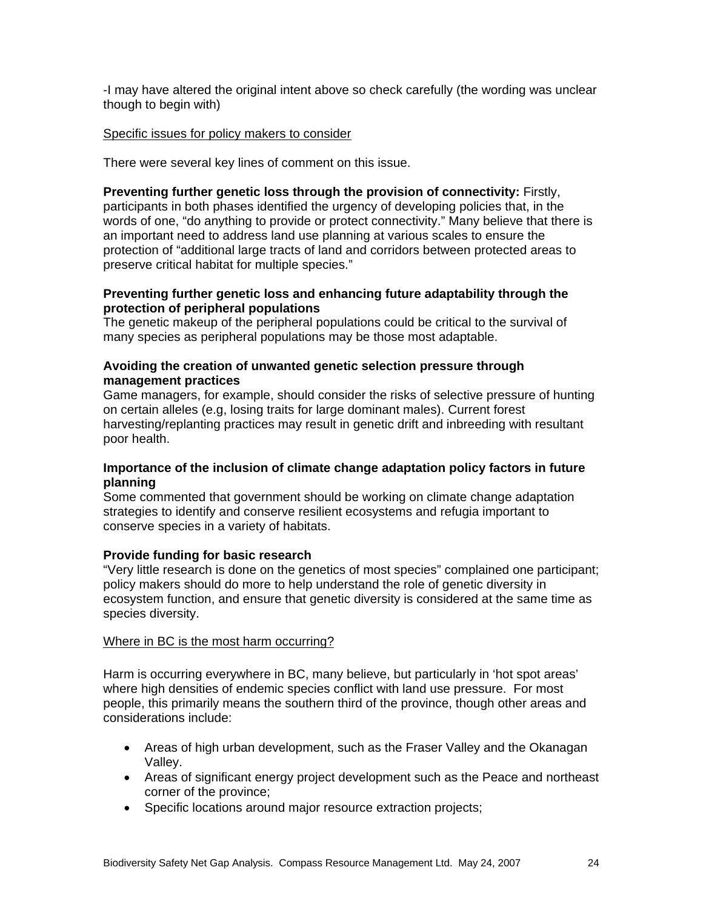-I may have altered the original intent above so check carefully (the wording was unclear though to begin with)

#### Specific issues for policy makers to consider

There were several key lines of comment on this issue.

**Preventing further genetic loss through the provision of connectivity:** Firstly, participants in both phases identified the urgency of developing policies that, in the words of one, "do anything to provide or protect connectivity." Many believe that there is an important need to address land use planning at various scales to ensure the protection of "additional large tracts of land and corridors between protected areas to preserve critical habitat for multiple species."

#### **Preventing further genetic loss and enhancing future adaptability through the protection of peripheral populations**

The genetic makeup of the peripheral populations could be critical to the survival of many species as peripheral populations may be those most adaptable.

#### **Avoiding the creation of unwanted genetic selection pressure through management practices**

Game managers, for example, should consider the risks of selective pressure of hunting on certain alleles (e.g, losing traits for large dominant males). Current forest harvesting/replanting practices may result in genetic drift and inbreeding with resultant poor health.

#### **Importance of the inclusion of climate change adaptation policy factors in future planning**

Some commented that government should be working on climate change adaptation strategies to identify and conserve resilient ecosystems and refugia important to conserve species in a variety of habitats.

#### **Provide funding for basic research**

"Very little research is done on the genetics of most species" complained one participant; policy makers should do more to help understand the role of genetic diversity in ecosystem function, and ensure that genetic diversity is considered at the same time as species diversity.

#### Where in BC is the most harm occurring?

Harm is occurring everywhere in BC, many believe, but particularly in 'hot spot areas' where high densities of endemic species conflict with land use pressure. For most people, this primarily means the southern third of the province, though other areas and considerations include:

- Areas of high urban development, such as the Fraser Valley and the Okanagan Valley.
- Areas of significant energy project development such as the Peace and northeast corner of the province;
- Specific locations around major resource extraction projects;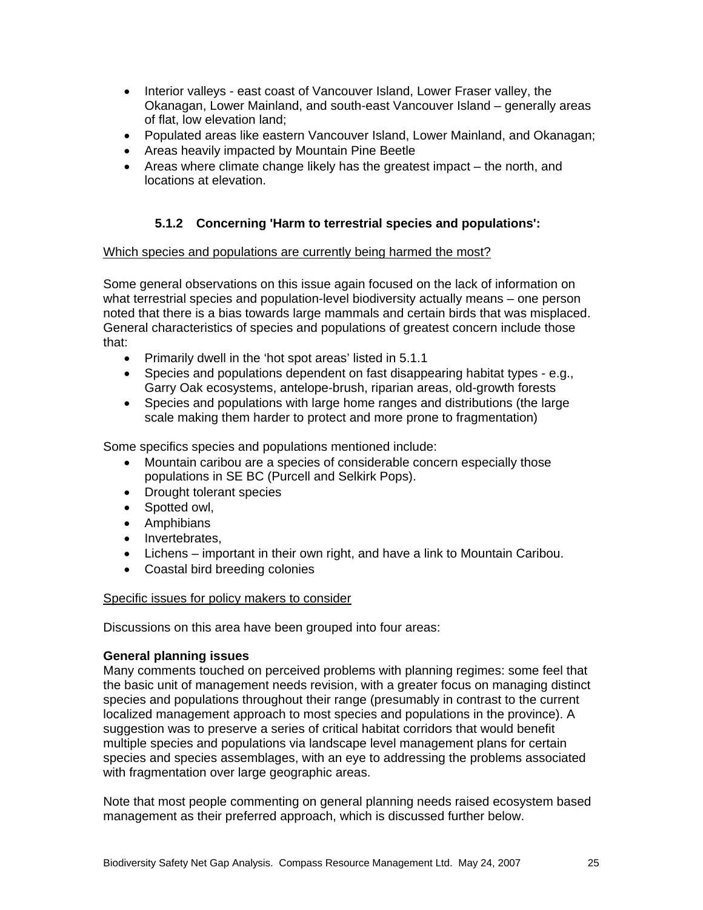- Interior valleys east coast of Vancouver Island, Lower Fraser valley, the Okanagan, Lower Mainland, and south-east Vancouver Island – generally areas of flat, low elevation land;
- Populated areas like eastern Vancouver Island, Lower Mainland, and Okanagan;
- Areas heavily impacted by Mountain Pine Beetle
- Areas where climate change likely has the greatest impact the north, and locations at elevation.

#### **5.1.2 Concerning 'Harm to terrestrial species and populations':**

#### Which species and populations are currently being harmed the most?

Some general observations on this issue again focused on the lack of information on what terrestrial species and population-level biodiversity actually means – one person noted that there is a bias towards large mammals and certain birds that was misplaced. General characteristics of species and populations of greatest concern include those that:

- Primarily dwell in the 'hot spot areas' listed in 5.1.1
- Species and populations dependent on fast disappearing habitat types e.g., Garry Oak ecosystems, antelope-brush, riparian areas, old-growth forests
- Species and populations with large home ranges and distributions (the large scale making them harder to protect and more prone to fragmentation)

Some specifics species and populations mentioned include:

- Mountain caribou are a species of considerable concern especially those populations in SE BC (Purcell and Selkirk Pops).
- Drought tolerant species
- Spotted owl,
- Amphibians
- Invertebrates,
- Lichens important in their own right, and have a link to Mountain Caribou.
- Coastal bird breeding colonies

#### Specific issues for policy makers to consider

Discussions on this area have been grouped into four areas:

#### **General planning issues**

Many comments touched on perceived problems with planning regimes: some feel that the basic unit of management needs revision, with a greater focus on managing distinct species and populations throughout their range (presumably in contrast to the current localized management approach to most species and populations in the province). A suggestion was to preserve a series of critical habitat corridors that would benefit multiple species and populations via landscape level management plans for certain species and species assemblages, with an eye to addressing the problems associated with fragmentation over large geographic areas.

Note that most people commenting on general planning needs raised ecosystem based management as their preferred approach, which is discussed further below.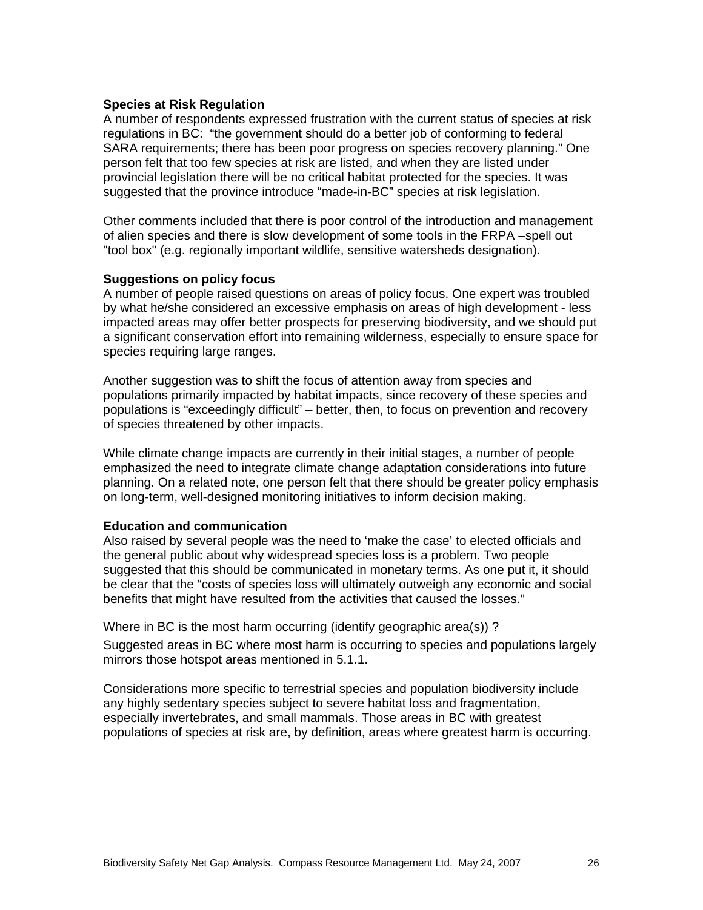#### **Species at Risk Regulation**

A number of respondents expressed frustration with the current status of species at risk regulations in BC: "the government should do a better job of conforming to federal SARA requirements; there has been poor progress on species recovery planning." One person felt that too few species at risk are listed, and when they are listed under provincial legislation there will be no critical habitat protected for the species. It was suggested that the province introduce "made-in-BC" species at risk legislation.

Other comments included that there is poor control of the introduction and management of alien species and there is slow development of some tools in the FRPA –spell out "tool box" (e.g. regionally important wildlife, sensitive watersheds designation).

#### **Suggestions on policy focus**

A number of people raised questions on areas of policy focus. One expert was troubled by what he/she considered an excessive emphasis on areas of high development - less impacted areas may offer better prospects for preserving biodiversity, and we should put a significant conservation effort into remaining wilderness, especially to ensure space for species requiring large ranges.

Another suggestion was to shift the focus of attention away from species and populations primarily impacted by habitat impacts, since recovery of these species and populations is "exceedingly difficult" – better, then, to focus on prevention and recovery of species threatened by other impacts.

While climate change impacts are currently in their initial stages, a number of people emphasized the need to integrate climate change adaptation considerations into future planning. On a related note, one person felt that there should be greater policy emphasis on long-term, well-designed monitoring initiatives to inform decision making.

#### **Education and communication**

Also raised by several people was the need to 'make the case' to elected officials and the general public about why widespread species loss is a problem. Two people suggested that this should be communicated in monetary terms. As one put it, it should be clear that the "costs of species loss will ultimately outweigh any economic and social benefits that might have resulted from the activities that caused the losses."

#### Where in BC is the most harm occurring (identify geographic area(s)) ?

Suggested areas in BC where most harm is occurring to species and populations largely mirrors those hotspot areas mentioned in 5.1.1.

Considerations more specific to terrestrial species and population biodiversity include any highly sedentary species subject to severe habitat loss and fragmentation, especially invertebrates, and small mammals. Those areas in BC with greatest populations of species at risk are, by definition, areas where greatest harm is occurring.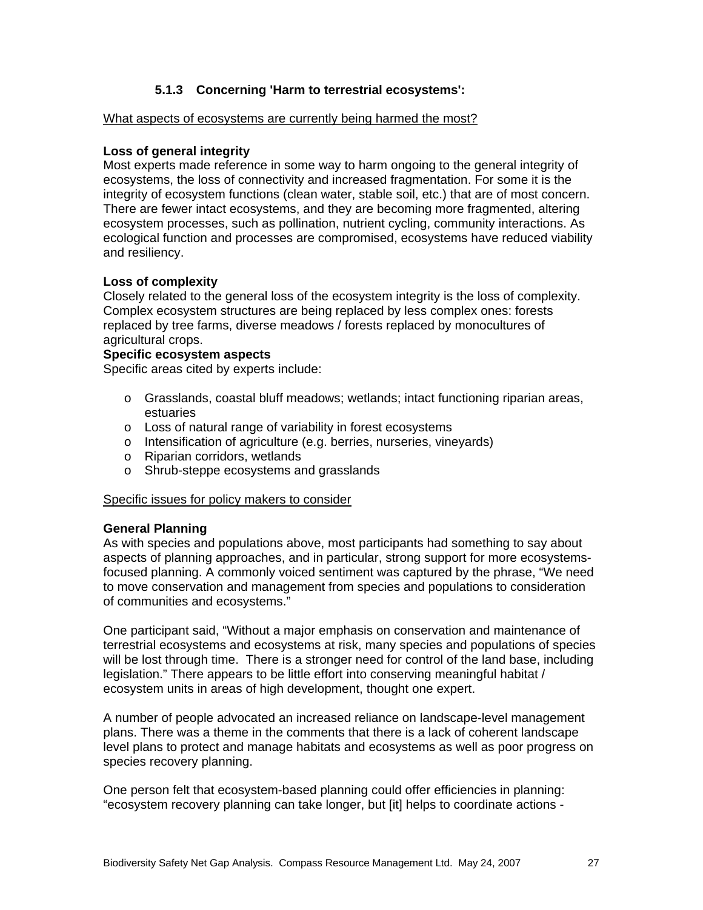#### **5.1.3 Concerning 'Harm to terrestrial ecosystems':**

#### What aspects of ecosystems are currently being harmed the most?

#### **Loss of general integrity**

Most experts made reference in some way to harm ongoing to the general integrity of ecosystems, the loss of connectivity and increased fragmentation. For some it is the integrity of ecosystem functions (clean water, stable soil, etc.) that are of most concern. There are fewer intact ecosystems, and they are becoming more fragmented, altering ecosystem processes, such as pollination, nutrient cycling, community interactions. As ecological function and processes are compromised, ecosystems have reduced viability and resiliency.

#### **Loss of complexity**

Closely related to the general loss of the ecosystem integrity is the loss of complexity. Complex ecosystem structures are being replaced by less complex ones: forests replaced by tree farms, diverse meadows / forests replaced by monocultures of agricultural crops.

#### **Specific ecosystem aspects**

Specific areas cited by experts include:

- o Grasslands, coastal bluff meadows; wetlands; intact functioning riparian areas, estuaries
- o Loss of natural range of variability in forest ecosystems
- o Intensification of agriculture (e.g. berries, nurseries, vineyards)
- o Riparian corridors, wetlands
- o Shrub-steppe ecosystems and grasslands

#### Specific issues for policy makers to consider

#### **General Planning**

As with species and populations above, most participants had something to say about aspects of planning approaches, and in particular, strong support for more ecosystemsfocused planning. A commonly voiced sentiment was captured by the phrase, "We need to move conservation and management from species and populations to consideration of communities and ecosystems."

One participant said, "Without a major emphasis on conservation and maintenance of terrestrial ecosystems and ecosystems at risk, many species and populations of species will be lost through time. There is a stronger need for control of the land base, including legislation." There appears to be little effort into conserving meaningful habitat / ecosystem units in areas of high development, thought one expert.

A number of people advocated an increased reliance on landscape-level management plans. There was a theme in the comments that there is a lack of coherent landscape level plans to protect and manage habitats and ecosystems as well as poor progress on species recovery planning.

One person felt that ecosystem-based planning could offer efficiencies in planning: "ecosystem recovery planning can take longer, but [it] helps to coordinate actions -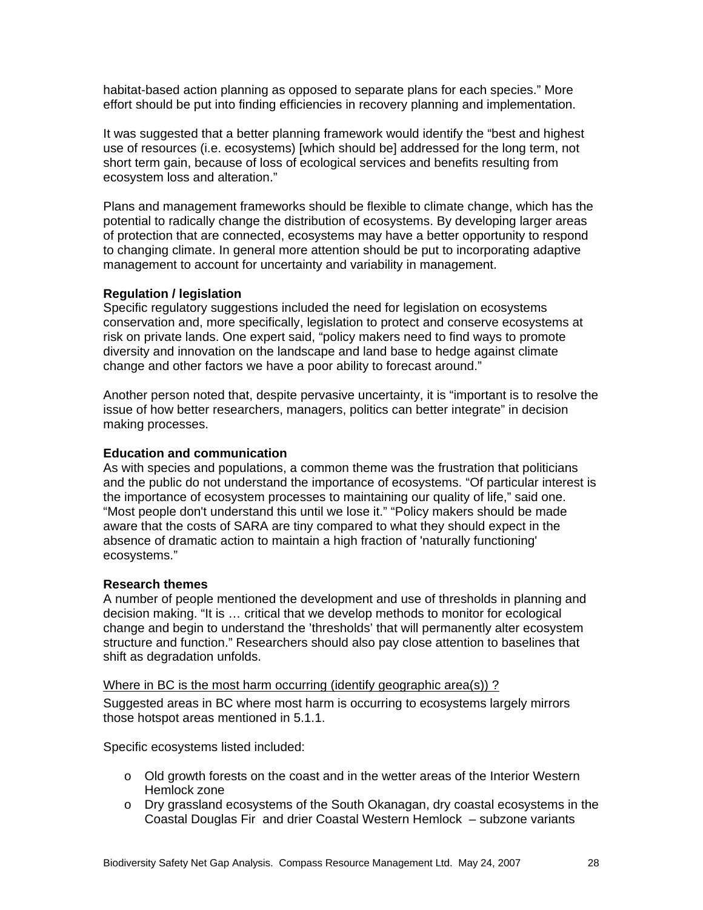habitat-based action planning as opposed to separate plans for each species." More effort should be put into finding efficiencies in recovery planning and implementation.

It was suggested that a better planning framework would identify the "best and highest use of resources (i.e. ecosystems) [which should be] addressed for the long term, not short term gain, because of loss of ecological services and benefits resulting from ecosystem loss and alteration."

Plans and management frameworks should be flexible to climate change, which has the potential to radically change the distribution of ecosystems. By developing larger areas of protection that are connected, ecosystems may have a better opportunity to respond to changing climate. In general more attention should be put to incorporating adaptive management to account for uncertainty and variability in management.

#### **Regulation / legislation**

Specific regulatory suggestions included the need for legislation on ecosystems conservation and, more specifically, legislation to protect and conserve ecosystems at risk on private lands. One expert said, "policy makers need to find ways to promote diversity and innovation on the landscape and land base to hedge against climate change and other factors we have a poor ability to forecast around."

Another person noted that, despite pervasive uncertainty, it is "important is to resolve the issue of how better researchers, managers, politics can better integrate" in decision making processes.

#### **Education and communication**

As with species and populations, a common theme was the frustration that politicians and the public do not understand the importance of ecosystems. "Of particular interest is the importance of ecosystem processes to maintaining our quality of life," said one. "Most people don't understand this until we lose it." "Policy makers should be made aware that the costs of SARA are tiny compared to what they should expect in the absence of dramatic action to maintain a high fraction of 'naturally functioning' ecosystems."

#### **Research themes**

A number of people mentioned the development and use of thresholds in planning and decision making. "It is … critical that we develop methods to monitor for ecological change and begin to understand the 'thresholds' that will permanently alter ecosystem structure and function." Researchers should also pay close attention to baselines that shift as degradation unfolds.

#### Where in BC is the most harm occurring (identify geographic area(s)) ?

Suggested areas in BC where most harm is occurring to ecosystems largely mirrors those hotspot areas mentioned in 5.1.1.

Specific ecosystems listed included:

- $\circ$  Old growth forests on the coast and in the wetter areas of the Interior Western Hemlock zone
- o Dry grassland ecosystems of the South Okanagan, dry coastal ecosystems in the Coastal Douglas Fir and drier Coastal Western Hemlock – subzone variants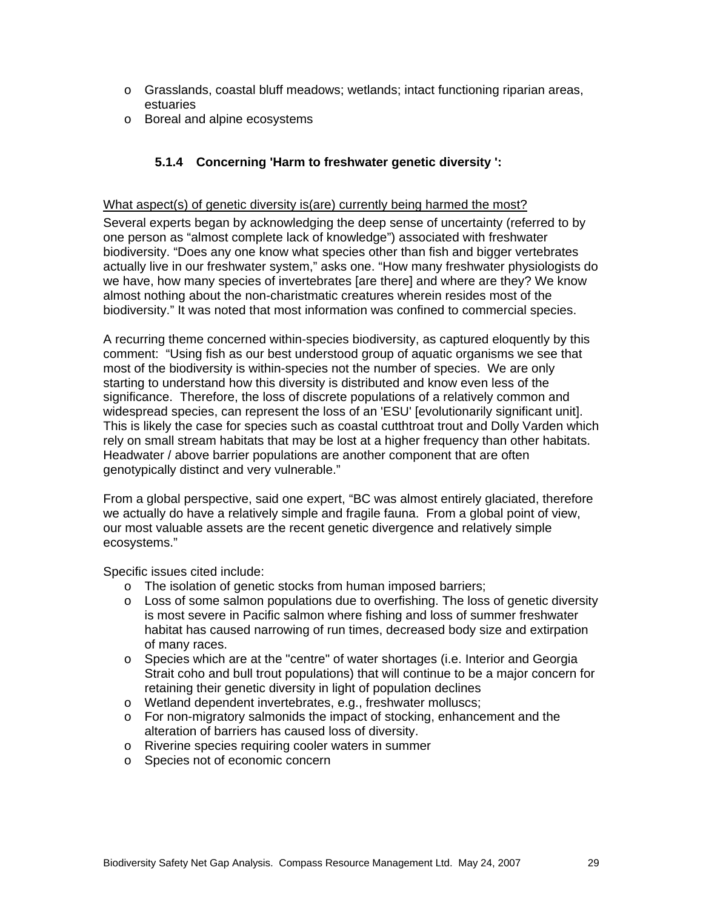- o Grasslands, coastal bluff meadows; wetlands; intact functioning riparian areas, estuaries
- o Boreal and alpine ecosystems

#### **5.1.4 Concerning 'Harm to freshwater genetic diversity ':**

#### What aspect(s) of genetic diversity is(are) currently being harmed the most?

Several experts began by acknowledging the deep sense of uncertainty (referred to by one person as "almost complete lack of knowledge") associated with freshwater biodiversity. "Does any one know what species other than fish and bigger vertebrates actually live in our freshwater system," asks one. "How many freshwater physiologists do we have, how many species of invertebrates [are there] and where are they? We know almost nothing about the non-charistmatic creatures wherein resides most of the biodiversity." It was noted that most information was confined to commercial species.

A recurring theme concerned within-species biodiversity, as captured eloquently by this comment: "Using fish as our best understood group of aquatic organisms we see that most of the biodiversity is within-species not the number of species. We are only starting to understand how this diversity is distributed and know even less of the significance. Therefore, the loss of discrete populations of a relatively common and widespread species, can represent the loss of an 'ESU' [evolutionarily significant unit]. This is likely the case for species such as coastal cutthtroat trout and Dolly Varden which rely on small stream habitats that may be lost at a higher frequency than other habitats. Headwater / above barrier populations are another component that are often genotypically distinct and very vulnerable."

From a global perspective, said one expert, "BC was almost entirely glaciated, therefore we actually do have a relatively simple and fragile fauna. From a global point of view, our most valuable assets are the recent genetic divergence and relatively simple ecosystems."

Specific issues cited include:

- o The isolation of genetic stocks from human imposed barriers;
- $\circ$  Loss of some salmon populations due to overfishing. The loss of genetic diversity is most severe in Pacific salmon where fishing and loss of summer freshwater habitat has caused narrowing of run times, decreased body size and extirpation of many races.
- o Species which are at the "centre" of water shortages (i.e. Interior and Georgia Strait coho and bull trout populations) that will continue to be a major concern for retaining their genetic diversity in light of population declines
- o Wetland dependent invertebrates, e.g., freshwater molluscs;
- $\circ$  For non-migratory salmonids the impact of stocking, enhancement and the alteration of barriers has caused loss of diversity.
- o Riverine species requiring cooler waters in summer
- o Species not of economic concern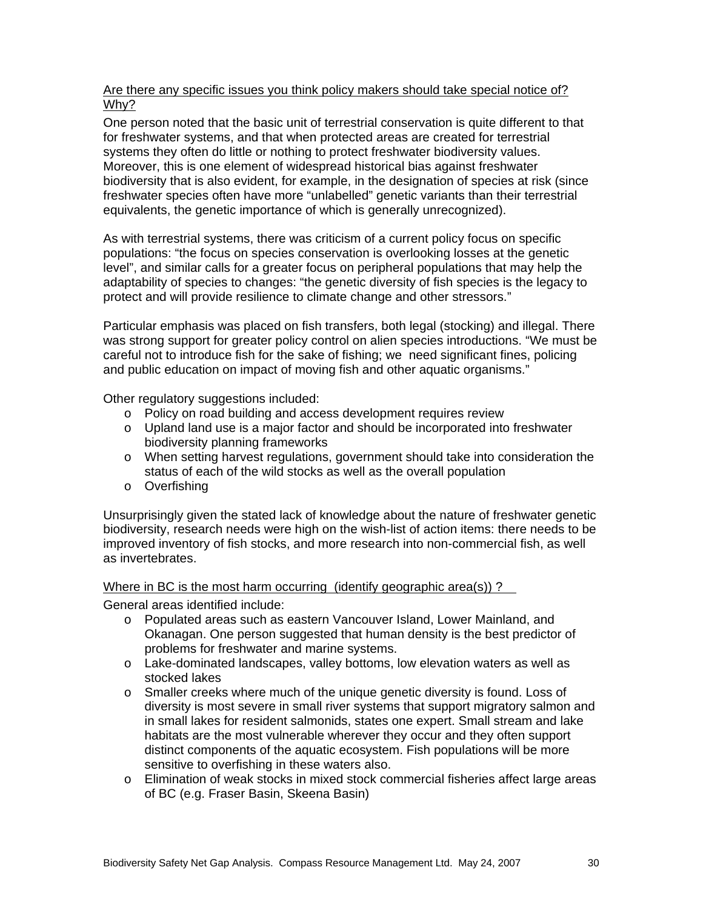### Are there any specific issues you think policy makers should take special notice of? Why?

One person noted that the basic unit of terrestrial conservation is quite different to that for freshwater systems, and that when protected areas are created for terrestrial systems they often do little or nothing to protect freshwater biodiversity values. Moreover, this is one element of widespread historical bias against freshwater biodiversity that is also evident, for example, in the designation of species at risk (since freshwater species often have more "unlabelled" genetic variants than their terrestrial equivalents, the genetic importance of which is generally unrecognized).

As with terrestrial systems, there was criticism of a current policy focus on specific populations: "the focus on species conservation is overlooking losses at the genetic level", and similar calls for a greater focus on peripheral populations that may help the adaptability of species to changes: "the genetic diversity of fish species is the legacy to protect and will provide resilience to climate change and other stressors."

Particular emphasis was placed on fish transfers, both legal (stocking) and illegal. There was strong support for greater policy control on alien species introductions. "We must be careful not to introduce fish for the sake of fishing; we need significant fines, policing and public education on impact of moving fish and other aquatic organisms."

Other regulatory suggestions included:

- o Policy on road building and access development requires review
- o Upland land use is a major factor and should be incorporated into freshwater biodiversity planning frameworks
- o When setting harvest regulations, government should take into consideration the status of each of the wild stocks as well as the overall population
- o Overfishing

Unsurprisingly given the stated lack of knowledge about the nature of freshwater genetic biodiversity, research needs were high on the wish-list of action items: there needs to be improved inventory of fish stocks, and more research into non-commercial fish, as well as invertebrates.

#### Where in BC is the most harm occurring (identify geographic area(s)) ?

General areas identified include:

- o Populated areas such as eastern Vancouver Island, Lower Mainland, and Okanagan. One person suggested that human density is the best predictor of problems for freshwater and marine systems.
- o Lake-dominated landscapes, valley bottoms, low elevation waters as well as stocked lakes
- o Smaller creeks where much of the unique genetic diversity is found. Loss of diversity is most severe in small river systems that support migratory salmon and in small lakes for resident salmonids, states one expert. Small stream and lake habitats are the most vulnerable wherever they occur and they often support distinct components of the aquatic ecosystem. Fish populations will be more sensitive to overfishing in these waters also.
- o Elimination of weak stocks in mixed stock commercial fisheries affect large areas of BC (e.g. Fraser Basin, Skeena Basin)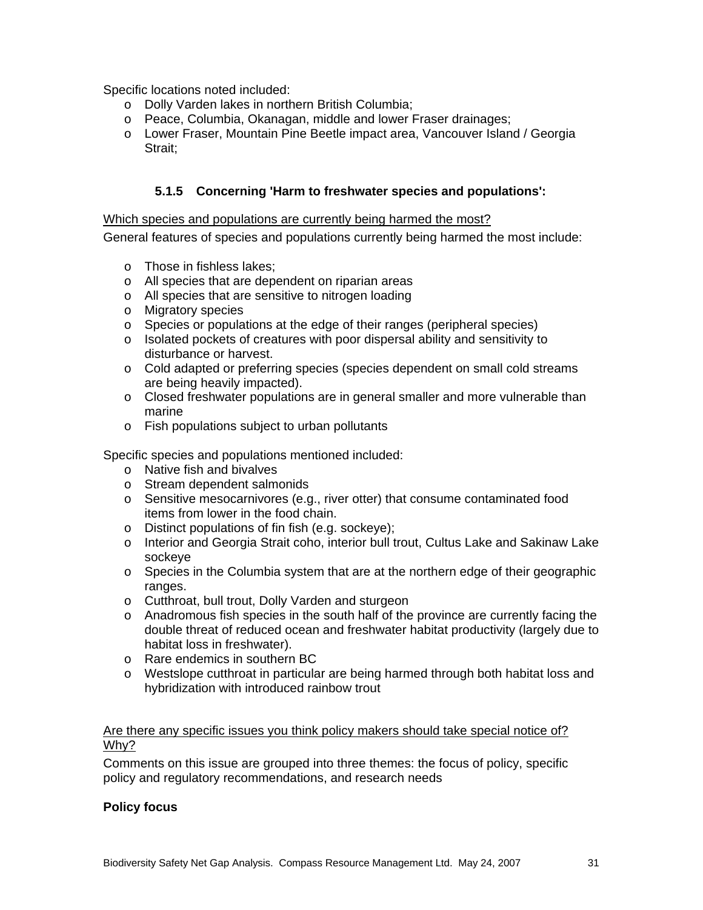Specific locations noted included:

- o Dolly Varden lakes in northern British Columbia;
- o Peace, Columbia, Okanagan, middle and lower Fraser drainages;
- o Lower Fraser, Mountain Pine Beetle impact area, Vancouver Island / Georgia Strait;

### **5.1.5 Concerning 'Harm to freshwater species and populations':**

#### Which species and populations are currently being harmed the most?

General features of species and populations currently being harmed the most include:

- o Those in fishless lakes;
- o All species that are dependent on riparian areas
- o All species that are sensitive to nitrogen loading
- o Migratory species
- o Species or populations at the edge of their ranges (peripheral species)
- o Isolated pockets of creatures with poor dispersal ability and sensitivity to disturbance or harvest.
- o Cold adapted or preferring species (species dependent on small cold streams are being heavily impacted).
- $\circ$  Closed freshwater populations are in general smaller and more vulnerable than marine
- o Fish populations subject to urban pollutants

Specific species and populations mentioned included:

- o Native fish and bivalves
- o Stream dependent salmonids
- o Sensitive mesocarnivores (e.g., river otter) that consume contaminated food items from lower in the food chain.
- o Distinct populations of fin fish (e.g. sockeye);
- o Interior and Georgia Strait coho, interior bull trout, Cultus Lake and Sakinaw Lake sockeye
- $\circ$  Species in the Columbia system that are at the northern edge of their geographic ranges.
- o Cutthroat, bull trout, Dolly Varden and sturgeon
- o Anadromous fish species in the south half of the province are currently facing the double threat of reduced ocean and freshwater habitat productivity (largely due to habitat loss in freshwater).
- o Rare endemics in southern BC
- o Westslope cutthroat in particular are being harmed through both habitat loss and hybridization with introduced rainbow trout

#### Are there any specific issues you think policy makers should take special notice of? Why?

Comments on this issue are grouped into three themes: the focus of policy, specific policy and regulatory recommendations, and research needs

### **Policy focus**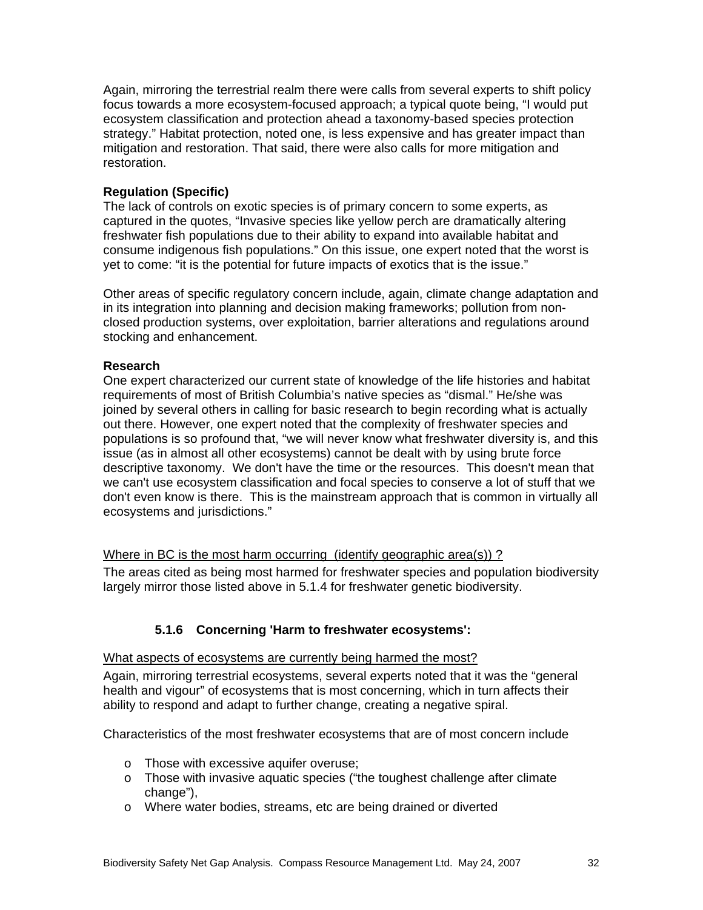Again, mirroring the terrestrial realm there were calls from several experts to shift policy focus towards a more ecosystem-focused approach; a typical quote being, "I would put ecosystem classification and protection ahead a taxonomy-based species protection strategy." Habitat protection, noted one, is less expensive and has greater impact than mitigation and restoration. That said, there were also calls for more mitigation and restoration.

### **Regulation (Specific)**

The lack of controls on exotic species is of primary concern to some experts, as captured in the quotes, "Invasive species like yellow perch are dramatically altering freshwater fish populations due to their ability to expand into available habitat and consume indigenous fish populations." On this issue, one expert noted that the worst is yet to come: "it is the potential for future impacts of exotics that is the issue."

Other areas of specific regulatory concern include, again, climate change adaptation and in its integration into planning and decision making frameworks; pollution from nonclosed production systems, over exploitation, barrier alterations and regulations around stocking and enhancement.

#### **Research**

One expert characterized our current state of knowledge of the life histories and habitat requirements of most of British Columbia's native species as "dismal." He/she was joined by several others in calling for basic research to begin recording what is actually out there. However, one expert noted that the complexity of freshwater species and populations is so profound that, "we will never know what freshwater diversity is, and this issue (as in almost all other ecosystems) cannot be dealt with by using brute force descriptive taxonomy. We don't have the time or the resources. This doesn't mean that we can't use ecosystem classification and focal species to conserve a lot of stuff that we don't even know is there. This is the mainstream approach that is common in virtually all ecosystems and jurisdictions."

#### Where in BC is the most harm occurring (identify geographic area(s))?

The areas cited as being most harmed for freshwater species and population biodiversity largely mirror those listed above in 5.1.4 for freshwater genetic biodiversity.

### **5.1.6 Concerning 'Harm to freshwater ecosystems':**

#### What aspects of ecosystems are currently being harmed the most?

Again, mirroring terrestrial ecosystems, several experts noted that it was the "general health and vigour" of ecosystems that is most concerning, which in turn affects their ability to respond and adapt to further change, creating a negative spiral.

Characteristics of the most freshwater ecosystems that are of most concern include

- o Those with excessive aquifer overuse;
- o Those with invasive aquatic species ("the toughest challenge after climate change"),
- o Where water bodies, streams, etc are being drained or diverted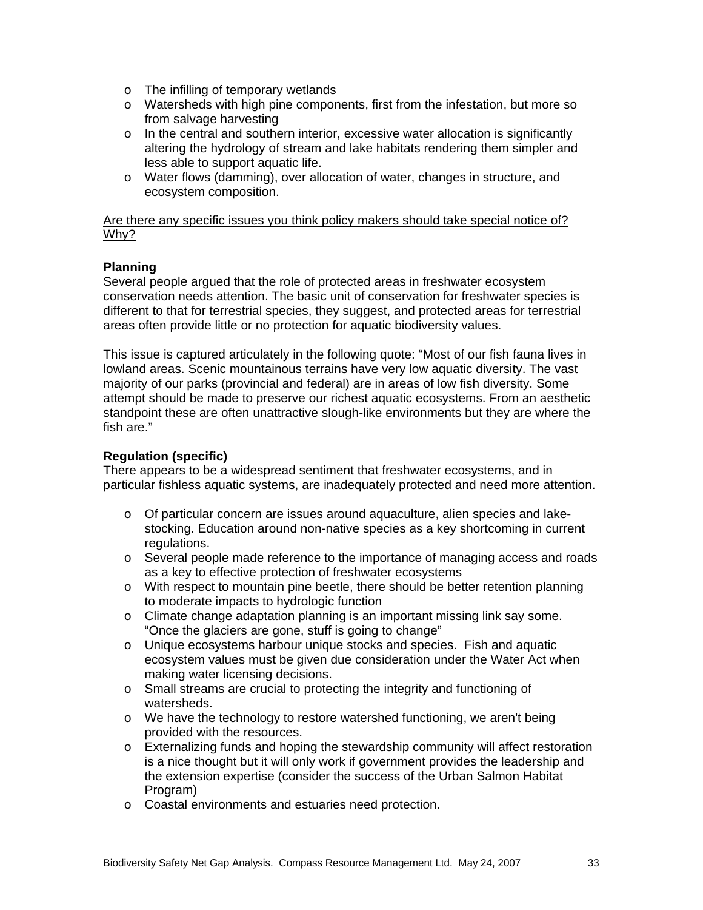- o The infilling of temporary wetlands
- o Watersheds with high pine components, first from the infestation, but more so from salvage harvesting
- $\circ$  In the central and southern interior, excessive water allocation is significantly altering the hydrology of stream and lake habitats rendering them simpler and less able to support aquatic life.
- o Water flows (damming), over allocation of water, changes in structure, and ecosystem composition.

Are there any specific issues you think policy makers should take special notice of? Why?

### **Planning**

Several people argued that the role of protected areas in freshwater ecosystem conservation needs attention. The basic unit of conservation for freshwater species is different to that for terrestrial species, they suggest, and protected areas for terrestrial areas often provide little or no protection for aquatic biodiversity values.

This issue is captured articulately in the following quote: "Most of our fish fauna lives in lowland areas. Scenic mountainous terrains have very low aquatic diversity. The vast majority of our parks (provincial and federal) are in areas of low fish diversity. Some attempt should be made to preserve our richest aquatic ecosystems. From an aesthetic standpoint these are often unattractive slough-like environments but they are where the fish are."

### **Regulation (specific)**

There appears to be a widespread sentiment that freshwater ecosystems, and in particular fishless aquatic systems, are inadequately protected and need more attention.

- $\circ$  Of particular concern are issues around aquaculture, alien species and lakestocking. Education around non-native species as a key shortcoming in current regulations.
- o Several people made reference to the importance of managing access and roads as a key to effective protection of freshwater ecosystems
- o With respect to mountain pine beetle, there should be better retention planning to moderate impacts to hydrologic function
- o Climate change adaptation planning is an important missing link say some. "Once the glaciers are gone, stuff is going to change"
- o Unique ecosystems harbour unique stocks and species. Fish and aquatic ecosystem values must be given due consideration under the Water Act when making water licensing decisions.
- o Small streams are crucial to protecting the integrity and functioning of watersheds.
- o We have the technology to restore watershed functioning, we aren't being provided with the resources.
- o Externalizing funds and hoping the stewardship community will affect restoration is a nice thought but it will only work if government provides the leadership and the extension expertise (consider the success of the Urban Salmon Habitat Program)
- o Coastal environments and estuaries need protection.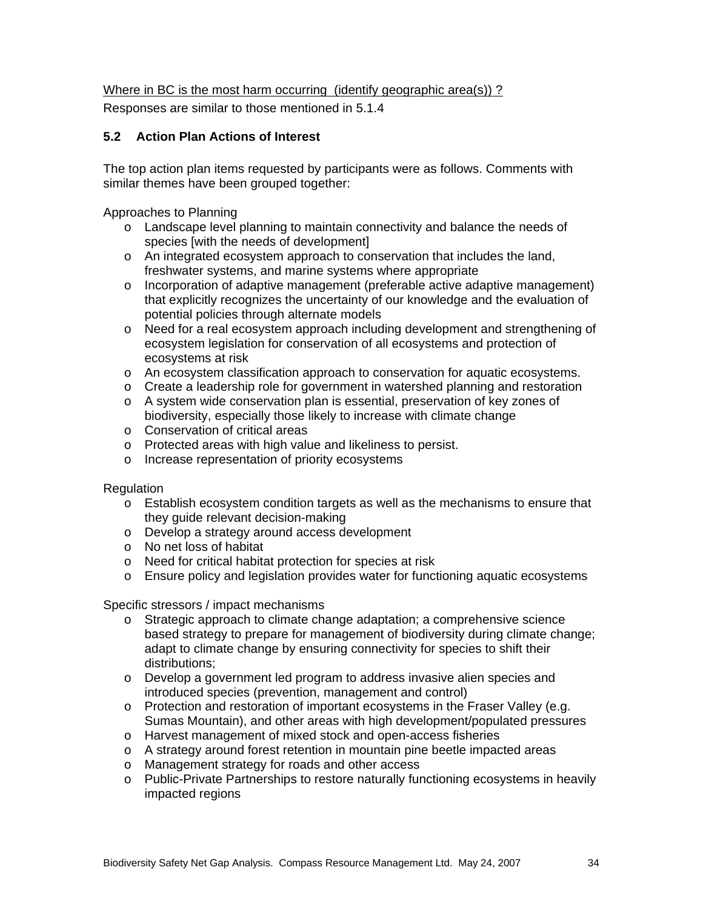Where in BC is the most harm occurring (identify geographic area(s)) ?

Responses are similar to those mentioned in 5.1.4

## **5.2 Action Plan Actions of Interest**

The top action plan items requested by participants were as follows. Comments with similar themes have been grouped together:

Approaches to Planning

- o Landscape level planning to maintain connectivity and balance the needs of species [with the needs of development]
- o An integrated ecosystem approach to conservation that includes the land, freshwater systems, and marine systems where appropriate
- o Incorporation of adaptive management (preferable active adaptive management) that explicitly recognizes the uncertainty of our knowledge and the evaluation of potential policies through alternate models
- o Need for a real ecosystem approach including development and strengthening of ecosystem legislation for conservation of all ecosystems and protection of ecosystems at risk
- o An ecosystem classification approach to conservation for aquatic ecosystems.
- o Create a leadership role for government in watershed planning and restoration
- o A system wide conservation plan is essential, preservation of key zones of biodiversity, especially those likely to increase with climate change
- o Conservation of critical areas
- o Protected areas with high value and likeliness to persist.
- o Increase representation of priority ecosystems

#### Regulation

- o Establish ecosystem condition targets as well as the mechanisms to ensure that they guide relevant decision-making
- o Develop a strategy around access development
- o No net loss of habitat
- o Need for critical habitat protection for species at risk
- o Ensure policy and legislation provides water for functioning aquatic ecosystems

Specific stressors / impact mechanisms

- o Strategic approach to climate change adaptation; a comprehensive science based strategy to prepare for management of biodiversity during climate change; adapt to climate change by ensuring connectivity for species to shift their distributions;
- o Develop a government led program to address invasive alien species and introduced species (prevention, management and control)
- o Protection and restoration of important ecosystems in the Fraser Valley (e.g. Sumas Mountain), and other areas with high development/populated pressures
- o Harvest management of mixed stock and open-access fisheries
- o A strategy around forest retention in mountain pine beetle impacted areas
- o Management strategy for roads and other access
- o Public-Private Partnerships to restore naturally functioning ecosystems in heavily impacted regions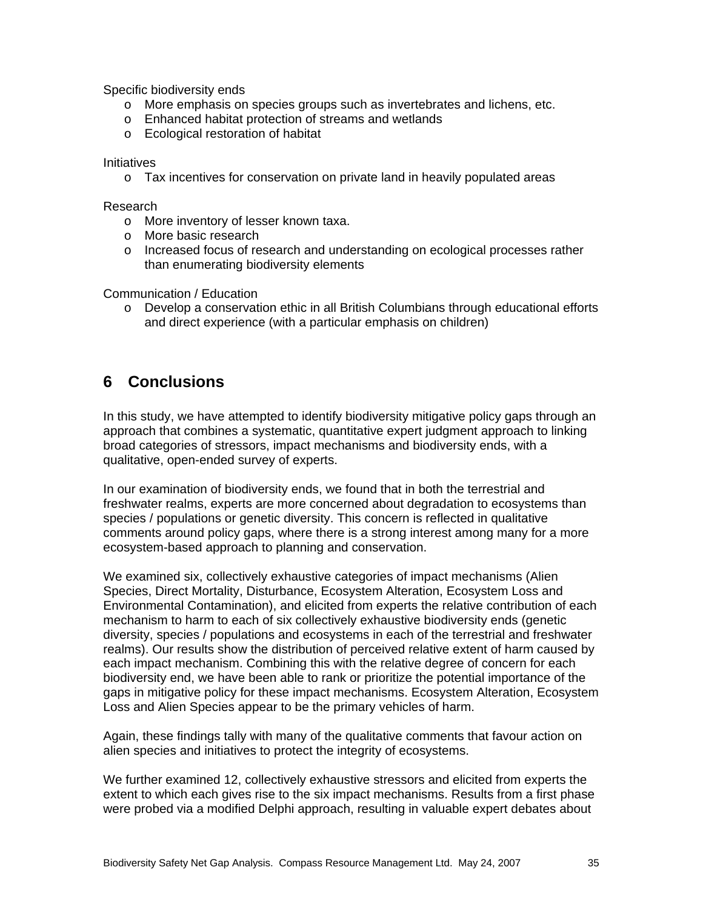Specific biodiversity ends

- o More emphasis on species groups such as invertebrates and lichens, etc.
- o Enhanced habitat protection of streams and wetlands
- o Ecological restoration of habitat

#### **Initiatives**

o Tax incentives for conservation on private land in heavily populated areas

#### Research

- o More inventory of lesser known taxa.
- o More basic research
- o Increased focus of research and understanding on ecological processes rather than enumerating biodiversity elements

Communication / Education

o Develop a conservation ethic in all British Columbians through educational efforts and direct experience (with a particular emphasis on children)

# **6 Conclusions**

In this study, we have attempted to identify biodiversity mitigative policy gaps through an approach that combines a systematic, quantitative expert judgment approach to linking broad categories of stressors, impact mechanisms and biodiversity ends, with a qualitative, open-ended survey of experts.

In our examination of biodiversity ends, we found that in both the terrestrial and freshwater realms, experts are more concerned about degradation to ecosystems than species / populations or genetic diversity. This concern is reflected in qualitative comments around policy gaps, where there is a strong interest among many for a more ecosystem-based approach to planning and conservation.

We examined six, collectively exhaustive categories of impact mechanisms (Alien Species, Direct Mortality, Disturbance, Ecosystem Alteration, Ecosystem Loss and Environmental Contamination), and elicited from experts the relative contribution of each mechanism to harm to each of six collectively exhaustive biodiversity ends (genetic diversity, species / populations and ecosystems in each of the terrestrial and freshwater realms). Our results show the distribution of perceived relative extent of harm caused by each impact mechanism. Combining this with the relative degree of concern for each biodiversity end, we have been able to rank or prioritize the potential importance of the gaps in mitigative policy for these impact mechanisms. Ecosystem Alteration, Ecosystem Loss and Alien Species appear to be the primary vehicles of harm.

Again, these findings tally with many of the qualitative comments that favour action on alien species and initiatives to protect the integrity of ecosystems.

We further examined 12, collectively exhaustive stressors and elicited from experts the extent to which each gives rise to the six impact mechanisms. Results from a first phase were probed via a modified Delphi approach, resulting in valuable expert debates about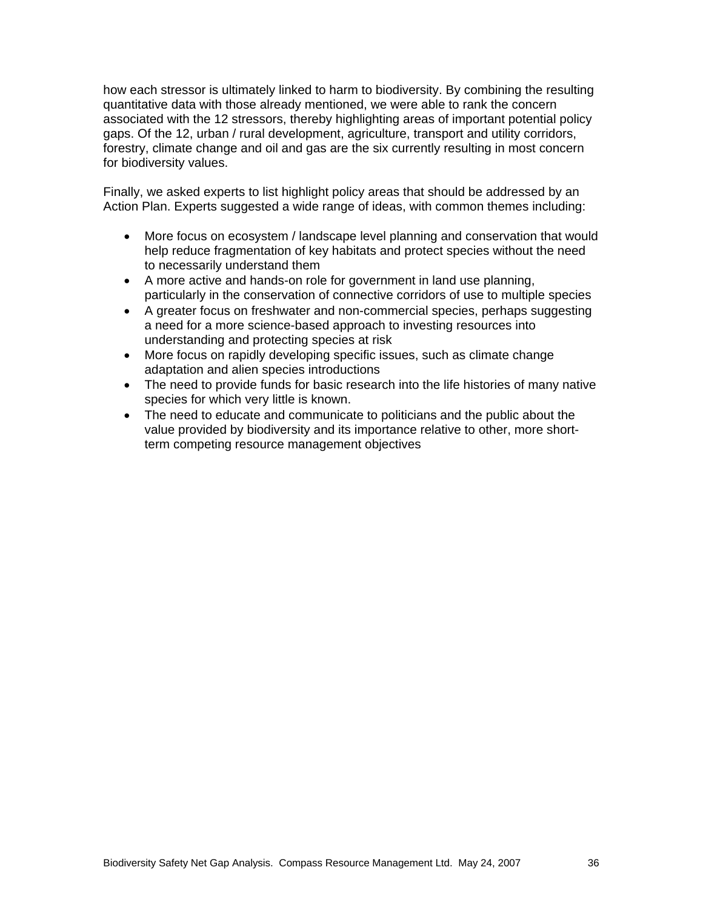how each stressor is ultimately linked to harm to biodiversity. By combining the resulting quantitative data with those already mentioned, we were able to rank the concern associated with the 12 stressors, thereby highlighting areas of important potential policy gaps. Of the 12, urban / rural development, agriculture, transport and utility corridors, forestry, climate change and oil and gas are the six currently resulting in most concern for biodiversity values.

Finally, we asked experts to list highlight policy areas that should be addressed by an Action Plan. Experts suggested a wide range of ideas, with common themes including:

- More focus on ecosystem / landscape level planning and conservation that would help reduce fragmentation of key habitats and protect species without the need to necessarily understand them
- A more active and hands-on role for government in land use planning, particularly in the conservation of connective corridors of use to multiple species
- A greater focus on freshwater and non-commercial species, perhaps suggesting a need for a more science-based approach to investing resources into understanding and protecting species at risk
- More focus on rapidly developing specific issues, such as climate change adaptation and alien species introductions
- The need to provide funds for basic research into the life histories of many native species for which very little is known.
- The need to educate and communicate to politicians and the public about the value provided by biodiversity and its importance relative to other, more shortterm competing resource management objectives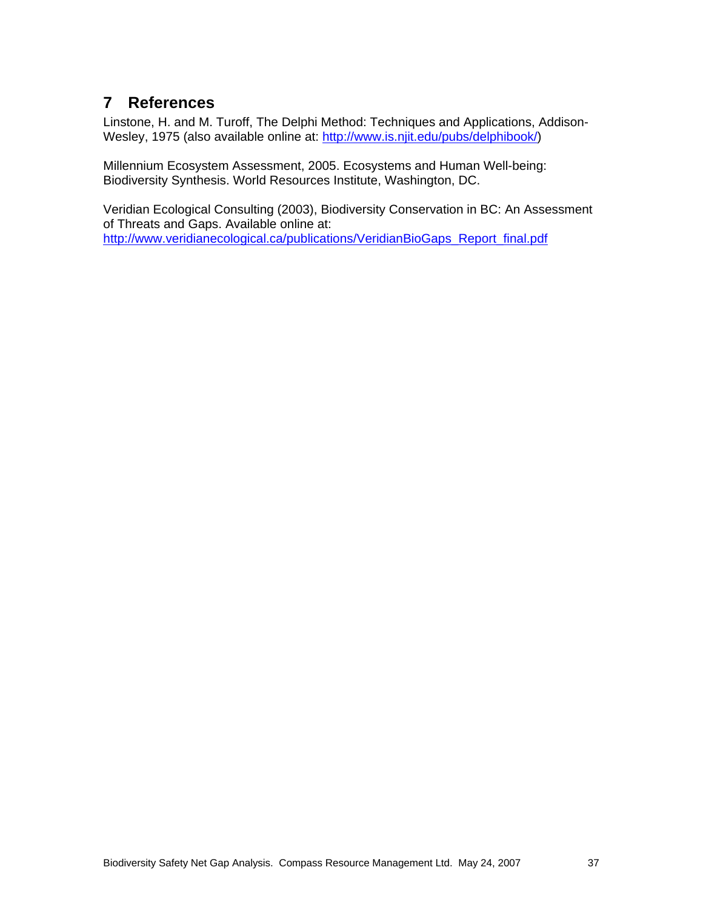# **7 References**

Linstone, H. and M. Turoff, The Delphi Method: Techniques and Applications, Addison-Wesley, 1975 (also available online at: http://www.is.njit.edu/pubs/delphibook/)

Millennium Ecosystem Assessment, 2005. Ecosystems and Human Well-being: Biodiversity Synthesis. World Resources Institute, Washington, DC.

Veridian Ecological Consulting (2003), Biodiversity Conservation in BC: An Assessment of Threats and Gaps. Available online at: http://www.veridianecological.ca/publications/VeridianBioGaps\_Report\_final.pdf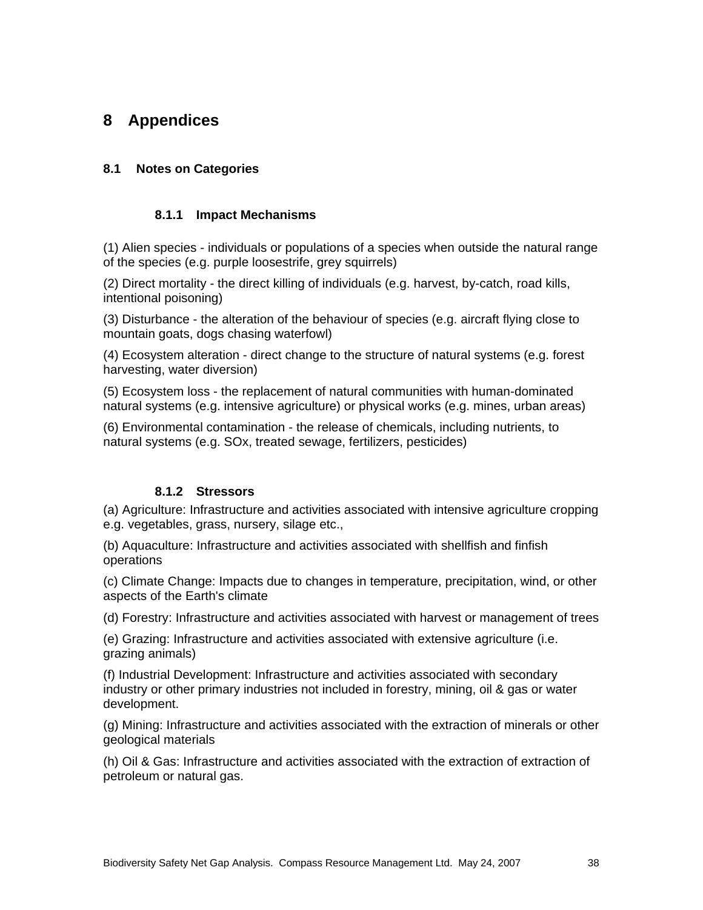# **8 Appendices**

### **8.1 Notes on Categories**

#### **8.1.1 Impact Mechanisms**

(1) Alien species - individuals or populations of a species when outside the natural range of the species (e.g. purple loosestrife, grey squirrels)

(2) Direct mortality - the direct killing of individuals (e.g. harvest, by-catch, road kills, intentional poisoning)

(3) Disturbance - the alteration of the behaviour of species (e.g. aircraft flying close to mountain goats, dogs chasing waterfowl)

(4) Ecosystem alteration - direct change to the structure of natural systems (e.g. forest harvesting, water diversion)

(5) Ecosystem loss - the replacement of natural communities with human-dominated natural systems (e.g. intensive agriculture) or physical works (e.g. mines, urban areas)

(6) Environmental contamination - the release of chemicals, including nutrients, to natural systems (e.g. SOx, treated sewage, fertilizers, pesticides)

#### **8.1.2 Stressors**

(a) Agriculture: Infrastructure and activities associated with intensive agriculture cropping e.g. vegetables, grass, nursery, silage etc.,

(b) Aquaculture: Infrastructure and activities associated with shellfish and finfish operations

(c) Climate Change: Impacts due to changes in temperature, precipitation, wind, or other aspects of the Earth's climate

(d) Forestry: Infrastructure and activities associated with harvest or management of trees

(e) Grazing: Infrastructure and activities associated with extensive agriculture (i.e. grazing animals)

(f) Industrial Development: Infrastructure and activities associated with secondary industry or other primary industries not included in forestry, mining, oil & gas or water development.

(g) Mining: Infrastructure and activities associated with the extraction of minerals or other geological materials

(h) Oil & Gas: Infrastructure and activities associated with the extraction of extraction of petroleum or natural gas.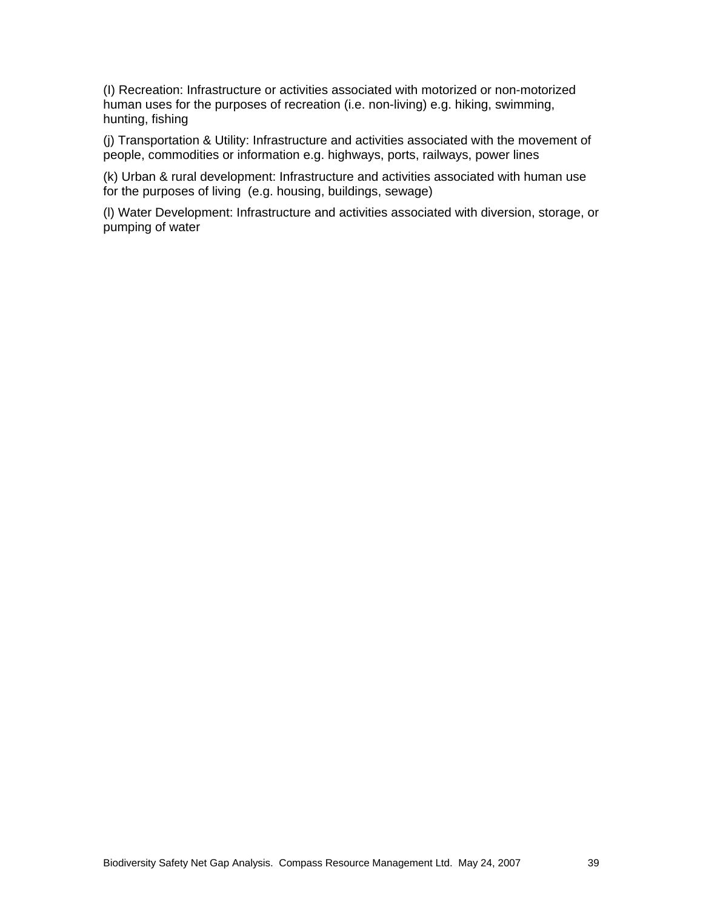(I) Recreation: Infrastructure or activities associated with motorized or non-motorized human uses for the purposes of recreation (i.e. non-living) e.g. hiking, swimming, hunting, fishing

(j) Transportation & Utility: Infrastructure and activities associated with the movement of people, commodities or information e.g. highways, ports, railways, power lines

(k) Urban & rural development: Infrastructure and activities associated with human use for the purposes of living (e.g. housing, buildings, sewage)

(l) Water Development: Infrastructure and activities associated with diversion, storage, or pumping of water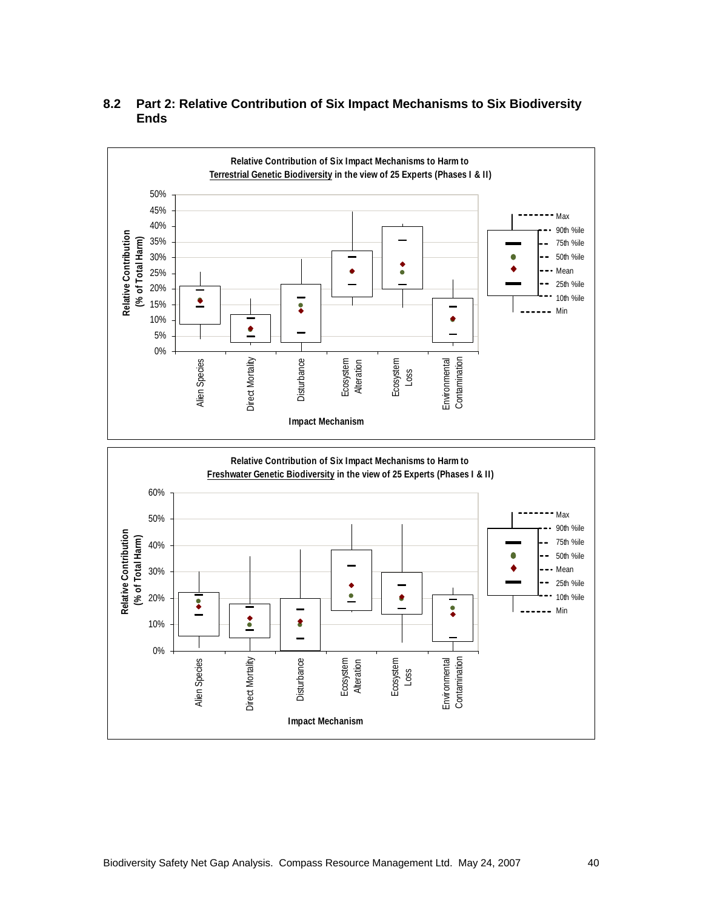

### **8.2 Part 2: Relative Contribution of Six Impact Mechanisms to Six Biodiversity Ends**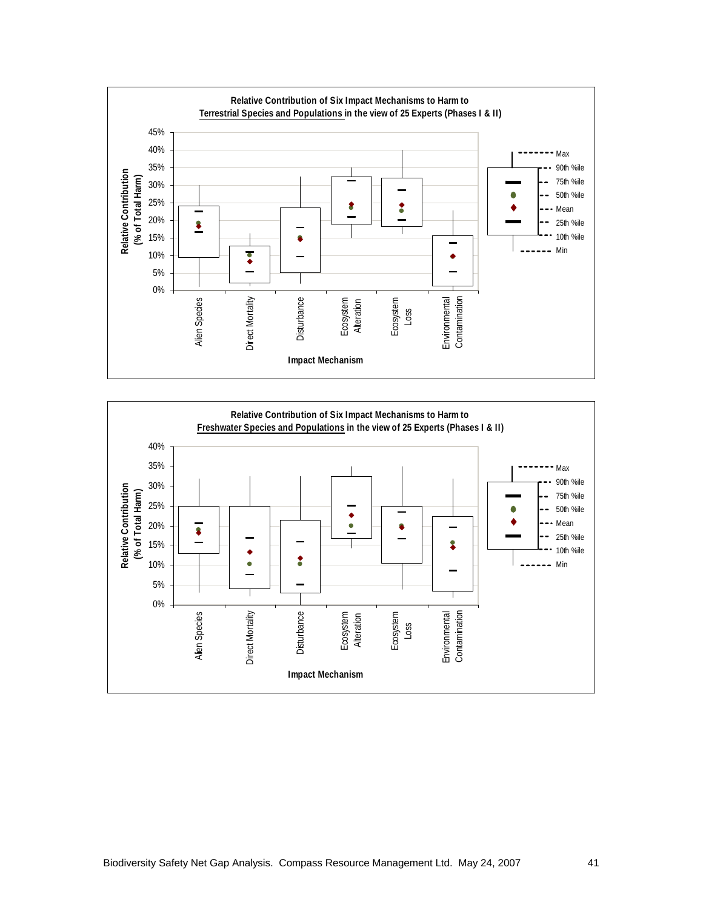

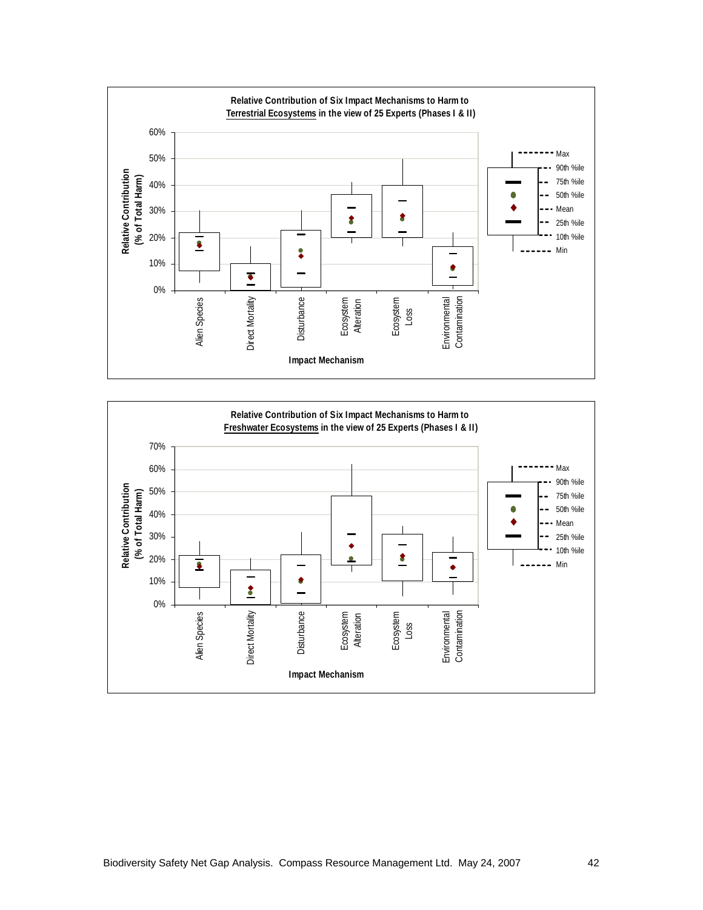

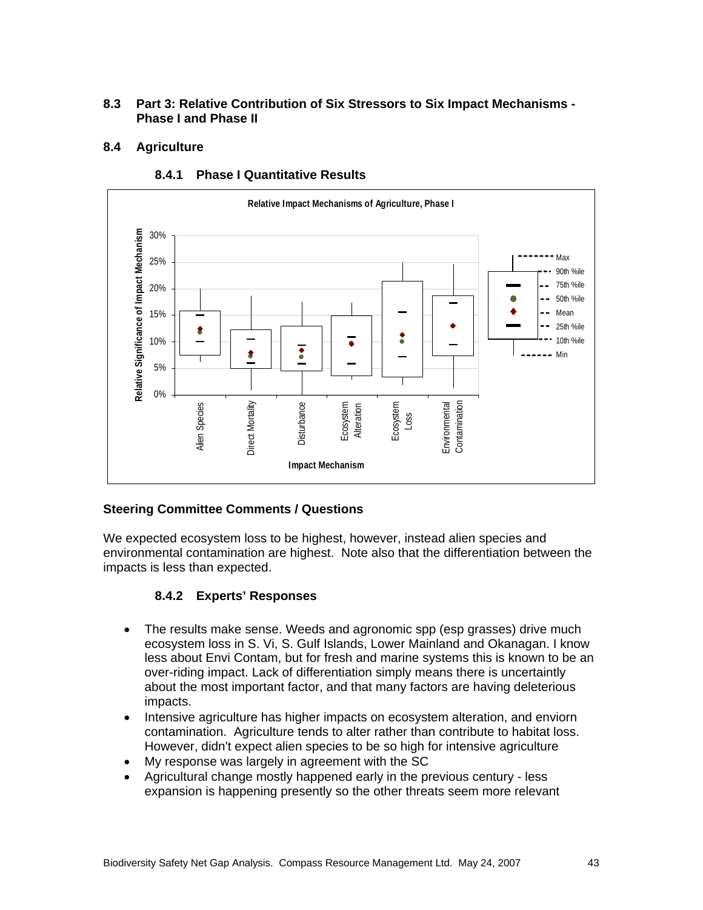### **8.3 Part 3: Relative Contribution of Six Stressors to Six Impact Mechanisms - Phase I and Phase II**

### **8.4 Agriculture**



### **8.4.1 Phase I Quantitative Results**

### **Steering Committee Comments / Questions**

We expected ecosystem loss to be highest, however, instead alien species and environmental contamination are highest. Note also that the differentiation between the impacts is less than expected.

### **8.4.2 Experts' Responses**

- The results make sense. Weeds and agronomic spp (esp grasses) drive much ecosystem loss in S. Vi, S. Gulf Islands, Lower Mainland and Okanagan. I know less about Envi Contam, but for fresh and marine systems this is known to be an over-riding impact. Lack of differentiation simply means there is uncertaintly about the most important factor, and that many factors are having deleterious impacts.
- Intensive agriculture has higher impacts on ecosystem alteration, and enviorn contamination. Agriculture tends to alter rather than contribute to habitat loss. However, didn't expect alien species to be so high for intensive agriculture
- My response was largely in agreement with the SC
- Agricultural change mostly happened early in the previous century less expansion is happening presently so the other threats seem more relevant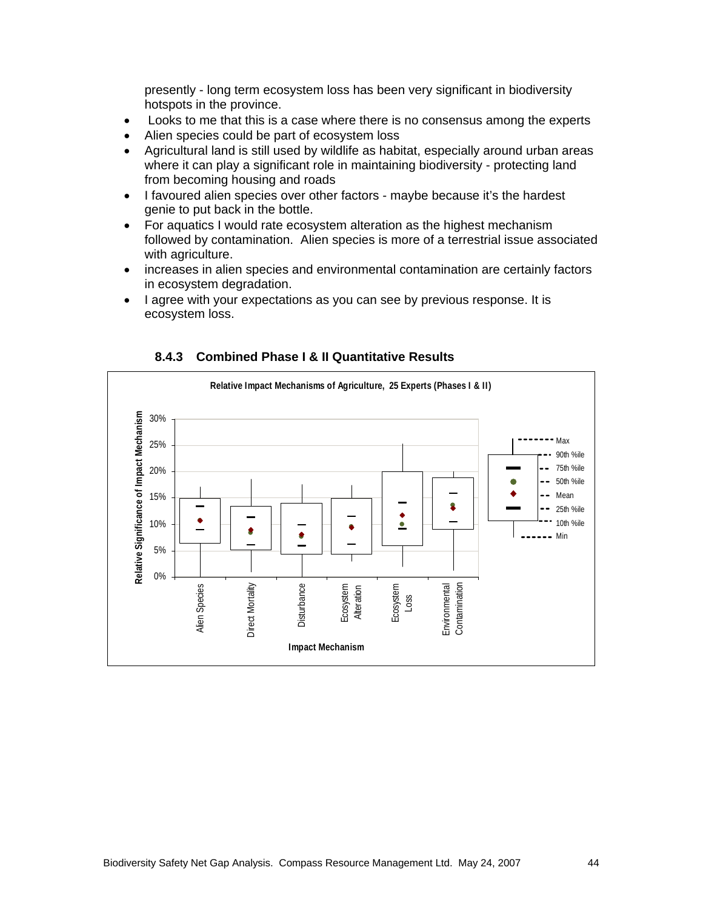presently - long term ecosystem loss has been very significant in biodiversity hotspots in the province.

- Looks to me that this is a case where there is no consensus among the experts
- Alien species could be part of ecosystem loss
- Agricultural land is still used by wildlife as habitat, especially around urban areas where it can play a significant role in maintaining biodiversity - protecting land from becoming housing and roads
- I favoured alien species over other factors maybe because it's the hardest genie to put back in the bottle.
- For aquatics I would rate ecosystem alteration as the highest mechanism followed by contamination. Alien species is more of a terrestrial issue associated with agriculture.
- increases in alien species and environmental contamination are certainly factors in ecosystem degradation.
- I agree with your expectations as you can see by previous response. It is ecosystem loss.



#### **8.4.3 Combined Phase I & II Quantitative Results**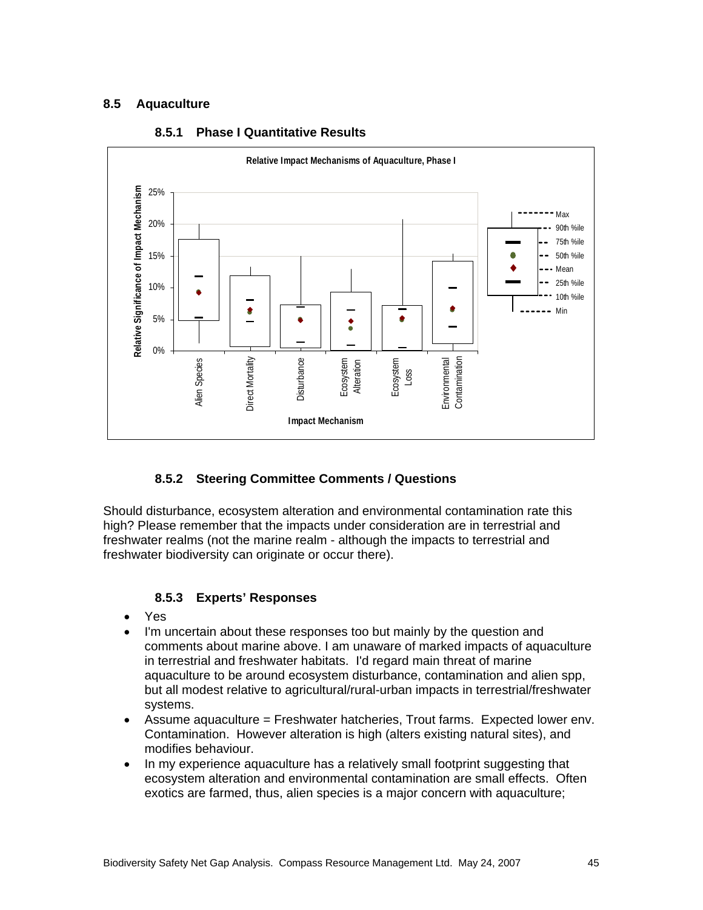## **8.5 Aquaculture**



### **8.5.1 Phase I Quantitative Results**

# **8.5.2 Steering Committee Comments / Questions**

Should disturbance, ecosystem alteration and environmental contamination rate this high? Please remember that the impacts under consideration are in terrestrial and freshwater realms (not the marine realm - although the impacts to terrestrial and freshwater biodiversity can originate or occur there).

### **8.5.3 Experts' Responses**

- Yes
- I'm uncertain about these responses too but mainly by the question and comments about marine above. I am unaware of marked impacts of aquaculture in terrestrial and freshwater habitats. I'd regard main threat of marine aquaculture to be around ecosystem disturbance, contamination and alien spp, but all modest relative to agricultural/rural-urban impacts in terrestrial/freshwater systems.
- Assume aquaculture = Freshwater hatcheries, Trout farms. Expected lower env. Contamination. However alteration is high (alters existing natural sites), and modifies behaviour.
- In my experience aquaculture has a relatively small footprint suggesting that ecosystem alteration and environmental contamination are small effects. Often exotics are farmed, thus, alien species is a major concern with aquaculture;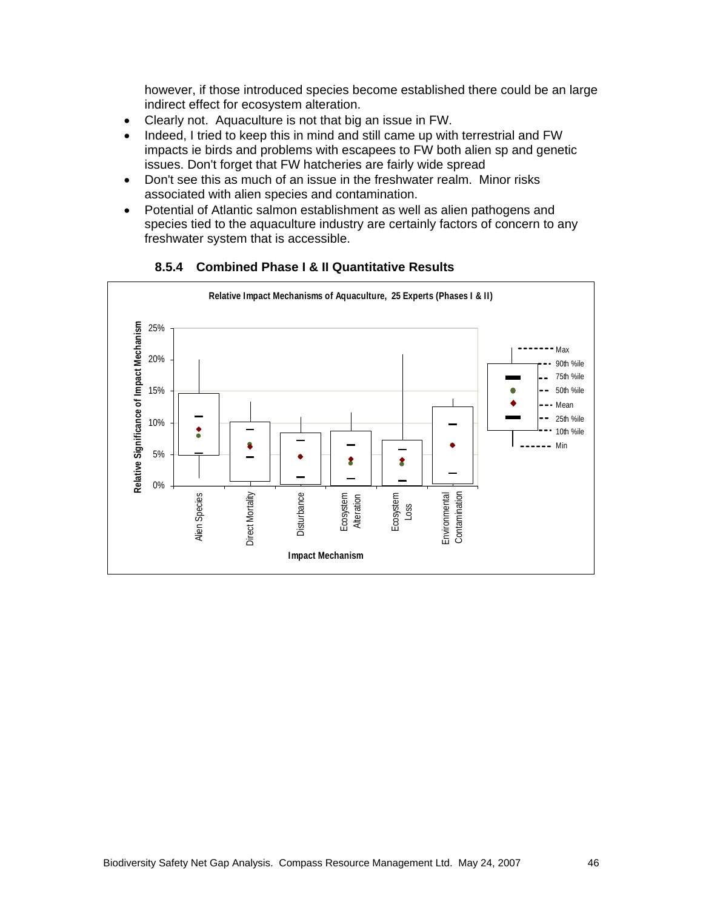however, if those introduced species become established there could be an large indirect effect for ecosystem alteration.

- Clearly not. Aquaculture is not that big an issue in FW.
- Indeed, I tried to keep this in mind and still came up with terrestrial and FW impacts ie birds and problems with escapees to FW both alien sp and genetic issues. Don't forget that FW hatcheries are fairly wide spread
- Don't see this as much of an issue in the freshwater realm. Minor risks associated with alien species and contamination.
- Potential of Atlantic salmon establishment as well as alien pathogens and species tied to the aquaculture industry are certainly factors of concern to any freshwater system that is accessible.



**8.5.4 Combined Phase I & II Quantitative Results**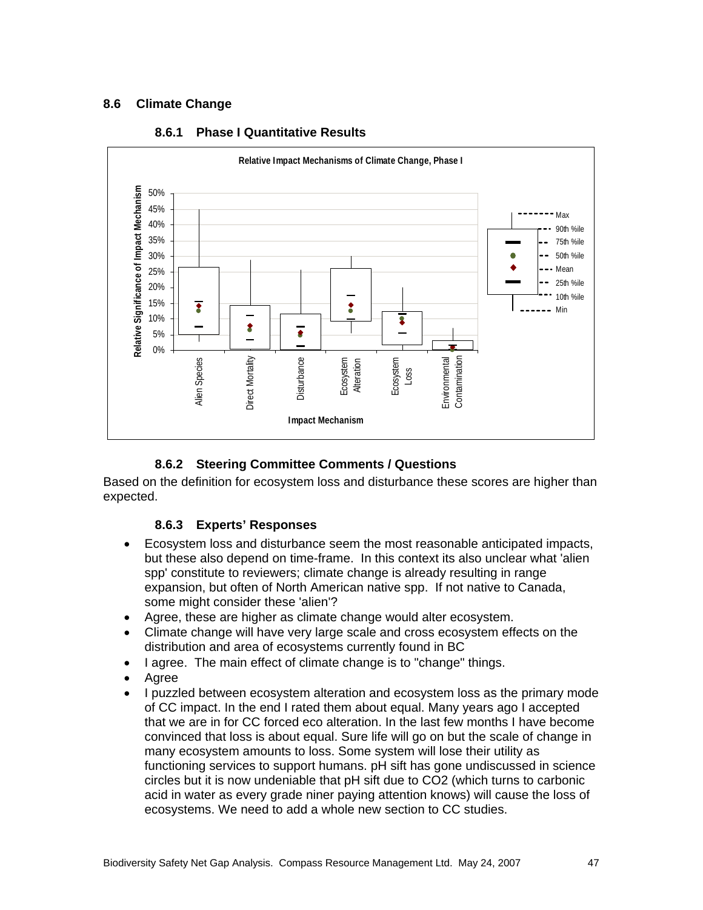### **8.6 Climate Change**



### **8.6.1 Phase I Quantitative Results**

# **8.6.2 Steering Committee Comments / Questions**

Based on the definition for ecosystem loss and disturbance these scores are higher than expected.

### **8.6.3 Experts' Responses**

- Ecosystem loss and disturbance seem the most reasonable anticipated impacts, but these also depend on time-frame. In this context its also unclear what 'alien spp' constitute to reviewers; climate change is already resulting in range expansion, but often of North American native spp. If not native to Canada, some might consider these 'alien'?
- Agree, these are higher as climate change would alter ecosystem.
- Climate change will have very large scale and cross ecosystem effects on the distribution and area of ecosystems currently found in BC
- I agree. The main effect of climate change is to "change" things.
- Agree
- I puzzled between ecosystem alteration and ecosystem loss as the primary mode of CC impact. In the end I rated them about equal. Many years ago I accepted that we are in for CC forced eco alteration. In the last few months I have become convinced that loss is about equal. Sure life will go on but the scale of change in many ecosystem amounts to loss. Some system will lose their utility as functioning services to support humans. pH sift has gone undiscussed in science circles but it is now undeniable that pH sift due to CO2 (which turns to carbonic acid in water as every grade niner paying attention knows) will cause the loss of ecosystems. We need to add a whole new section to CC studies.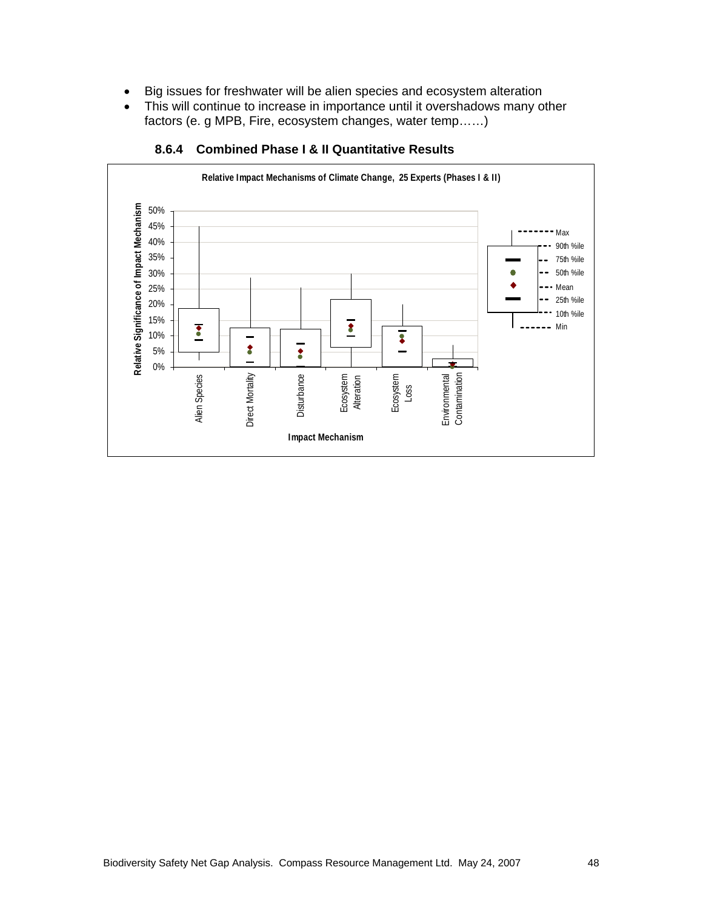- Big issues for freshwater will be alien species and ecosystem alteration
- This will continue to increase in importance until it overshadows many other factors (e. g MPB, Fire, ecosystem changes, water temp……)



#### **8.6.4 Combined Phase I & II Quantitative Results**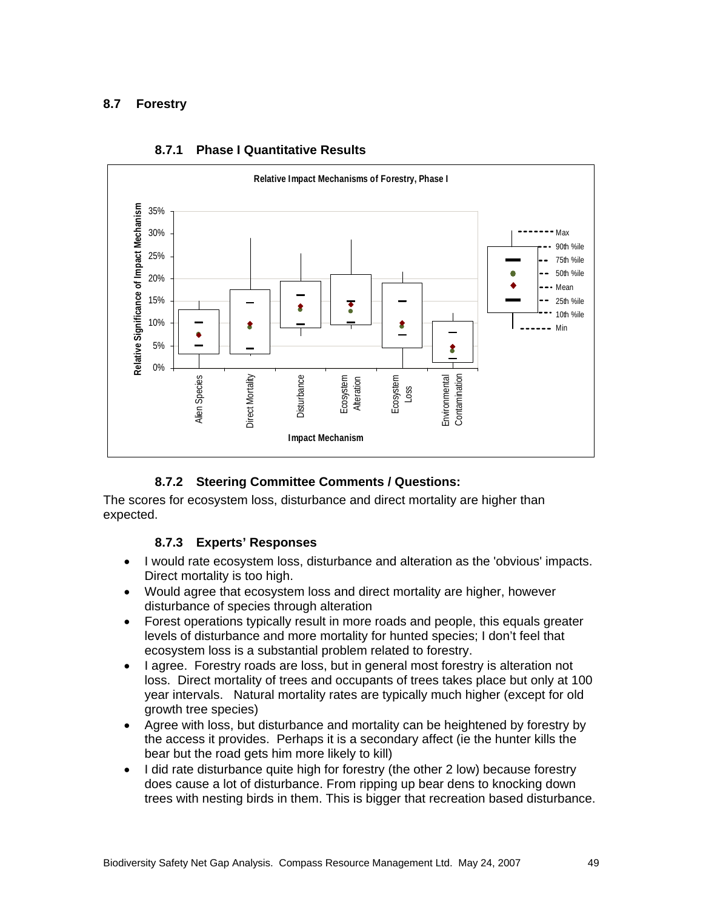### **8.7 Forestry**



#### **8.7.1 Phase I Quantitative Results**

### **8.7.2 Steering Committee Comments / Questions:**

The scores for ecosystem loss, disturbance and direct mortality are higher than expected.

#### **8.7.3 Experts' Responses**

- I would rate ecosystem loss, disturbance and alteration as the 'obvious' impacts. Direct mortality is too high.
- Would agree that ecosystem loss and direct mortality are higher, however disturbance of species through alteration
- Forest operations typically result in more roads and people, this equals greater levels of disturbance and more mortality for hunted species; I don't feel that ecosystem loss is a substantial problem related to forestry.
- I agree. Forestry roads are loss, but in general most forestry is alteration not loss. Direct mortality of trees and occupants of trees takes place but only at 100 year intervals. Natural mortality rates are typically much higher (except for old growth tree species)
- Agree with loss, but disturbance and mortality can be heightened by forestry by the access it provides. Perhaps it is a secondary affect (ie the hunter kills the bear but the road gets him more likely to kill)
- I did rate disturbance quite high for forestry (the other 2 low) because forestry does cause a lot of disturbance. From ripping up bear dens to knocking down trees with nesting birds in them. This is bigger that recreation based disturbance.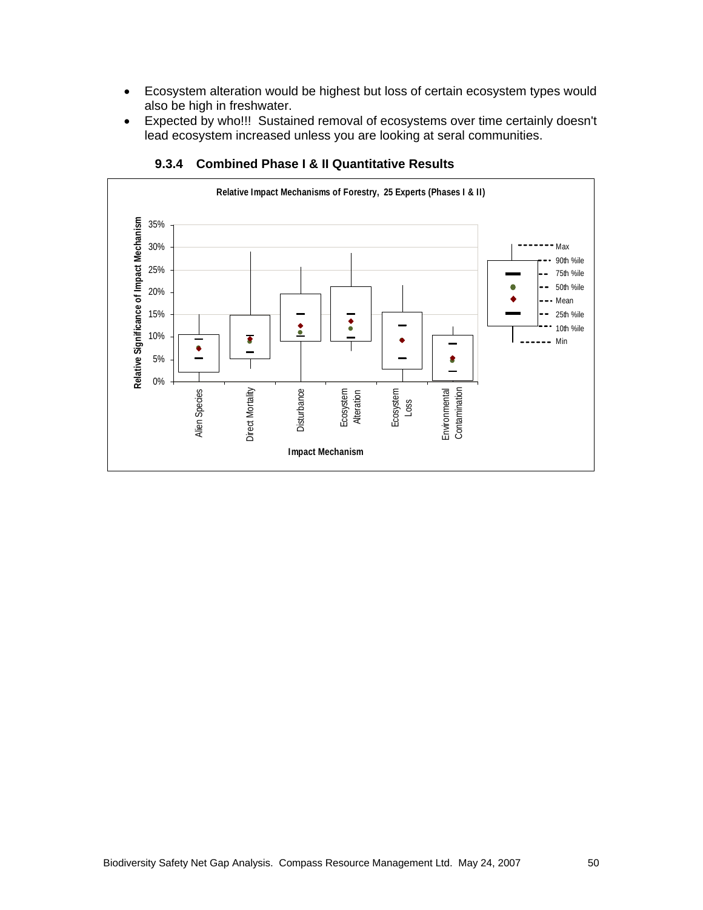- Ecosystem alteration would be highest but loss of certain ecosystem types would also be high in freshwater.
- Expected by who!!! Sustained removal of ecosystems over time certainly doesn't lead ecosystem increased unless you are looking at seral communities.



#### **9.3.4 Combined Phase I & II Quantitative Results**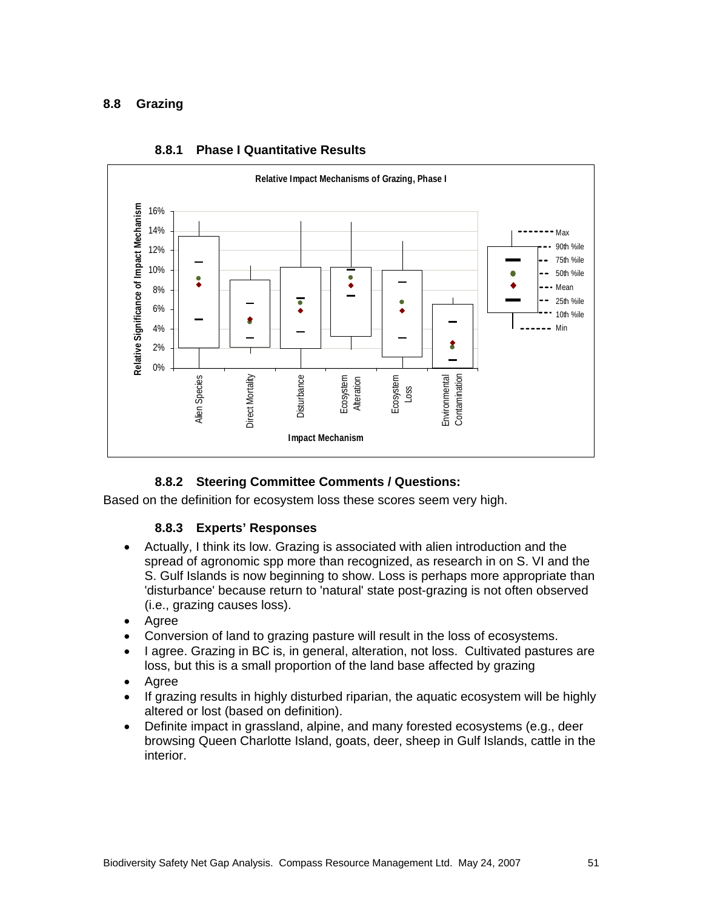### **8.8 Grazing**



#### **8.8.1 Phase I Quantitative Results**

### **8.8.2 Steering Committee Comments / Questions:**

Based on the definition for ecosystem loss these scores seem very high.

#### **8.8.3 Experts' Responses**

- Actually, I think its low. Grazing is associated with alien introduction and the spread of agronomic spp more than recognized, as research in on S. VI and the S. Gulf Islands is now beginning to show. Loss is perhaps more appropriate than 'disturbance' because return to 'natural' state post-grazing is not often observed (i.e., grazing causes loss).
- Agree
- Conversion of land to grazing pasture will result in the loss of ecosystems.
- I agree. Grazing in BC is, in general, alteration, not loss. Cultivated pastures are loss, but this is a small proportion of the land base affected by grazing
- Agree
- If grazing results in highly disturbed riparian, the aquatic ecosystem will be highly altered or lost (based on definition).
- Definite impact in grassland, alpine, and many forested ecosystems (e.g., deer browsing Queen Charlotte Island, goats, deer, sheep in Gulf Islands, cattle in the interior.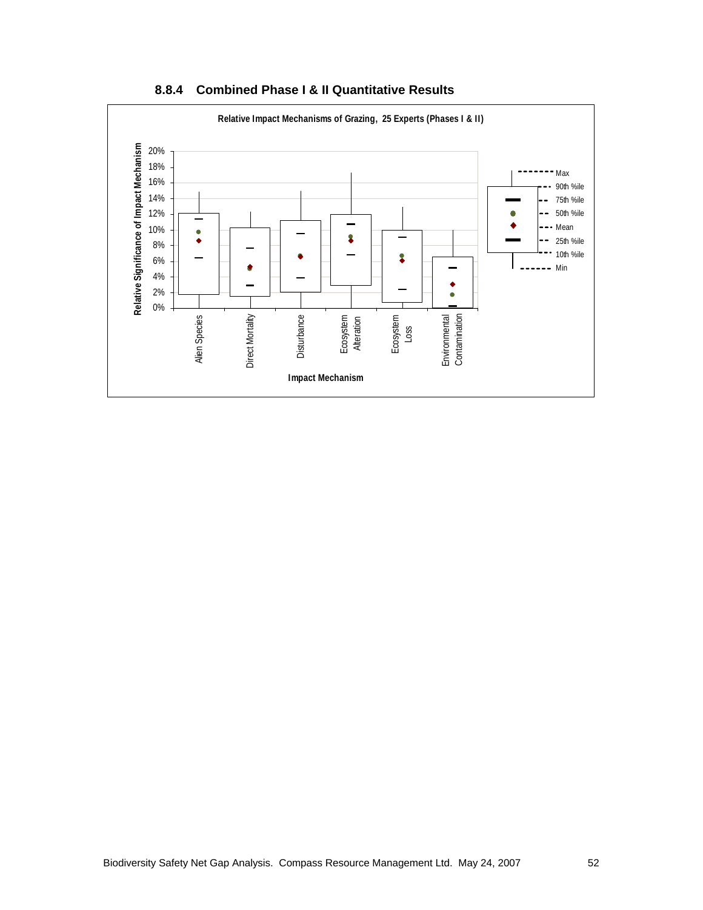

**8.8.4 Combined Phase I & II Quantitative Results**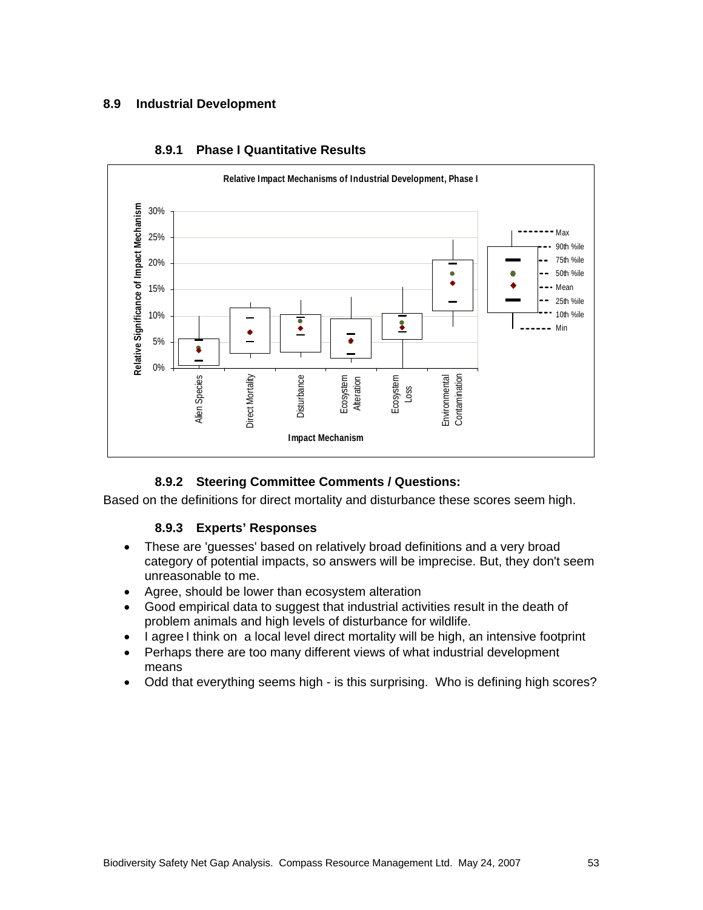### **8.9 Industrial Development**



#### **8.9.1 Phase I Quantitative Results**

### **8.9.2 Steering Committee Comments / Questions:**

Based on the definitions for direct mortality and disturbance these scores seem high.

#### **8.9.3 Experts' Responses**

- These are 'guesses' based on relatively broad definitions and a very broad category of potential impacts, so answers will be imprecise. But, they don't seem unreasonable to me.
- Agree, should be lower than ecosystem alteration
- Good empirical data to suggest that industrial activities result in the death of problem animals and high levels of disturbance for wildlife.
- I agree I think on a local level direct mortality will be high, an intensive footprint
- Perhaps there are too many different views of what industrial development means
- Odd that everything seems high is this surprising. Who is defining high scores?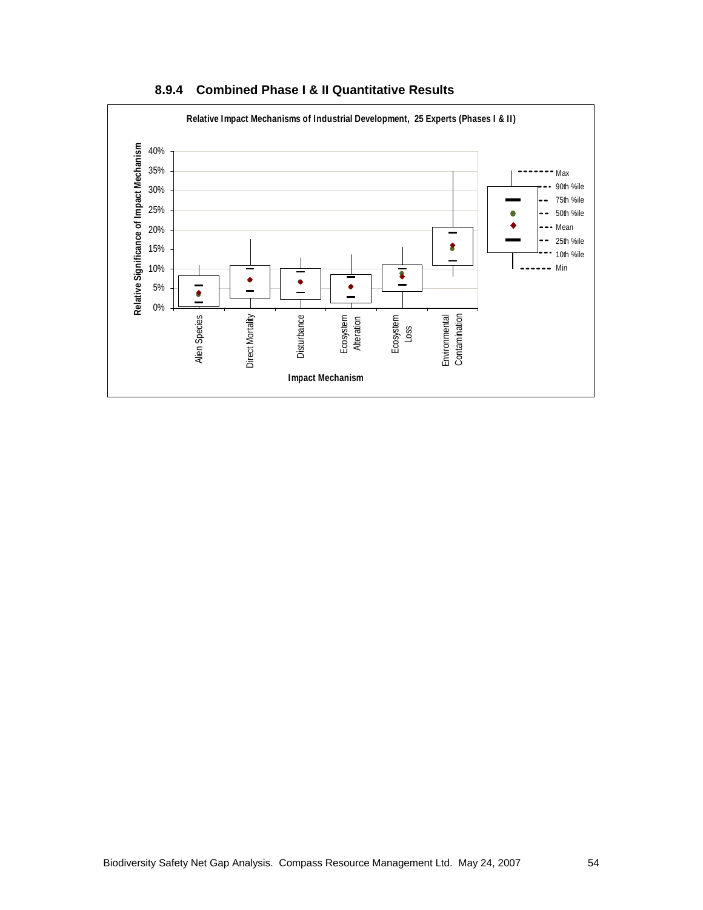

**8.9.4 Combined Phase I & II Quantitative Results**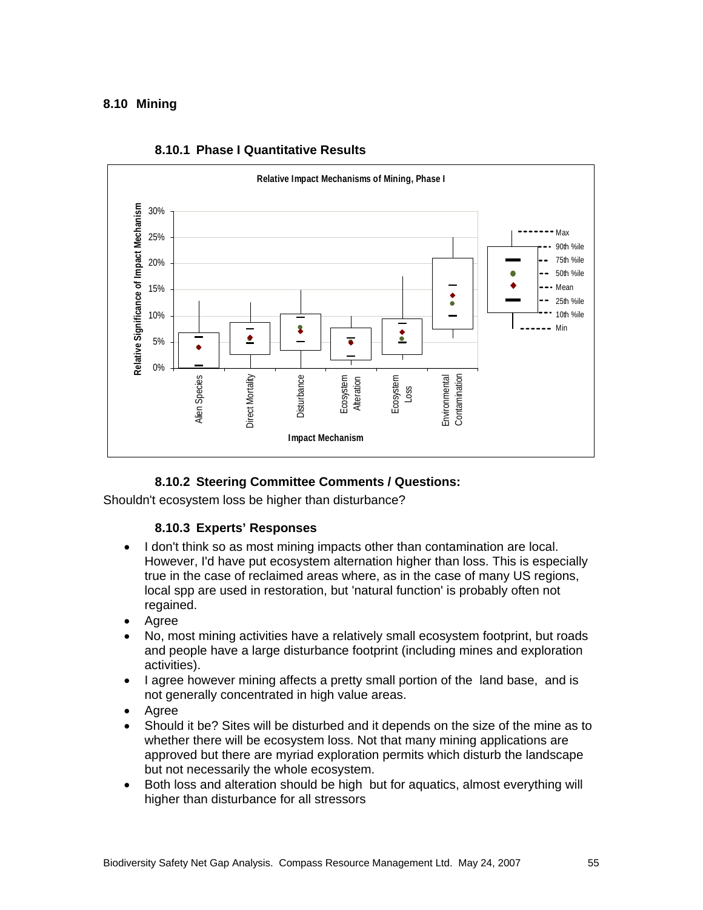### **8.10 Mining**



#### **8.10.1 Phase I Quantitative Results**

### **8.10.2 Steering Committee Comments / Questions:**

Shouldn't ecosystem loss be higher than disturbance?

### **8.10.3 Experts' Responses**

- I don't think so as most mining impacts other than contamination are local. However, I'd have put ecosystem alternation higher than loss. This is especially true in the case of reclaimed areas where, as in the case of many US regions, local spp are used in restoration, but 'natural function' is probably often not regained.
- Agree
- No, most mining activities have a relatively small ecosystem footprint, but roads and people have a large disturbance footprint (including mines and exploration activities).
- I agree however mining affects a pretty small portion of the land base, and is not generally concentrated in high value areas.
- Agree
- Should it be? Sites will be disturbed and it depends on the size of the mine as to whether there will be ecosystem loss. Not that many mining applications are approved but there are myriad exploration permits which disturb the landscape but not necessarily the whole ecosystem.
- Both loss and alteration should be high but for aquatics, almost everything will higher than disturbance for all stressors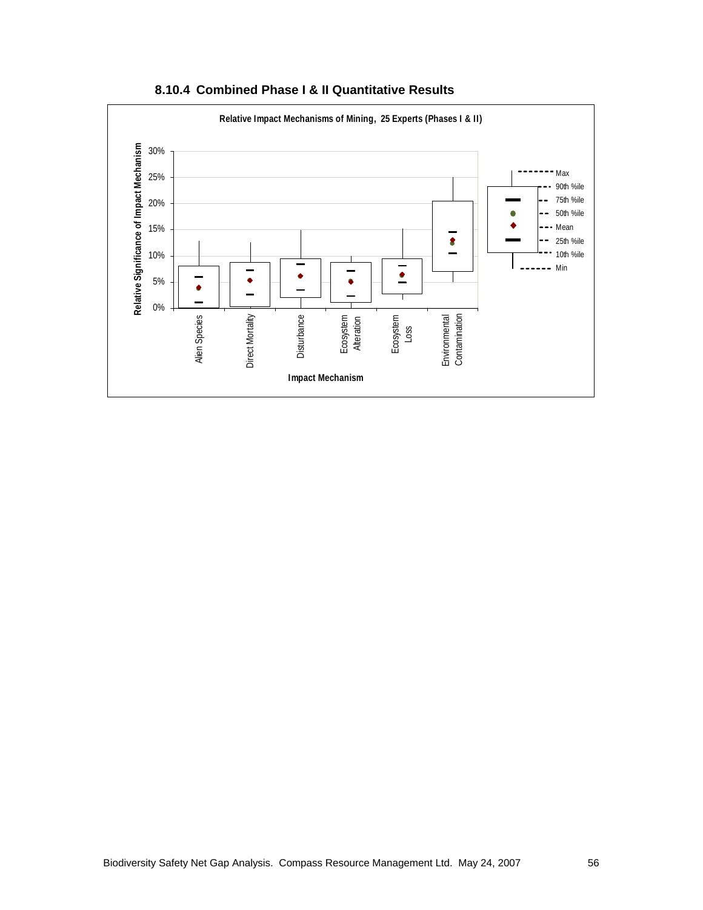

**8.10.4 Combined Phase I & II Quantitative Results**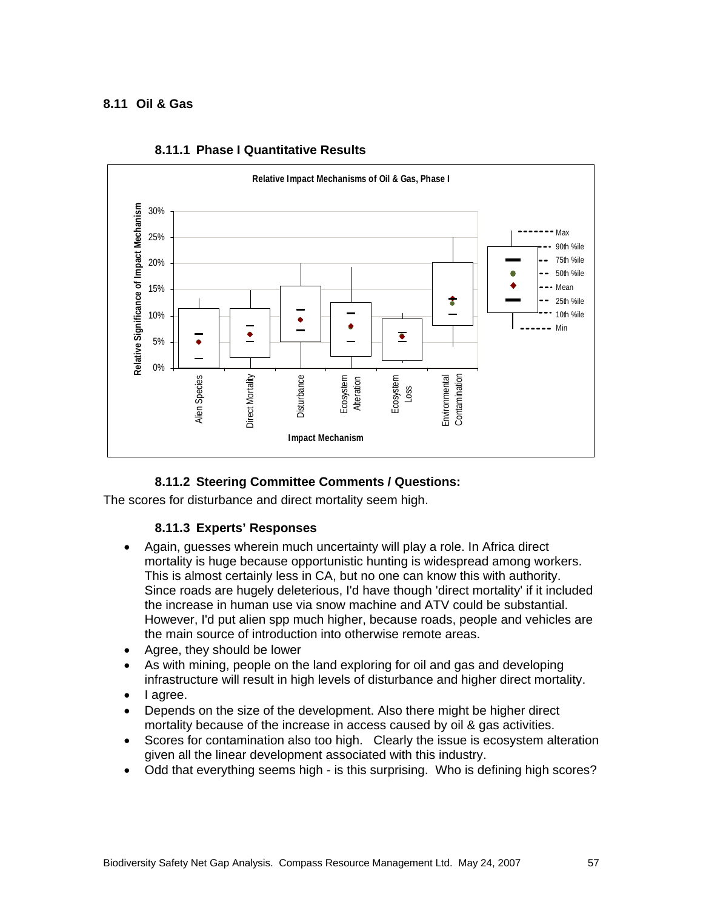### **8.11 Oil & Gas**



#### **8.11.1 Phase I Quantitative Results**

### **8.11.2 Steering Committee Comments / Questions:**

The scores for disturbance and direct mortality seem high.

#### **8.11.3 Experts' Responses**

- Again, guesses wherein much uncertainty will play a role. In Africa direct mortality is huge because opportunistic hunting is widespread among workers. This is almost certainly less in CA, but no one can know this with authority. Since roads are hugely deleterious, I'd have though 'direct mortality' if it included the increase in human use via snow machine and ATV could be substantial. However, I'd put alien spp much higher, because roads, people and vehicles are the main source of introduction into otherwise remote areas.
- Agree, they should be lower
- As with mining, people on the land exploring for oil and gas and developing infrastructure will result in high levels of disturbance and higher direct mortality.
- I agree.
- Depends on the size of the development. Also there might be higher direct mortality because of the increase in access caused by oil & gas activities.
- Scores for contamination also too high. Clearly the issue is ecosystem alteration given all the linear development associated with this industry.
- Odd that everything seems high is this surprising. Who is defining high scores?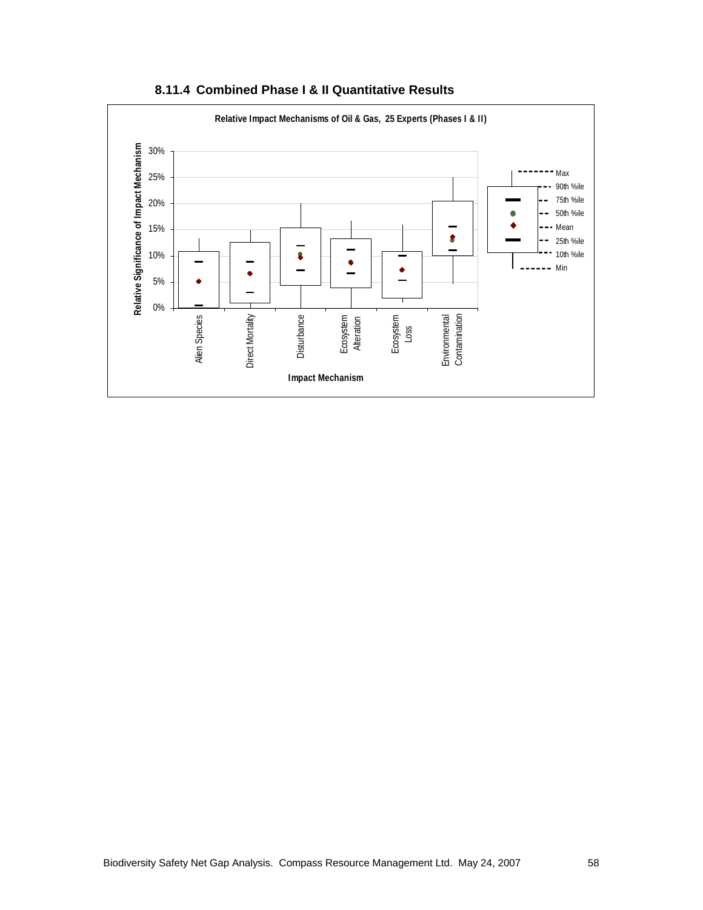

**8.11.4 Combined Phase I & II Quantitative Results**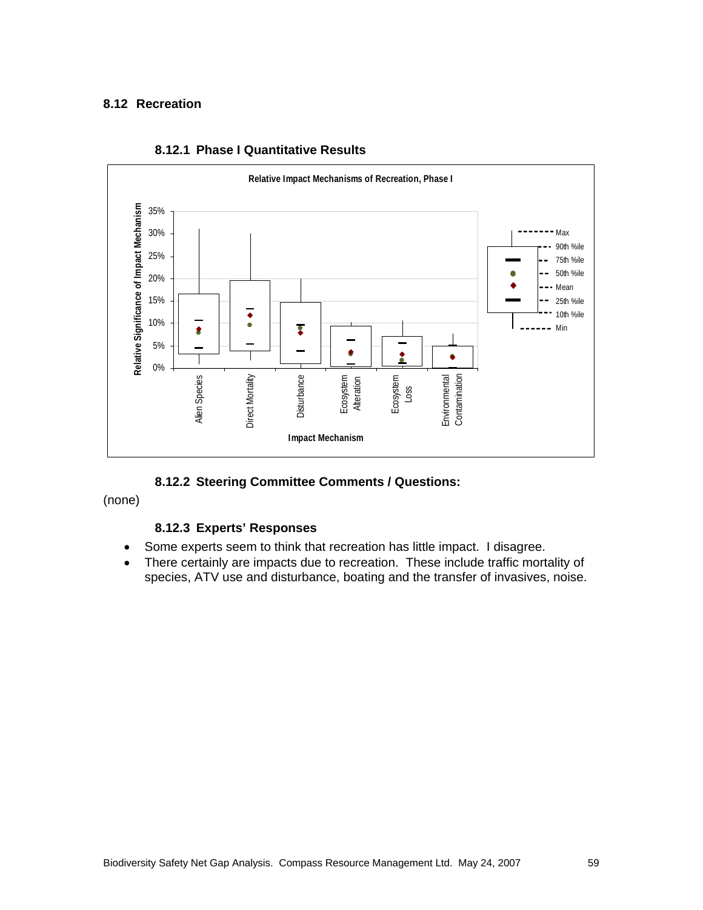#### **8.12 Recreation**



#### **8.12.1 Phase I Quantitative Results**

**8.12.2 Steering Committee Comments / Questions:** 

(none)

### **8.12.3 Experts' Responses**

- Some experts seem to think that recreation has little impact. I disagree.
- There certainly are impacts due to recreation. These include traffic mortality of species, ATV use and disturbance, boating and the transfer of invasives, noise.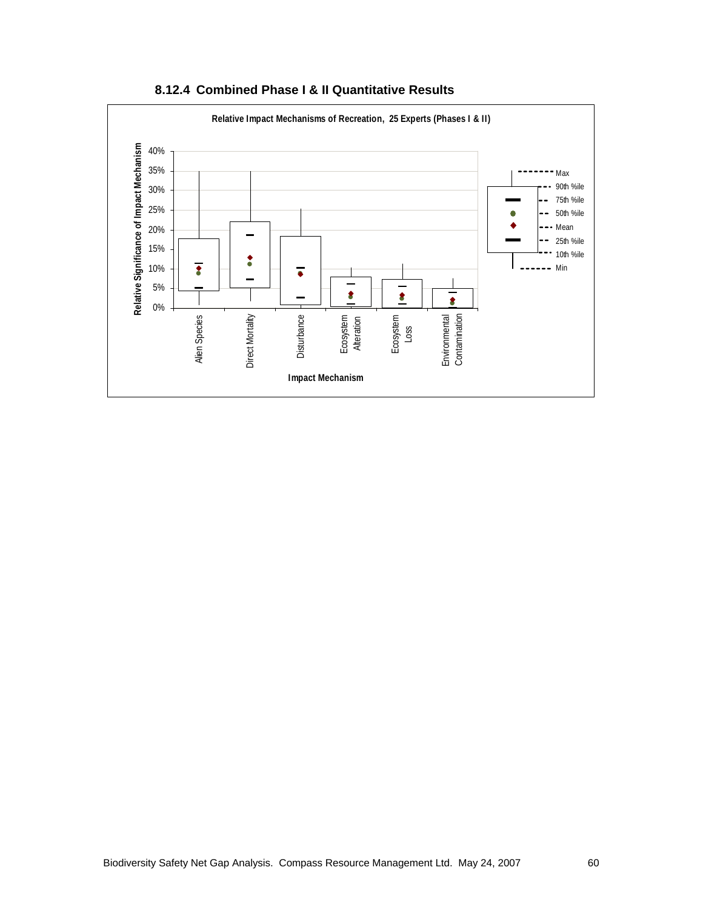

**8.12.4 Combined Phase I & II Quantitative Results**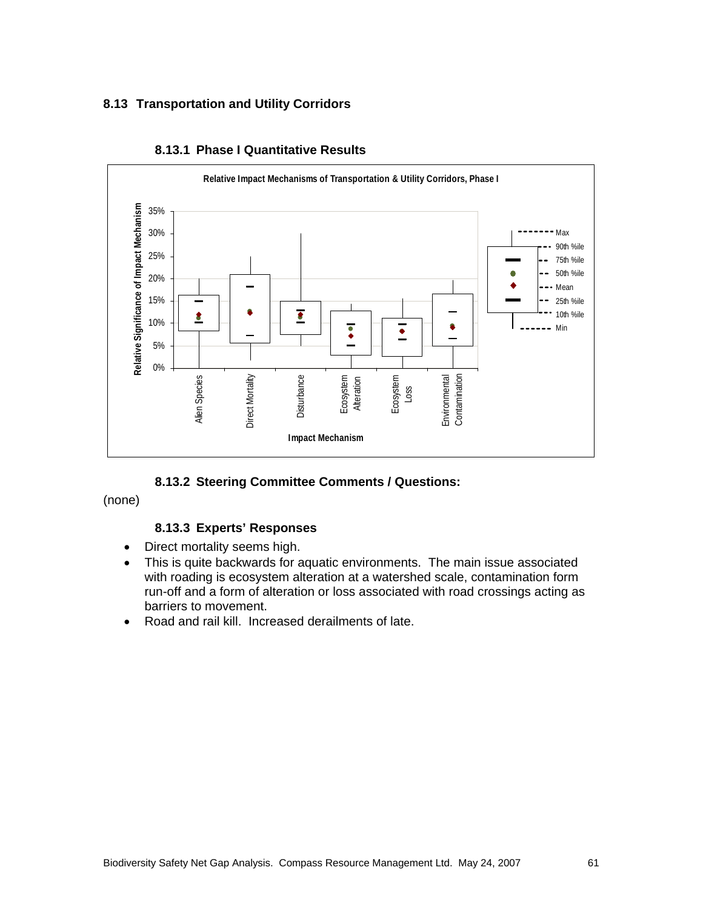## **8.13 Transportation and Utility Corridors**



#### **8.13.1 Phase I Quantitative Results**

**8.13.2 Steering Committee Comments / Questions:** 

(none)

### **8.13.3 Experts' Responses**

- Direct mortality seems high.
- This is quite backwards for aquatic environments. The main issue associated with roading is ecosystem alteration at a watershed scale, contamination form run-off and a form of alteration or loss associated with road crossings acting as barriers to movement.
- Road and rail kill. Increased derailments of late.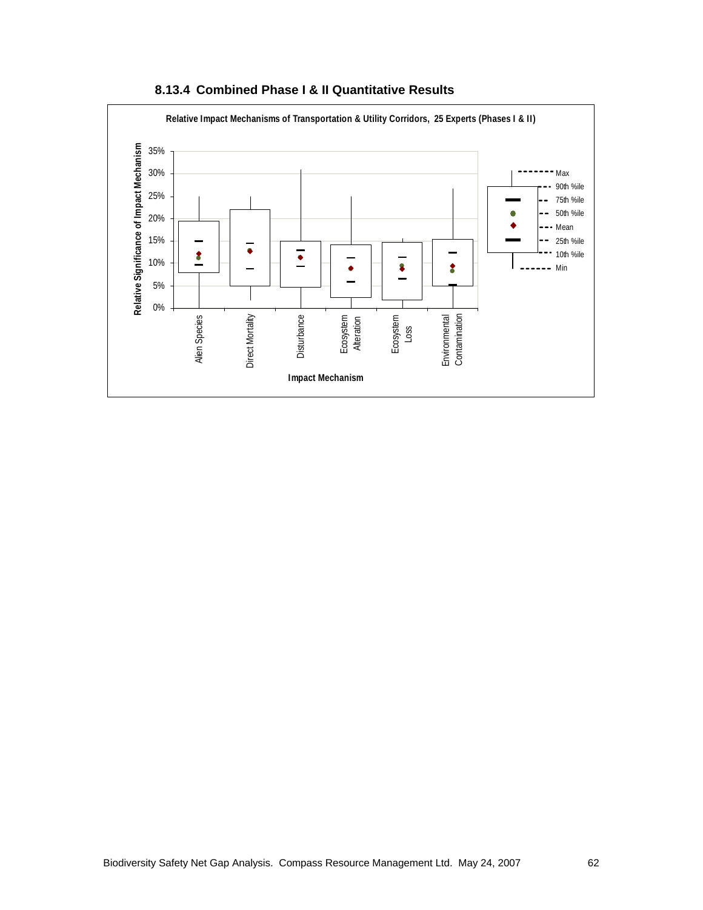

**8.13.4 Combined Phase I & II Quantitative Results**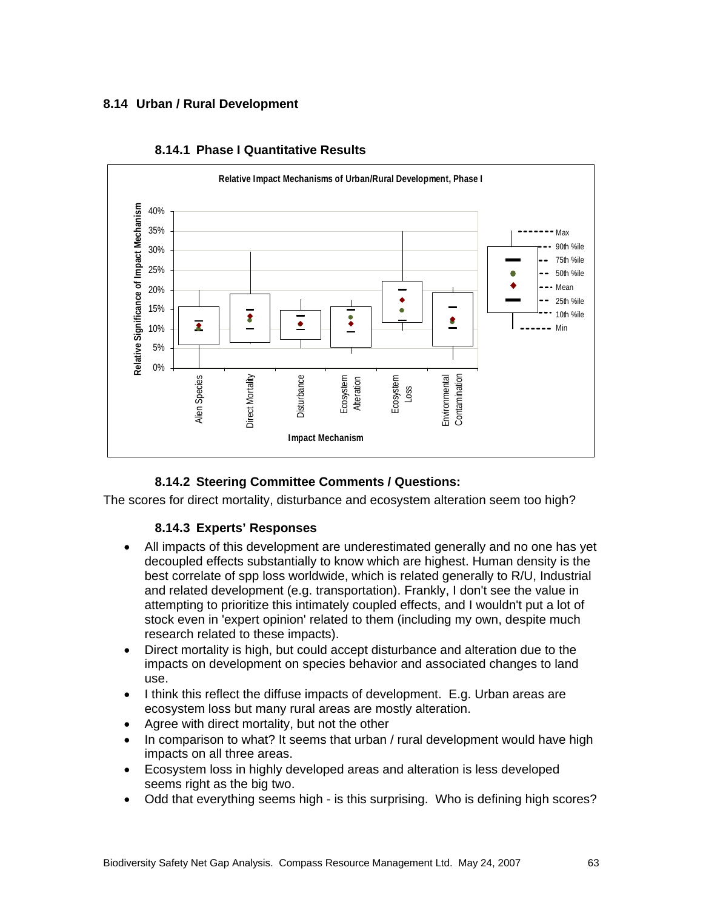## **8.14 Urban / Rural Development**



#### **8.14.1 Phase I Quantitative Results**

# **8.14.2 Steering Committee Comments / Questions:**

The scores for direct mortality, disturbance and ecosystem alteration seem too high?

### **8.14.3 Experts' Responses**

- All impacts of this development are underestimated generally and no one has yet decoupled effects substantially to know which are highest. Human density is the best correlate of spp loss worldwide, which is related generally to R/U, Industrial and related development (e.g. transportation). Frankly, I don't see the value in attempting to prioritize this intimately coupled effects, and I wouldn't put a lot of stock even in 'expert opinion' related to them (including my own, despite much research related to these impacts).
- Direct mortality is high, but could accept disturbance and alteration due to the impacts on development on species behavior and associated changes to land use.
- I think this reflect the diffuse impacts of development. E.g. Urban areas are ecosystem loss but many rural areas are mostly alteration.
- Agree with direct mortality, but not the other
- In comparison to what? It seems that urban / rural development would have high impacts on all three areas.
- Ecosystem loss in highly developed areas and alteration is less developed seems right as the big two.
- Odd that everything seems high is this surprising. Who is defining high scores?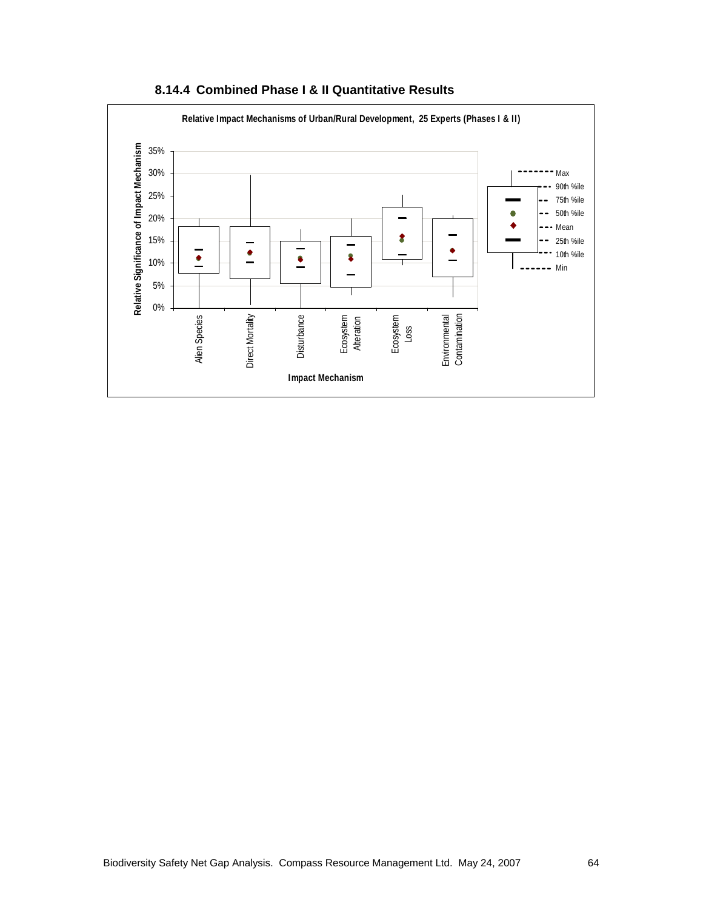

**8.14.4 Combined Phase I & II Quantitative Results**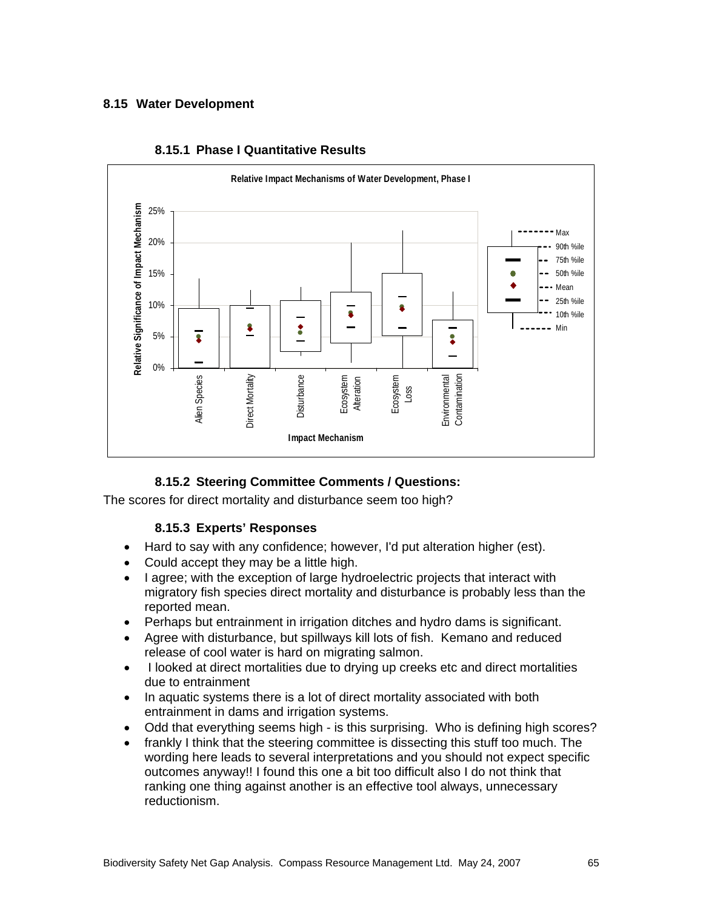## **8.15 Water Development**



#### **8.15.1 Phase I Quantitative Results**

# **8.15.2 Steering Committee Comments / Questions:**

The scores for direct mortality and disturbance seem too high?

### **8.15.3 Experts' Responses**

- Hard to say with any confidence; however, I'd put alteration higher (est).
- Could accept they may be a little high.
- I agree; with the exception of large hydroelectric projects that interact with migratory fish species direct mortality and disturbance is probably less than the reported mean.
- Perhaps but entrainment in irrigation ditches and hydro dams is significant.
- Agree with disturbance, but spillways kill lots of fish. Kemano and reduced release of cool water is hard on migrating salmon.
- I looked at direct mortalities due to drying up creeks etc and direct mortalities due to entrainment
- In aquatic systems there is a lot of direct mortality associated with both entrainment in dams and irrigation systems.
- Odd that everything seems high is this surprising. Who is defining high scores?
- frankly I think that the steering committee is dissecting this stuff too much. The wording here leads to several interpretations and you should not expect specific outcomes anyway!! I found this one a bit too difficult also I do not think that ranking one thing against another is an effective tool always, unnecessary reductionism.